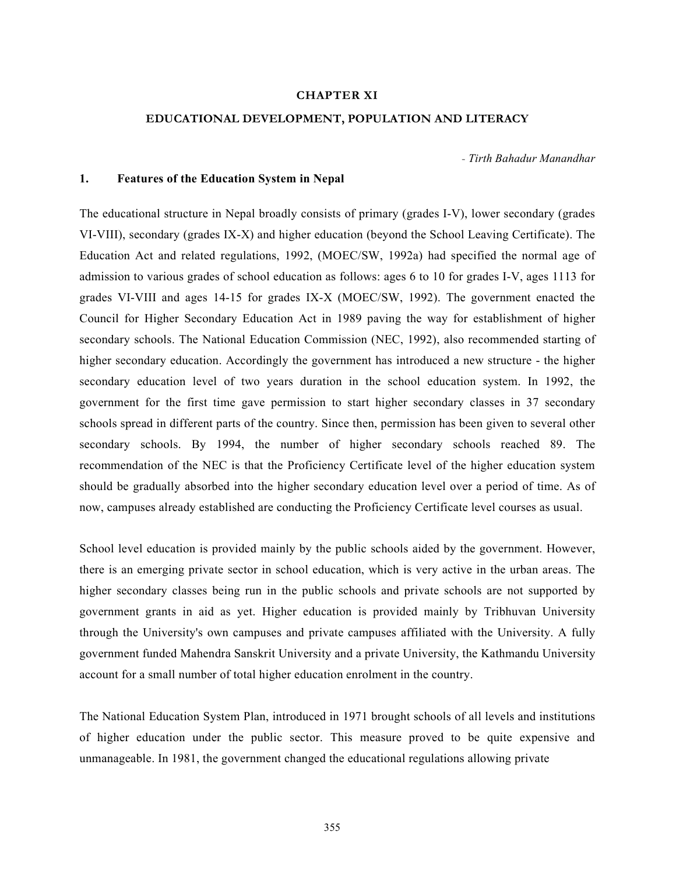## CHAPTER XI

# EDUCATIONAL DEVELOPMENT, POPULATION AND LITERACY

- Tirth Bahadur Manandhar

# 1. Features of the Education System in Nepal

The educational structure in Nepal broadly consists of primary (grades I-V), lower secondary (grades VI-VIII), secondary (grades IX-X) and higher education (beyond the School Leaving Certificate). The Education Act and related regulations, 1992, (MOEC/SW, 1992a) had specified the normal age of admission to various grades of school education as follows: ages 6 to 10 for grades I-V, ages 1113 for grades VI-VIII and ages 14-15 for grades IX-X (MOEC/SW, 1992). The government enacted the Council for Higher Secondary Education Act in 1989 paving the way for establishment of higher secondary schools. The National Education Commission (NEC, 1992), also recommended starting of higher secondary education. Accordingly the government has introduced a new structure - the higher secondary education level of two years duration in the school education system. In 1992, the government for the first time gave permission to start higher secondary classes in 37 secondary schools spread in different parts of the country. Since then, permission has been given to several other secondary schools. By 1994, the number of higher secondary schools reached 89. The recommendation of the NEC is that the Proficiency Certificate level of the higher education system should be gradually absorbed into the higher secondary education level over a period of time. As of now, campuses already established are conducting the Proficiency Certificate level courses as usual.

School level education is provided mainly by the public schools aided by the government. However, there is an emerging private sector in school education, which is very active in the urban areas. The higher secondary classes being run in the public schools and private schools are not supported by government grants in aid as yet. Higher education is provided mainly by Tribhuvan University through the University's own campuses and private campuses affiliated with the University. A fully government funded Mahendra Sanskrit University and a private University, the Kathmandu University account for a small number of total higher education enrolment in the country.

The National Education System Plan, introduced in 1971 brought schools of all levels and institutions of higher education under the public sector. This measure proved to be quite expensive and unmanageable. In 1981, the government changed the educational regulations allowing private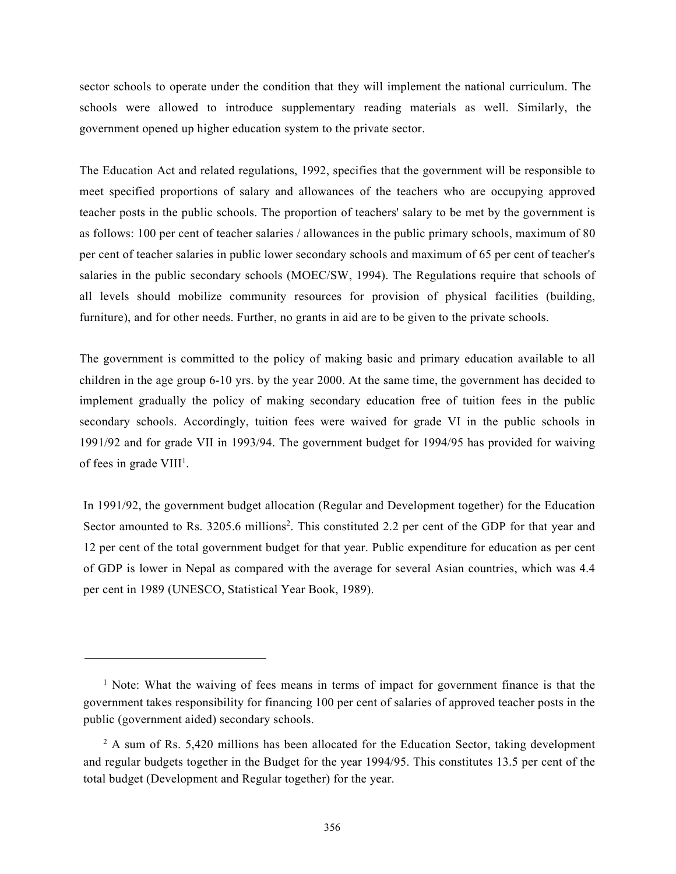sector schools to operate under the condition that they will implement the national curriculum. The schools were allowed to introduce supplementary reading materials as well. Similarly, the government opened up higher education system to the private sector.

The Education Act and related regulations, 1992, specifies that the government will be responsible to meet specified proportions of salary and allowances of the teachers who are occupying approved teacher posts in the public schools. The proportion of teachers' salary to be met by the government is as follows: 100 per cent of teacher salaries / allowances in the public primary schools, maximum of 80 per cent of teacher salaries in public lower secondary schools and maximum of 65 per cent of teacher's salaries in the public secondary schools (MOEC/SW, 1994). The Regulations require that schools of all levels should mobilize community resources for provision of physical facilities (building, furniture), and for other needs. Further, no grants in aid are to be given to the private schools.

The government is committed to the policy of making basic and primary education available to all children in the age group 6-10 yrs. by the year 2000. At the same time, the government has decided to implement gradually the policy of making secondary education free of tuition fees in the public secondary schools. Accordingly, tuition fees were waived for grade VI in the public schools in 1991/92 and for grade VII in 1993/94. The government budget for 1994/95 has provided for waiving of fees in grade VIII<sup>1</sup>.

In 1991/92, the government budget allocation (Regular and Development together) for the Education Sector amounted to Rs. 3205.6 millions<sup>2</sup>. This constituted 2.2 per cent of the GDP for that year and 12 per cent of the total government budget for that year. Public expenditure for education as per cent of GDP is lower in Nepal as compared with the average for several Asian countries, which was 4.4 per cent in 1989 (UNESCO, Statistical Year Book, 1989).

<sup>&</sup>lt;sup>1</sup> Note: What the waiving of fees means in terms of impact for government finance is that the government takes responsibility for financing 100 per cent of salaries of approved teacher posts in the public (government aided) secondary schools.

 $2$  A sum of Rs. 5,420 millions has been allocated for the Education Sector, taking development and regular budgets together in the Budget for the year 1994/95. This constitutes 13.5 per cent of the total budget (Development and Regular together) for the year.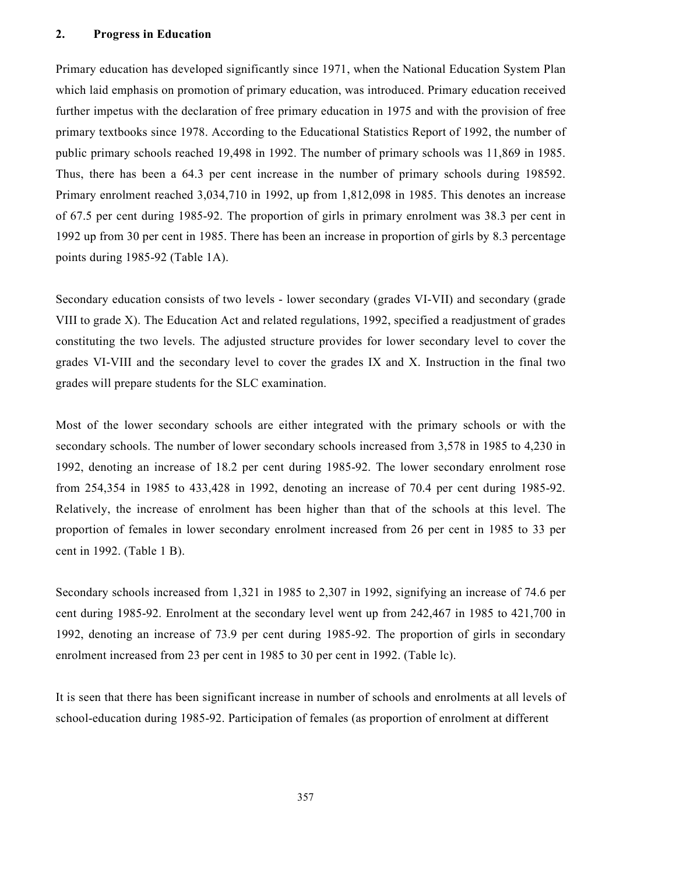# 2. Progress in Education

Primary education has developed significantly since 1971, when the National Education System Plan which laid emphasis on promotion of primary education, was introduced. Primary education received further impetus with the declaration of free primary education in 1975 and with the provision of free primary textbooks since 1978. According to the Educational Statistics Report of 1992, the number of public primary schools reached 19,498 in 1992. The number of primary schools was 11,869 in 1985. Thus, there has been a 64.3 per cent increase in the number of primary schools during 198592. Primary enrolment reached 3,034,710 in 1992, up from 1,812,098 in 1985. This denotes an increase of 67.5 per cent during 1985-92. The proportion of girls in primary enrolment was 38.3 per cent in 1992 up from 30 per cent in 1985. There has been an increase in proportion of girls by 8.3 percentage points during 1985-92 (Table 1A).

Secondary education consists of two levels - lower secondary (grades VI-VII) and secondary (grade VIII to grade X). The Education Act and related regulations, 1992, specified a readjustment of grades constituting the two levels. The adjusted structure provides for lower secondary level to cover the grades VI-VIII and the secondary level to cover the grades IX and X. Instruction in the final two grades will prepare students for the SLC examination.

Most of the lower secondary schools are either integrated with the primary schools or with the secondary schools. The number of lower secondary schools increased from 3,578 in 1985 to 4,230 in 1992, denoting an increase of 18.2 per cent during 1985-92. The lower secondary enrolment rose from 254,354 in 1985 to 433,428 in 1992, denoting an increase of 70.4 per cent during 1985-92. Relatively, the increase of enrolment has been higher than that of the schools at this level. The proportion of females in lower secondary enrolment increased from 26 per cent in 1985 to 33 per cent in 1992. (Table 1 B).

Secondary schools increased from 1,321 in 1985 to 2,307 in 1992, signifying an increase of 74.6 per cent during 1985-92. Enrolment at the secondary level went up from 242,467 in 1985 to 421,700 in 1992, denoting an increase of 73.9 per cent during 1985-92. The proportion of girls in secondary enrolment increased from 23 per cent in 1985 to 30 per cent in 1992. (Table lc).

It is seen that there has been significant increase in number of schools and enrolments at all levels of school-education during 1985-92. Participation of females (as proportion of enrolment at different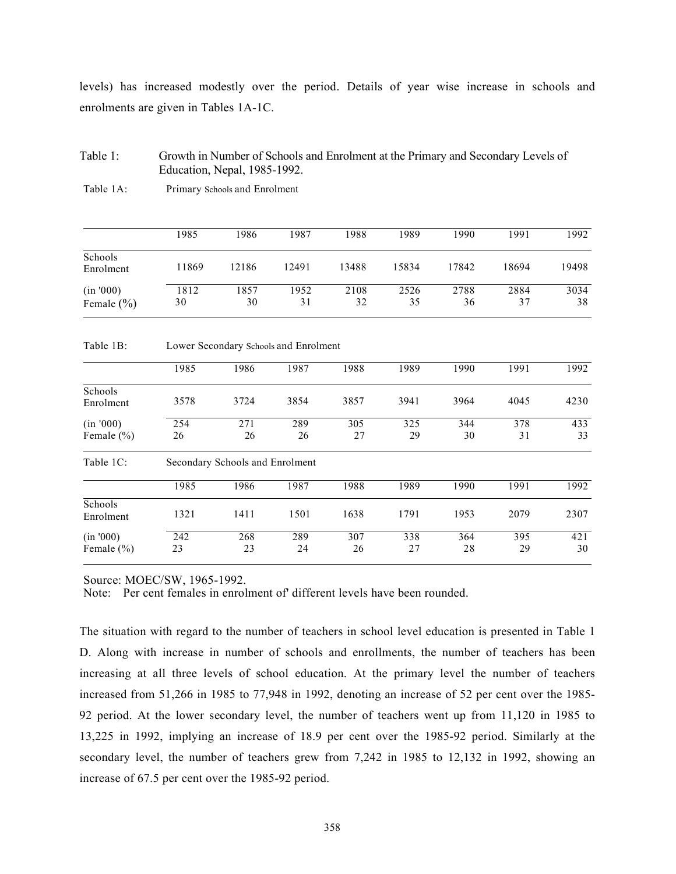levels) has increased modestly over the period. Details of year wise increase in schools and enrolments are given in Tables 1A-1C.

# Table 1: Growth in Number of Schools and Enrolment at the Primary and Secondary Levels of Education, Nepal, 1985-1992.

| Schools        | 1985  | 1986  | 1987                                  | 1988  | 1989  | 1990  | 1991  | 1992  |
|----------------|-------|-------|---------------------------------------|-------|-------|-------|-------|-------|
| Enrolment      | 11869 | 12186 | 12491                                 | 13488 | 15834 | 17842 | 18694 | 19498 |
| (in '000)      | 1812  | 1857  | 1952                                  | 2108  | 2526  | 2788  | 2884  | 3034  |
| Female $(\% )$ | 30    | 30    | 31                                    | 32    | 35    | 36    | 37    | 38    |
| Table 1B:      |       |       | Lower Secondary Schools and Enrolment |       |       |       |       |       |
|                | 1985  | 1986  | 1987                                  | 1988  | 1989  | 1990  | 1991  | 1992  |

Table 1A: Primary Schools and Enrolment

|                             | 1985      | 1986                            | 1987      | 1988      | 1989      | 1990      | 1991      | 1992      |
|-----------------------------|-----------|---------------------------------|-----------|-----------|-----------|-----------|-----------|-----------|
| Schools<br>Enrolment        | 3578      | 3724                            | 3854      | 3857      | 3941      | 3964      | 4045      | 4230      |
| (in '000)<br>Female $(\% )$ | 254<br>26 | 271<br>26                       | 289<br>26 | 305<br>27 | 325<br>29 | 344<br>30 | 378<br>31 | 433<br>33 |
| Table 1C:                   |           | Secondary Schools and Enrolment |           |           |           |           |           |           |
|                             | 1985      | 1986                            | 1987      | 1988      | 1989      | 1990      | 1991      | 1992      |
| Schools<br>Enrolment        | 1321      | 1411                            | 1501      | 1638      | 1791      | 1953      | 2079      | 2307      |
| (in '000)<br>Female $(\% )$ | 242<br>23 | 268<br>23                       | 289<br>24 | 307<br>26 | 338<br>27 | 364<br>28 | 395<br>29 | 421<br>30 |

Source: MOEC/SW, 1965-1992.

Note: Per cent females in enrolment of' different levels have been rounded.

The situation with regard to the number of teachers in school level education is presented in Table 1 D. Along with increase in number of schools and enrollments, the number of teachers has been increasing at all three levels of school education. At the primary level the number of teachers increased from 51,266 in 1985 to 77,948 in 1992, denoting an increase of 52 per cent over the 1985- 92 period. At the lower secondary level, the number of teachers went up from 11,120 in 1985 to 13,225 in 1992, implying an increase of 18.9 per cent over the 1985-92 period. Similarly at the secondary level, the number of teachers grew from 7,242 in 1985 to 12,132 in 1992, showing an increase of 67.5 per cent over the 1985-92 period.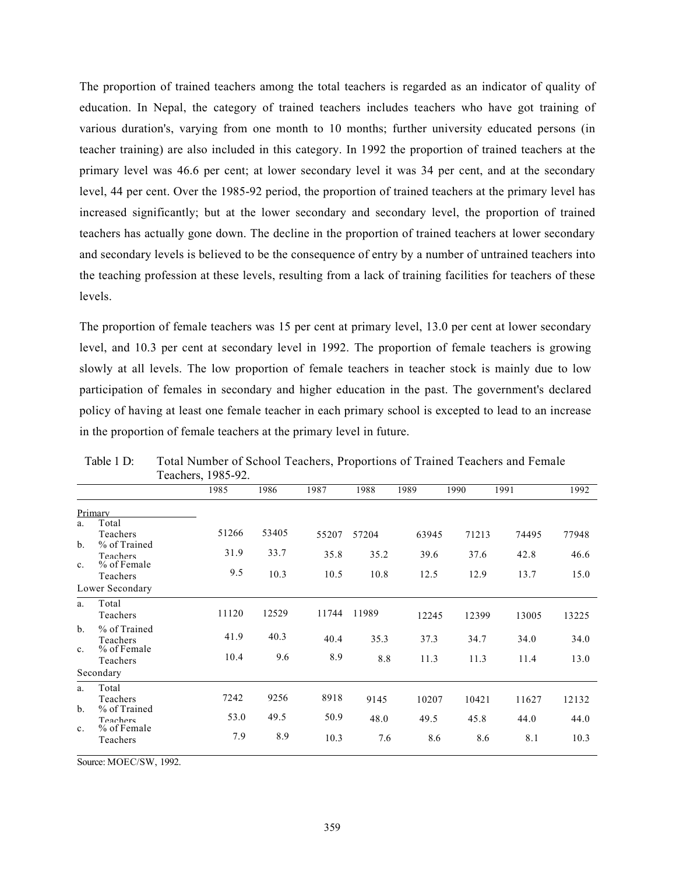The proportion of trained teachers among the total teachers is regarded as an indicator of quality of education. In Nepal, the category of trained teachers includes teachers who have got training of various duration's, varying from one month to 10 months; further university educated persons (in teacher training) are also included in this category. In 1992 the proportion of trained teachers at the primary level was 46.6 per cent; at lower secondary level it was 34 per cent, and at the secondary level, 44 per cent. Over the 1985-92 period, the proportion of trained teachers at the primary level has increased significantly; but at the lower secondary and secondary level, the proportion of trained teachers has actually gone down. The decline in the proportion of trained teachers at lower secondary and secondary levels is believed to be the consequence of entry by a number of untrained teachers into the teaching profession at these levels, resulting from a lack of training facilities for teachers of these levels.

The proportion of female teachers was 15 per cent at primary level, 13.0 per cent at lower secondary level, and 10.3 per cent at secondary level in 1992. The proportion of female teachers is growing slowly at all levels. The low proportion of female teachers in teacher stock is mainly due to low participation of females in secondary and higher education in the past. The government's declared policy of having at least one female teacher in each primary school is excepted to lead to an increase in the proportion of female teachers at the primary level in future.

|       |       |       |       |       |       |       | $1$ Cachel 5, $170J$ -72. |                                                |                               |
|-------|-------|-------|-------|-------|-------|-------|---------------------------|------------------------------------------------|-------------------------------|
| 1992  | 1991  | 1990  | 1989  | 1988  | 1987  | 1986  | 1985                      |                                                |                               |
|       |       |       |       |       |       |       |                           | Primary                                        |                               |
| 77948 | 74495 | 71213 | 63945 | 57204 | 55207 | 53405 | 51266                     | Total<br>Teachers                              | a.                            |
| 46.6  | 42.8  | 37.6  | 39.6  | 35.2  | 35.8  | 33.7  | 31.9                      | % of Trained<br><b>Teachers</b><br>% of Female | $\mathbf{b}$ .                |
| 15.0  | 13.7  | 12.9  | 12.5  | 10.8  | 10.5  | 10.3  | 9.5                       | Teachers                                       | C <sub>1</sub>                |
|       |       |       |       |       |       |       |                           | Lower Secondary                                |                               |
| 13225 | 13005 | 12399 | 12245 | 11989 | 11744 | 12529 | 11120                     | Total<br>Teachers                              | a.                            |
| 34.0  | 34.0  | 34.7  | 37.3  | 35.3  | 40.4  | 40.3  | 41.9                      | % of Trained<br><b>Teachers</b>                | $h_{\cdot}$                   |
| 13.0  | 11.4  | 11.3  | 11.3  | 8.8   | 8.9   | 9.6   | 10.4                      | Teachers                                       | $C_{\cdot}$                   |
|       |       |       |       |       |       |       |                           | Secondary                                      |                               |
| 12132 | 11627 | 10421 | 10207 | 9145  | 8918  | 9256  | 7242                      | Total<br>Teachers                              | a.                            |
| 44.0  | 44.0  | 45.8  | 49.5  | 48.0  | 50.9  | 49.5  | 53.0                      | Teachers                                       |                               |
| 10.3  | 8.1   | 8.6   | 8.6   | 7.6   | 10.3  | 8.9   | 7.9                       | Teachers                                       |                               |
|       |       |       |       |       |       |       |                           | % of Female<br>% of Trained<br>% of Female     | $h_{\cdot}$<br>$\mathbf{c}$ . |

Table 1 D: Total Number of School Teachers, Proportions of Trained Teachers and Female  $Toechar<sub>9</sub> 1085.02$ 

Source: MOEC/SW, 1992.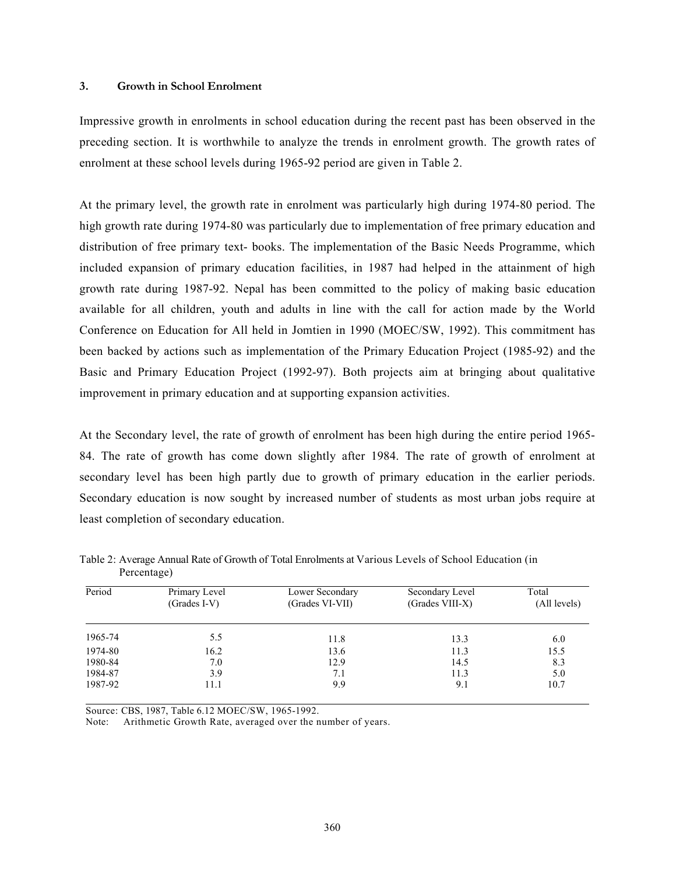## 3. Growth in School Enrolment

Impressive growth in enrolments in school education during the recent past has been observed in the preceding section. It is worthwhile to analyze the trends in enrolment growth. The growth rates of enrolment at these school levels during 1965-92 period are given in Table 2.

At the primary level, the growth rate in enrolment was particularly high during 1974-80 period. The high growth rate during 1974-80 was particularly due to implementation of free primary education and distribution of free primary text- books. The implementation of the Basic Needs Programme, which included expansion of primary education facilities, in 1987 had helped in the attainment of high growth rate during 1987-92. Nepal has been committed to the policy of making basic education available for all children, youth and adults in line with the call for action made by the World Conference on Education for All held in Jomtien in 1990 (MOEC/SW, 1992). This commitment has been backed by actions such as implementation of the Primary Education Project (1985-92) and the Basic and Primary Education Project (1992-97). Both projects aim at bringing about qualitative improvement in primary education and at supporting expansion activities.

At the Secondary level, the rate of growth of enrolment has been high during the entire period 1965- 84. The rate of growth has come down slightly after 1984. The rate of growth of enrolment at secondary level has been high partly due to growth of primary education in the earlier periods. Secondary education is now sought by increased number of students as most urban jobs require at least completion of secondary education.

| Period  | Primary Level<br>$(Grades I-V)$ | Lower Secondary<br>(Grades VI-VII) | Secondary Level<br>(Grades VIII-X) | Total<br>(All levels) |
|---------|---------------------------------|------------------------------------|------------------------------------|-----------------------|
| 1965-74 | 5.5                             | 11.8                               | 13.3                               | 6.0                   |
| 1974-80 | 16.2                            | 13.6                               | 11.3                               | 15.5                  |
| 1980-84 | 7.0                             | 12.9                               | 14.5                               | 8.3                   |
| 1984-87 | 3.9                             | 7.1                                | 11.3                               | 5.0                   |
| 1987-92 | 11.1                            | 9.9                                | 9.1                                | 10.7                  |

Table 2: Average Annual Rate of Growth of Total Enrolments at Various Levels of School Education (in Percentage)

Source: CBS, 1987, Table 6.12 MOEC/SW, 1965-1992.

Note: Arithmetic Growth Rate, averaged over the number of years.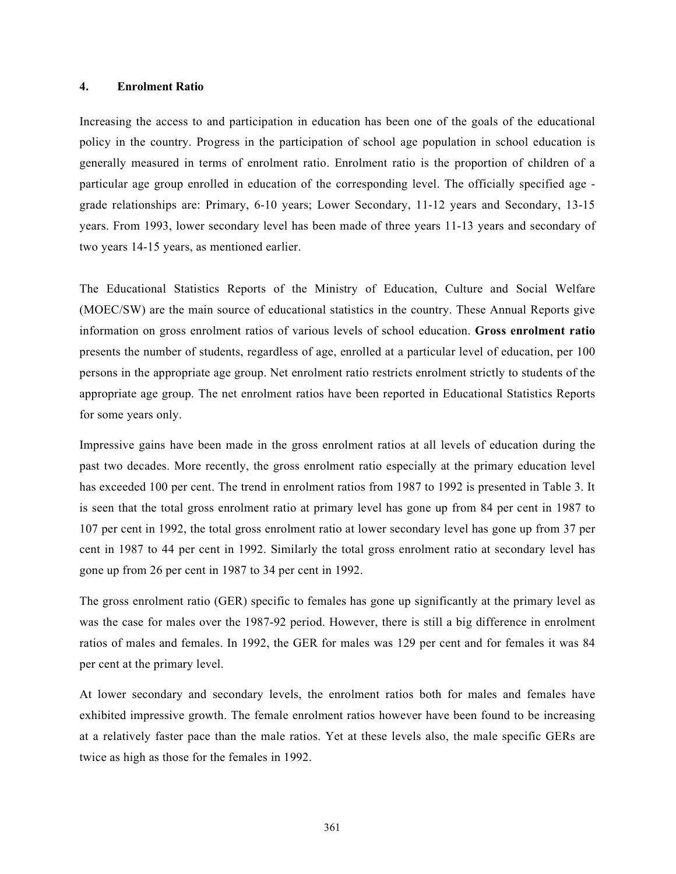#### 4. Enrolment Ratio

Increasing the access to and participation in education has been one of the goals of the educational policy in the country. Progress in the participation of school age population in school education is generally measured in terms of enrolment ratio. Enrolment ratio is the proportion of children of a particular age group enrolled in education of the corresponding level. The officially specified age grade relationships are: Primary, 6-10 years; Lower Secondary, 11-12 years and Secondary, 13-15 years. From 1993, lower secondary level has been made of three years 11-13 years and secondary of two years 14-15 years, as mentioned earlier.

The Educational Statistics Reports of the Ministry of Education, Culture and Social Welfare (MOEC/SW) are the main source of educational statistics in the country. These Annual Reports give information on gross enrolment ratios of various levels of school education. Gross enrolment ratio presents the number of students, regardless of age, enrolled at a particular level of education, per 100 persons in the appropriate age group. Net enrolment ratio restricts enrolment strictly to students of the appropriate age group. The net enrolment ratios have been reported in Educational Statistics Reports for some years only.

Impressive gains have been made in the gross enrolment ratios at all levels of education during the past two decades. More recently, the gross enrolment ratio especially at the primary education level has exceeded 100 per cent. The trend in enrolment ratios from 1987 to 1992 is presented in Table 3. It is seen that the total gross enrolment ratio at primary level has gone up from 84 per cent in 1987 to 107 per cent in 1992, the total gross enrolment ratio at lower secondary level has gone up from 37 per cent in 1987 to 44 per cent in 1992. Similarly the total gross enrolment ratio at secondary level has gone up from 26 per cent in 1987 to 34 per cent in 1992.

The gross enrolment ratio (GER) specific to females has gone up significantly at the primary level as was the case for males over the 1987-92 period. However, there is still a big difference in enrolment ratios of males and females. In 1992, the GER for males was 129 per cent and for females it was 84 per cent at the primary level.

At lower secondary and secondary levels, the enrolment ratios both for males and females have exhibited impressive growth. The female enrolment ratios however have been found to be increasing at a relatively faster pace than the male ratios. Yet at these levels also, the male specific GERs are twice as high as those for the females in 1992.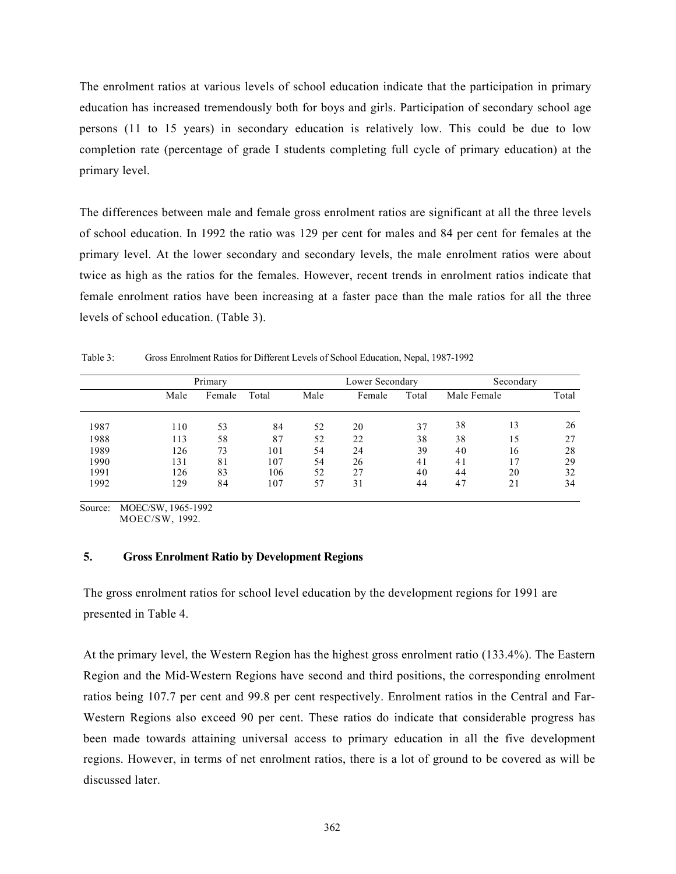The enrolment ratios at various levels of school education indicate that the participation in primary education has increased tremendously both for boys and girls. Participation of secondary school age persons (11 to 15 years) in secondary education is relatively low. This could be due to low completion rate (percentage of grade I students completing full cycle of primary education) at the primary level.

The differences between male and female gross enrolment ratios are significant at all the three levels of school education. In 1992 the ratio was 129 per cent for males and 84 per cent for females at the primary level. At the lower secondary and secondary levels, the male enrolment ratios were about twice as high as the ratios for the females. However, recent trends in enrolment ratios indicate that female enrolment ratios have been increasing at a faster pace than the male ratios for all the three levels of school education. (Table 3).

Table 3: Gross Enrolment Ratios for Different Levels of School Education, Nepal, 1987-1992

|      |      | Primary |       |      | Lower Secondary |       | Secondary   |    |       |
|------|------|---------|-------|------|-----------------|-------|-------------|----|-------|
|      | Male | Female  | Total | Male | Female          | Total | Male Female |    | Total |
| 1987 | 110  | 53      | 84    | 52   | 20              | 37    | 38          | 13 | 26    |
| 1988 | 113  | 58      | 87    | 52   | 22              | 38    | 38          | 15 | 27    |
| 1989 | 126  | 73      | 101   | 54   | 24              | 39    | 40          | 16 | 28    |
| 1990 | 131  | 81      | 107   | 54   | 26              | 41    | 41          | ۱7 | 29    |
| 1991 | 126  | 83      | 106   | 52   | 27              | 40    | 44          | 20 | 32    |
| 1992 | 129  | 84      | 107   | 57   | 31              | 44    | 47          |    | 34    |

Source: MOEC/SW, 1965-1992 MOEC/SW, 1992.

## 5. Gross Enrolment Ratio by Development Regions

The gross enrolment ratios for school level education by the development regions for 1991 are presented in Table 4.

At the primary level, the Western Region has the highest gross enrolment ratio (133.4%). The Eastern Region and the Mid-Western Regions have second and third positions, the corresponding enrolment ratios being 107.7 per cent and 99.8 per cent respectively. Enrolment ratios in the Central and Far-Western Regions also exceed 90 per cent. These ratios do indicate that considerable progress has been made towards attaining universal access to primary education in all the five development regions. However, in terms of net enrolment ratios, there is a lot of ground to be covered as will be discussed later.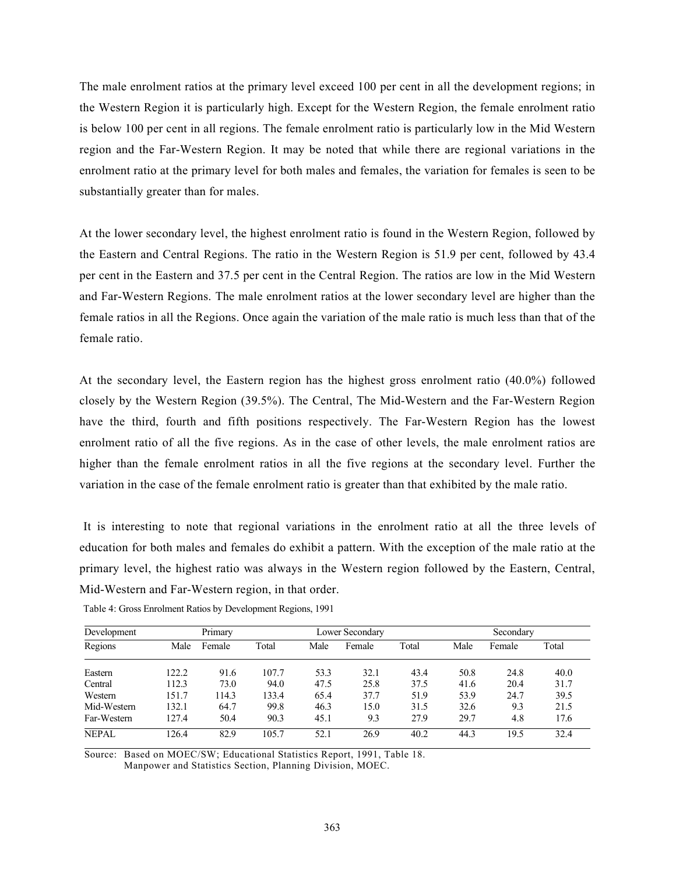The male enrolment ratios at the primary level exceed 100 per cent in all the development regions; in the Western Region it is particularly high. Except for the Western Region, the female enrolment ratio is below 100 per cent in all regions. The female enrolment ratio is particularly low in the Mid Western region and the Far-Western Region. It may be noted that while there are regional variations in the enrolment ratio at the primary level for both males and females, the variation for females is seen to be substantially greater than for males.

At the lower secondary level, the highest enrolment ratio is found in the Western Region, followed by the Eastern and Central Regions. The ratio in the Western Region is 51.9 per cent, followed by 43.4 per cent in the Eastern and 37.5 per cent in the Central Region. The ratios are low in the Mid Western and Far-Western Regions. The male enrolment ratios at the lower secondary level are higher than the female ratios in all the Regions. Once again the variation of the male ratio is much less than that of the female ratio.

At the secondary level, the Eastern region has the highest gross enrolment ratio (40.0%) followed closely by the Western Region (39.5%). The Central, The Mid-Western and the Far-Western Region have the third, fourth and fifth positions respectively. The Far-Western Region has the lowest enrolment ratio of all the five regions. As in the case of other levels, the male enrolment ratios are higher than the female enrolment ratios in all the five regions at the secondary level. Further the variation in the case of the female enrolment ratio is greater than that exhibited by the male ratio.

It is interesting to note that regional variations in the enrolment ratio at all the three levels of education for both males and females do exhibit a pattern. With the exception of the male ratio at the primary level, the highest ratio was always in the Western region followed by the Eastern, Central, Mid-Western and Far-Western region, in that order.

| Development  |       | Primary |       |      | Lower Secondary |       | Secondary |        |       |  |
|--------------|-------|---------|-------|------|-----------------|-------|-----------|--------|-------|--|
| Regions      | Male  | Female  | Total | Male | Female          | Total | Male      | Female | Total |  |
| Eastern      | 122.2 | 91.6    | 107.7 | 53.3 | 32.1            | 43.4  | 50.8      | 24.8   | 40.0  |  |
| Central      | 112.3 | 73.0    | 94.0  | 47.5 | 25.8            | 37.5  | 41.6      | 20.4   | 31.7  |  |
| Western      | 151.7 | 114.3   | 133.4 | 65.4 | 37.7            | 51.9  | 53.9      | 24.7   | 39.5  |  |
| Mid-Western  | 132.1 | 64.7    | 99.8  | 46.3 | 15.0            | 31.5  | 32.6      | 9.3    | 21.5  |  |
| Far-Western  | 127.4 | 50.4    | 90.3  | 45.1 | 9.3             | 27.9  | 29.7      | 4.8    | 17.6  |  |
| <b>NEPAL</b> | 126.4 | 82.9    | 105.7 | 52.1 | 26.9            | 40.2  | 44.3      | 19.5   | 32.4  |  |

Table 4: Gross Enrolment Ratios by Development Regions, 1991

Source: Based on MOEC/SW; Educational Statistics Report, 1991, Table 18. Manpower and Statistics Section, Planning Division, MOEC.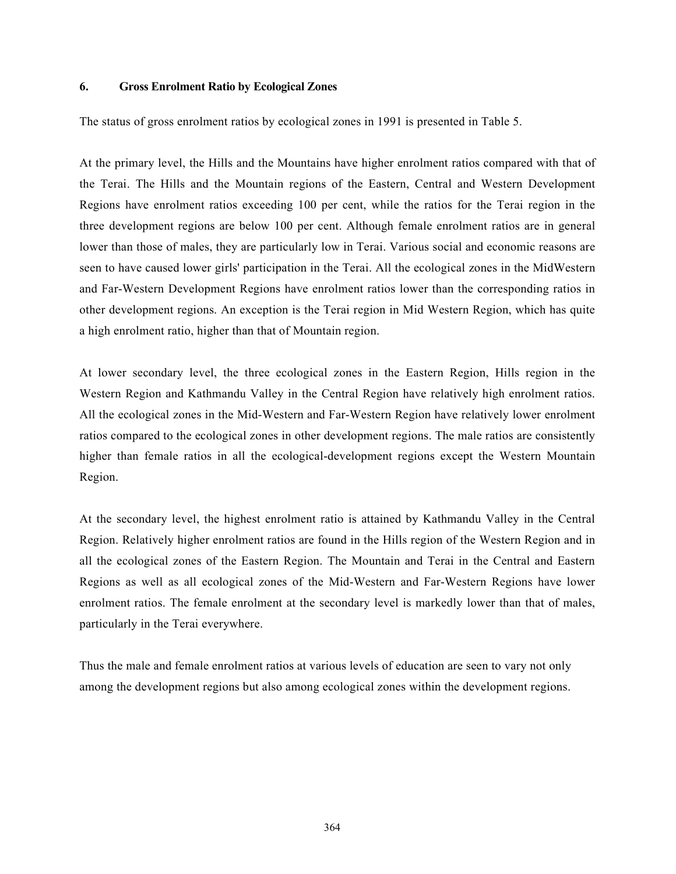#### 6. Gross Enrolment Ratio by Ecological Zones

The status of gross enrolment ratios by ecological zones in 1991 is presented in Table 5.

At the primary level, the Hills and the Mountains have higher enrolment ratios compared with that of the Terai. The Hills and the Mountain regions of the Eastern, Central and Western Development Regions have enrolment ratios exceeding 100 per cent, while the ratios for the Terai region in the three development regions are below 100 per cent. Although female enrolment ratios are in general lower than those of males, they are particularly low in Terai. Various social and economic reasons are seen to have caused lower girls' participation in the Terai. All the ecological zones in the MidWestern and Far-Western Development Regions have enrolment ratios lower than the corresponding ratios in other development regions. An exception is the Terai region in Mid Western Region, which has quite a high enrolment ratio, higher than that of Mountain region.

At lower secondary level, the three ecological zones in the Eastern Region, Hills region in the Western Region and Kathmandu Valley in the Central Region have relatively high enrolment ratios. All the ecological zones in the Mid-Western and Far-Western Region have relatively lower enrolment ratios compared to the ecological zones in other development regions. The male ratios are consistently higher than female ratios in all the ecological-development regions except the Western Mountain Region.

At the secondary level, the highest enrolment ratio is attained by Kathmandu Valley in the Central Region. Relatively higher enrolment ratios are found in the Hills region of the Western Region and in all the ecological zones of the Eastern Region. The Mountain and Terai in the Central and Eastern Regions as well as all ecological zones of the Mid-Western and Far-Western Regions have lower enrolment ratios. The female enrolment at the secondary level is markedly lower than that of males, particularly in the Terai everywhere.

Thus the male and female enrolment ratios at various levels of education are seen to vary not only among the development regions but also among ecological zones within the development regions.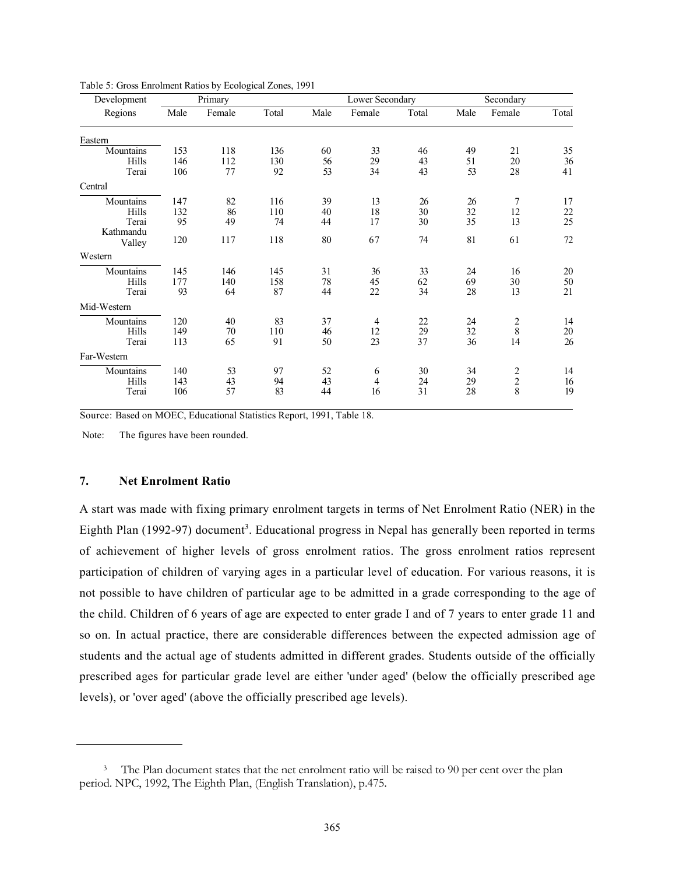| Total | Male                                                                               | Female         |               |                            |                                  |                                                                         |
|-------|------------------------------------------------------------------------------------|----------------|---------------|----------------------------|----------------------------------|-------------------------------------------------------------------------|
|       |                                                                                    |                | Total         | Male                       | Female                           | Total                                                                   |
|       |                                                                                    |                |               |                            |                                  |                                                                         |
|       | 60                                                                                 | 33             | 46            | 49                         | 21                               | 35                                                                      |
|       | 56                                                                                 | 29             | 43            | 51                         | 20                               | 36                                                                      |
|       | 53                                                                                 | 34             | 43            | 53                         | 28                               | 41                                                                      |
|       |                                                                                    |                |               |                            |                                  |                                                                         |
|       | 39                                                                                 | 13             | 26            | 26                         | 7                                | 17                                                                      |
|       | 40                                                                                 |                |               |                            |                                  |                                                                         |
| 74    | 44                                                                                 | 17             | 30            | 35                         | 13                               | $rac{22}{25}$                                                           |
|       |                                                                                    |                |               |                            |                                  |                                                                         |
|       |                                                                                    |                |               |                            |                                  | 72                                                                      |
|       |                                                                                    |                |               |                            |                                  |                                                                         |
|       | 31                                                                                 | 36             | 33            | 24                         | 16                               | 20                                                                      |
|       |                                                                                    | 45             |               | 69                         | 30                               | 50                                                                      |
|       | 44                                                                                 | 22             | 34            | 28                         | 13                               | 21                                                                      |
|       |                                                                                    |                |               |                            |                                  |                                                                         |
| 83    | 37                                                                                 | $\overline{4}$ | 22            |                            |                                  | 14                                                                      |
|       | 46                                                                                 | 12             |               |                            |                                  | $20\,$                                                                  |
|       | 50                                                                                 | 23             | 37            | 36                         | 14                               | 26                                                                      |
|       |                                                                                    |                |               |                            |                                  |                                                                         |
|       |                                                                                    |                | 30            |                            |                                  | 14                                                                      |
|       | 43                                                                                 | 4              |               |                            |                                  | 16                                                                      |
| 83    | 44                                                                                 | 16             | 31            | 28                         |                                  | 19                                                                      |
|       | 136<br>130<br>92<br>116<br>110<br>118<br>145<br>158<br>87<br>110<br>91<br>97<br>94 | 80<br>78<br>52 | 18<br>67<br>6 | 30<br>74<br>62<br>29<br>24 | 32<br>81<br>24<br>32<br>34<br>29 | 12<br>61<br>$\frac{2}{8}$<br>$\begin{array}{c} 2 \\ 2 \\ 8 \end{array}$ |

Table 5: Gross Enrolment Ratios by Ecological Zones, 1991

Source: Based on MOEC, Educational Statistics Report, 1991, Table 18.

Note: The figures have been rounded.

## 7. Net Enrolment Ratio

A start was made with fixing primary enrolment targets in terms of Net Enrolment Ratio (NER) in the Eighth Plan (1992-97) document<sup>3</sup>. Educational progress in Nepal has generally been reported in terms of achievement of higher levels of gross enrolment ratios. The gross enrolment ratios represent participation of children of varying ages in a particular level of education. For various reasons, it is not possible to have children of particular age to be admitted in a grade corresponding to the age of the child. Children of 6 years of age are expected to enter grade I and of 7 years to enter grade 11 and so on. In actual practice, there are considerable differences between the expected admission age of students and the actual age of students admitted in different grades. Students outside of the officially prescribed ages for particular grade level are either 'under aged' (below the officially prescribed age levels), or 'over aged' (above the officially prescribed age levels).

<sup>&</sup>lt;sup>3</sup> The Plan document states that the net enrolment ratio will be raised to 90 per cent over the plan period. NPC, 1992, The Eighth Plan, (English Translation), p.475.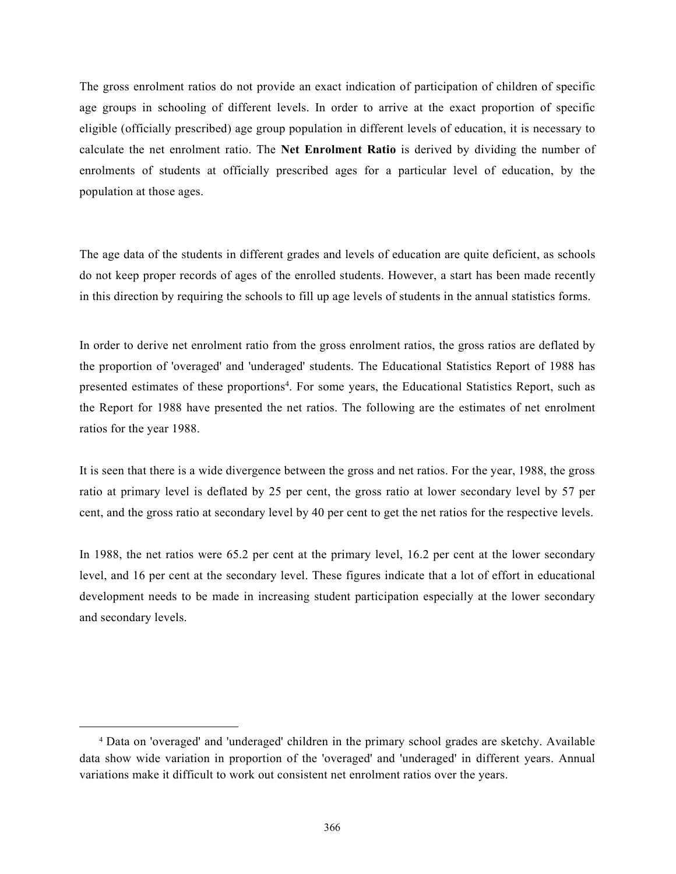The gross enrolment ratios do not provide an exact indication of participation of children of specific age groups in schooling of different levels. In order to arrive at the exact proportion of specific eligible (officially prescribed) age group population in different levels of education, it is necessary to calculate the net enrolment ratio. The Net Enrolment Ratio is derived by dividing the number of enrolments of students at officially prescribed ages for a particular level of education, by the population at those ages.

The age data of the students in different grades and levels of education are quite deficient, as schools do not keep proper records of ages of the enrolled students. However, a start has been made recently in this direction by requiring the schools to fill up age levels of students in the annual statistics forms.

In order to derive net enrolment ratio from the gross enrolment ratios, the gross ratios are deflated by the proportion of 'overaged' and 'underaged' students. The Educational Statistics Report of 1988 has presented estimates of these proportions<sup>4</sup>. For some years, the Educational Statistics Report, such as the Report for 1988 have presented the net ratios. The following are the estimates of net enrolment ratios for the year 1988.

It is seen that there is a wide divergence between the gross and net ratios. For the year, 1988, the gross ratio at primary level is deflated by 25 per cent, the gross ratio at lower secondary level by 57 per cent, and the gross ratio at secondary level by 40 per cent to get the net ratios for the respective levels.

In 1988, the net ratios were 65.2 per cent at the primary level, 16.2 per cent at the lower secondary level, and 16 per cent at the secondary level. These figures indicate that a lot of effort in educational development needs to be made in increasing student participation especially at the lower secondary and secondary levels.

<sup>4</sup> Data on 'overaged' and 'underaged' children in the primary school grades are sketchy. Available data show wide variation in proportion of the 'overaged' and 'underaged' in different years. Annual variations make it difficult to work out consistent net enrolment ratios over the years.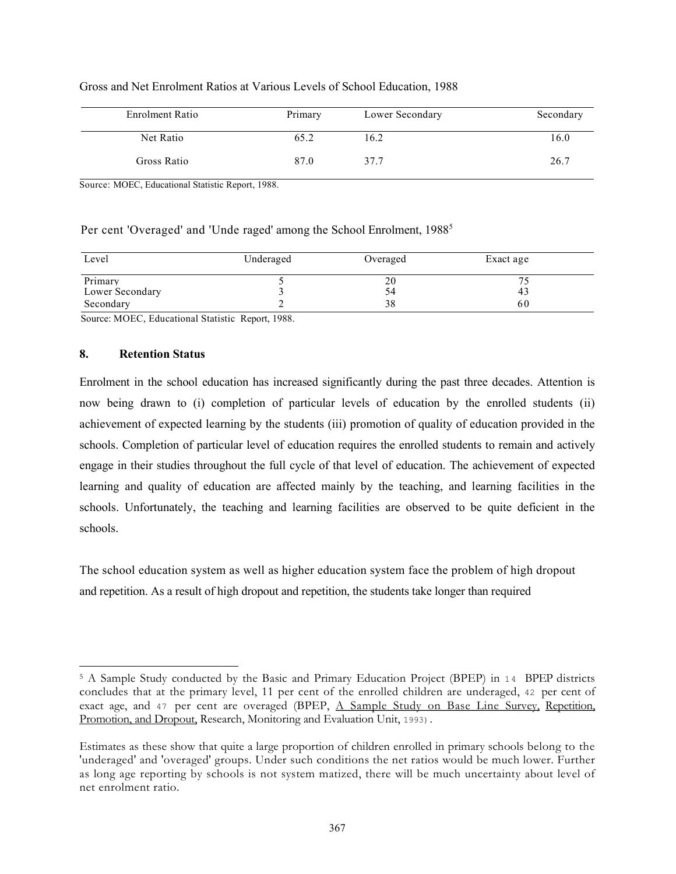| Enrolment Ratio | Primary | Lower Secondary | Secondary |
|-----------------|---------|-----------------|-----------|
| Net Ratio       | 65.2    | 16.2            | 16.0      |
| Gross Ratio     | 87.0    | 37.7            | 26.7      |

## Gross and Net Enrolment Ratios at Various Levels of School Education, 1988

Source: MOEC, Educational Statistic Report, 1988.

# Per cent 'Overaged' and 'Unde raged' among the School Enrolment, 1988<sup>5</sup>

| Level           | Underaged | Overaged | Exact age |
|-----------------|-----------|----------|-----------|
| Primary         |           | 20       |           |
| Lower Secondary |           | 54       | 43        |
| Secondary       |           | 38       | 60        |

Source: MOEC, Educational Statistic Report, 1988.

# 8. Retention Status

Enrolment in the school education has increased significantly during the past three decades. Attention is now being drawn to (i) completion of particular levels of education by the enrolled students (ii) achievement of expected learning by the students (iii) promotion of quality of education provided in the schools. Completion of particular level of education requires the enrolled students to remain and actively engage in their studies throughout the full cycle of that level of education. The achievement of expected learning and quality of education are affected mainly by the teaching, and learning facilities in the schools. Unfortunately, the teaching and learning facilities are observed to be quite deficient in the schools.

The school education system as well as higher education system face the problem of high dropout and repetition. As a result of high dropout and repetition, the students take longer than required

<sup>&</sup>lt;sup>5</sup> A Sample Study conducted by the Basic and Primary Education Project (BPEP) in 14 BPEP districts concludes that at the primary level, 11 per cent of the enrolled children are underaged, 42 per cent of exact age, and 47 per cent are overaged (BPEP, A Sample Study on Base Line Survey, Repetition, Promotion, and Dropout, Research, Monitoring and Evaluation Unit, 1993).

Estimates as these show that quite a large proportion of children enrolled in primary schools belong to the 'underaged' and 'overaged' groups. Under such conditions the net ratios would be much lower. Further as long age reporting by schools is not system matized, there will be much uncertainty about level of net enrolment ratio.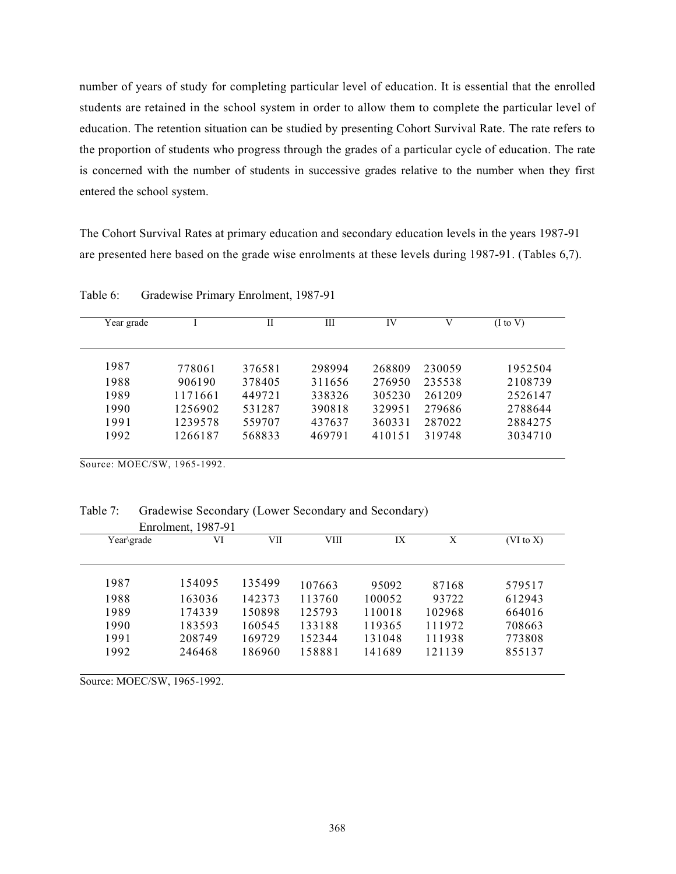number of years of study for completing particular level of education. It is essential that the enrolled students are retained in the school system in order to allow them to complete the particular level of education. The retention situation can be studied by presenting Cohort Survival Rate. The rate refers to the proportion of students who progress through the grades of a particular cycle of education. The rate is concerned with the number of students in successive grades relative to the number when they first entered the school system.

The Cohort Survival Rates at primary education and secondary education levels in the years 1987-91 are presented here based on the grade wise enrolments at these levels during 1987-91. (Tables 6,7).

| Year grade |         | H      | Ш      | IV     | V      | $(I \text{ to } V)$ |
|------------|---------|--------|--------|--------|--------|---------------------|
| 1987       | 778061  | 376581 | 298994 | 268809 | 230059 | 1952504             |
| 1988       | 906190  | 378405 | 311656 | 276950 | 235538 | 2108739             |
| 1989       | 1171661 | 449721 | 338326 | 305230 | 261209 | 2526147             |
| 1990       | 1256902 | 531287 | 390818 | 329951 | 279686 | 2788644             |
| 1991       | 1239578 | 559707 | 437637 | 360331 | 287022 | 2884275             |
| 1992       | 1266187 | 568833 | 469791 | 410151 | 319748 | 3034710             |

Table 6: Gradewise Primary Enrolment, 1987-91

Source: MOEC/SW, 1965-1992.

Table 7: Gradewise Secondary (Lower Secondary and Secondary)

|            | Enrolment, 1987-91 |        |        |        |        |                      |
|------------|--------------------|--------|--------|--------|--------|----------------------|
| Year\grade | VI                 | VII    | VIII   | IX     | X      | $(VI \text{ to } X)$ |
| 1987       | 154095             | 135499 | 107663 | 95092  | 87168  | 579517               |
| 1988       | 163036             | 142373 | 113760 | 100052 | 93722  | 612943               |
| 1989       | 174339             | 150898 | 125793 | 110018 | 102968 | 664016               |
| 1990       | 183593             | 160545 | 133188 | 119365 | 111972 | 708663               |
| 1991       | 208749             | 169729 | 152344 | 131048 | 111938 | 773808               |
| 1992       | 246468             | 186960 | 158881 | 141689 | 121139 | 855137               |

Source: MOEC/SW, 1965-1992.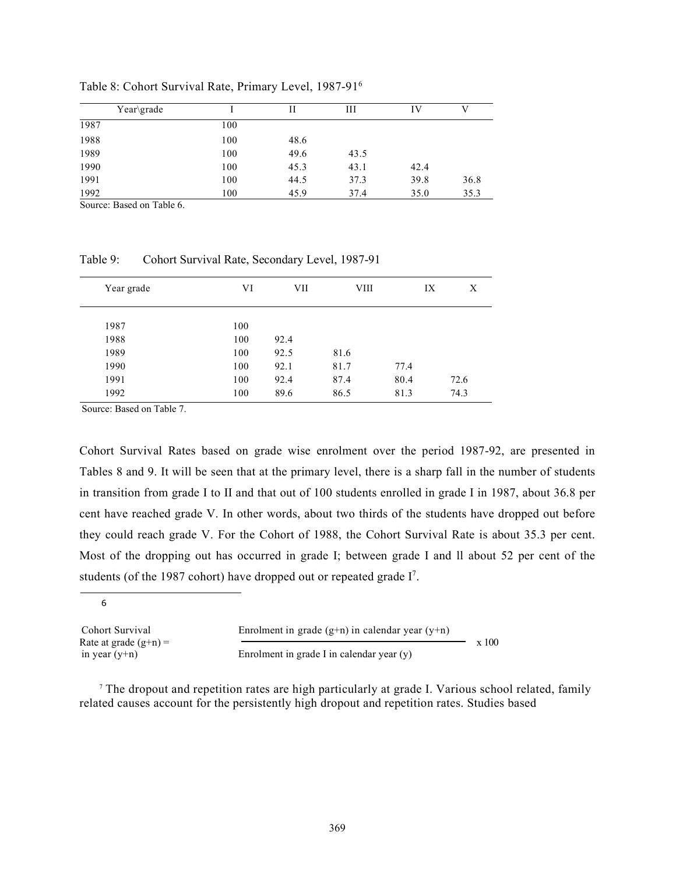| Year\grade |     | Н    | Ш    | IV   | V    |
|------------|-----|------|------|------|------|
| 1987       | 100 |      |      |      |      |
| 1988       | 100 | 48.6 |      |      |      |
| 1989       | 100 | 49.6 | 43.5 |      |      |
| 1990       | 100 | 45.3 | 43.1 | 42.4 |      |
| 1991       | 100 | 44.5 | 37.3 | 39.8 | 36.8 |
| 1992       | 100 | 45.9 | 37.4 | 35.0 | 35.3 |

Table 8: Cohort Survival Rate, Primary Level, 1987-91<sup>6</sup>

Source: Based on Table 6.

Table 9: Cohort Survival Rate, Secondary Level, 1987-91

| Year grade | VI  | VII  | VIII | IX   | X    |
|------------|-----|------|------|------|------|
| 1987       | 100 |      |      |      |      |
| 1988       | 100 | 92.4 |      |      |      |
| 1989       | 100 | 92.5 | 81.6 |      |      |
| 1990       | 100 | 92.1 | 81.7 | 77.4 |      |
| 1991       | 100 | 92.4 | 87.4 | 80.4 | 72.6 |
| 1992       | 100 | 89.6 | 86.5 | 81.3 | 74.3 |

Source: Based on Table 7.

Cohort Survival Rates based on grade wise enrolment over the period 1987-92, are presented in Tables 8 and 9. It will be seen that at the primary level, there is a sharp fall in the number of students in transition from grade I to II and that out of 100 students enrolled in grade I in 1987, about 36.8 per cent have reached grade V. In other words, about two thirds of the students have dropped out before they could reach grade V. For the Cohort of 1988, the Cohort Survival Rate is about 35.3 per cent. Most of the dropping out has occurred in grade I; between grade I and ll about 52 per cent of the students (of the 1987 cohort) have dropped out or repeated grade  $I^7$ .

6

Rate at grade  $(g+n)$  =  $\qquad \qquad \longrightarrow \qquad \qquad \longrightarrow \qquad \qquad x \quad 100$ 

Cohort Survival Enrolment in grade (g+n) in calendar year (y+n)

in year (y+n) Enrolment in grade I in calendar year (y)

<sup>7</sup> The dropout and repetition rates are high particularly at grade I. Various school related, family related causes account for the persistently high dropout and repetition rates. Studies based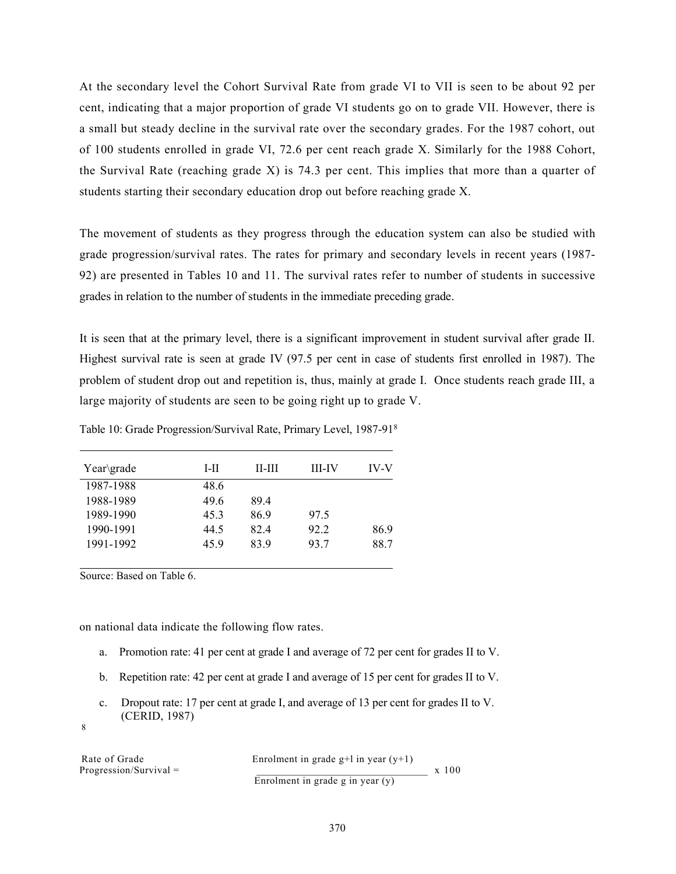At the secondary level the Cohort Survival Rate from grade VI to VII is seen to be about 92 per cent, indicating that a major proportion of grade VI students go on to grade VII. However, there is a small but steady decline in the survival rate over the secondary grades. For the 1987 cohort, out of 100 students enrolled in grade VI, 72.6 per cent reach grade X. Similarly for the 1988 Cohort, the Survival Rate (reaching grade X) is 74.3 per cent. This implies that more than a quarter of students starting their secondary education drop out before reaching grade X.

The movement of students as they progress through the education system can also be studied with grade progression/survival rates. The rates for primary and secondary levels in recent years (1987- 92) are presented in Tables 10 and 11. The survival rates refer to number of students in successive grades in relation to the number of students in the immediate preceding grade.

It is seen that at the primary level, there is a significant improvement in student survival after grade II. Highest survival rate is seen at grade IV (97.5 per cent in case of students first enrolled in 1987). The problem of student drop out and repetition is, thus, mainly at grade I. Once students reach grade III, a large majority of students are seen to be going right up to grade V.

| Year\grade | L-II | н-ш  | <b>III-IV</b> | <b>IV-V</b> |
|------------|------|------|---------------|-------------|
| 1987-1988  | 48.6 |      |               |             |
| 1988-1989  | 49.6 | 89.4 |               |             |
| 1989-1990  | 45.3 | 86.9 | 97.5          |             |
| 1990-1991  | 44.5 | 82.4 | 92.2          | 86.9        |
| 1991-1992  | 45.9 | 83.9 | 93.7          | 88.7        |

Table 10: Grade Progression/Survival Rate, Primary Level, 1987-91<sup>8</sup>

Source: Based on Table 6.

on national data indicate the following flow rates.

- a. Promotion rate: 41 per cent at grade I and average of 72 per cent for grades II to V.
- b. Repetition rate: 42 per cent at grade I and average of 15 per cent for grades II to V.
- c. Dropout rate: 17 per cent at grade I, and average of 13 per cent for grades II to V. (CERID, 1987)

8

Progression/Survival  $=$ 

Rate of Grade  $\frac{1}{2}$  Enrolment in grade g+l in year (y+1)  $\frac{1}{2}$  x 100 Enrolment in grade g in year  $(y)$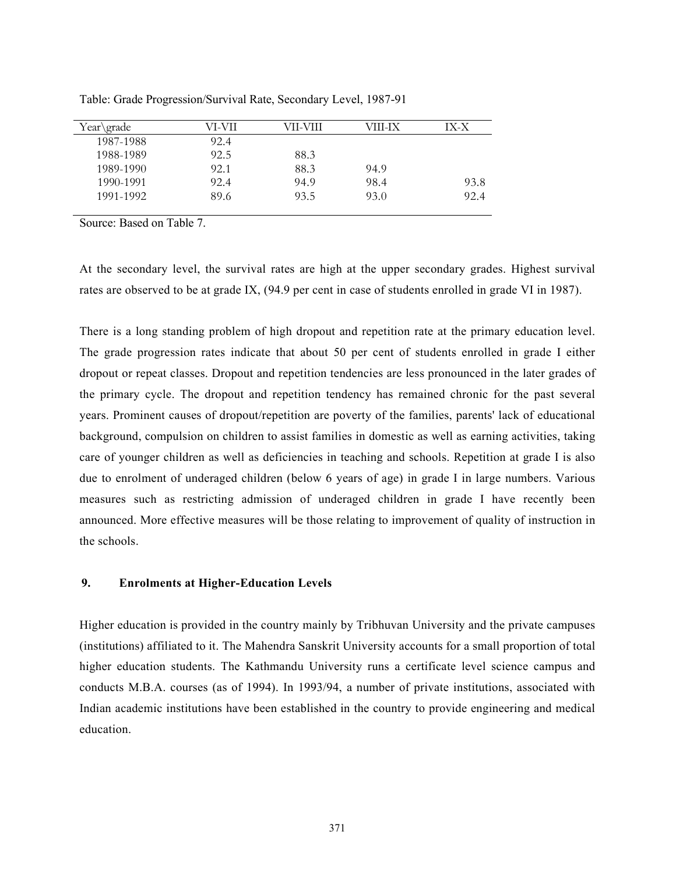| Year\grade | VI-VII | VII-VIII | VIII-IX | IX-X |
|------------|--------|----------|---------|------|
| 1987-1988  | 92.4   |          |         |      |
| 1988-1989  | 92.5   | 88.3     |         |      |
| 1989-1990  | 92.1   | 88.3     | 94.9    |      |
| 1990-1991  | 92.4   | 94.9     | 98.4    | 93.8 |
| 1991-1992  | 89.6   | 93.5     | 93.0    | 92.4 |

Table: Grade Progression/Survival Rate, Secondary Level, 1987-91

Source: Based on Table 7.

At the secondary level, the survival rates are high at the upper secondary grades. Highest survival rates are observed to be at grade IX, (94.9 per cent in case of students enrolled in grade VI in 1987).

There is a long standing problem of high dropout and repetition rate at the primary education level. The grade progression rates indicate that about 50 per cent of students enrolled in grade I either dropout or repeat classes. Dropout and repetition tendencies are less pronounced in the later grades of the primary cycle. The dropout and repetition tendency has remained chronic for the past several years. Prominent causes of dropout/repetition are poverty of the families, parents' lack of educational background, compulsion on children to assist families in domestic as well as earning activities, taking care of younger children as well as deficiencies in teaching and schools. Repetition at grade I is also due to enrolment of underaged children (below 6 years of age) in grade I in large numbers. Various measures such as restricting admission of underaged children in grade I have recently been announced. More effective measures will be those relating to improvement of quality of instruction in the schools.

# 9. Enrolments at Higher-Education Levels

Higher education is provided in the country mainly by Tribhuvan University and the private campuses (institutions) affiliated to it. The Mahendra Sanskrit University accounts for a small proportion of total higher education students. The Kathmandu University runs a certificate level science campus and conducts M.B.A. courses (as of 1994). In 1993/94, a number of private institutions, associated with Indian academic institutions have been established in the country to provide engineering and medical education.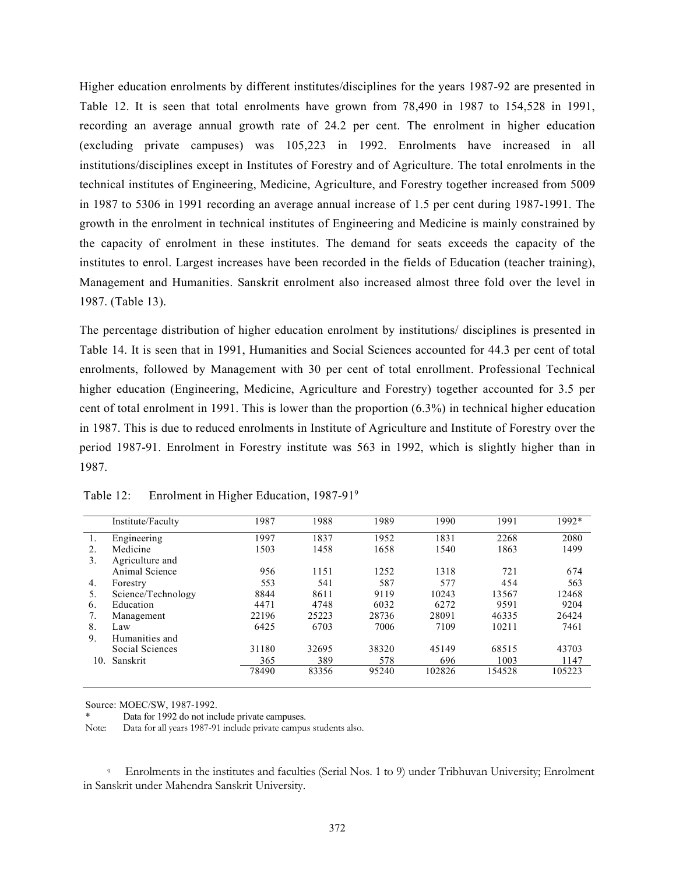Higher education enrolments by different institutes/disciplines for the years 1987-92 are presented in Table 12. It is seen that total enrolments have grown from 78,490 in 1987 to 154,528 in 1991, recording an average annual growth rate of 24.2 per cent. The enrolment in higher education (excluding private campuses) was 105,223 in 1992. Enrolments have increased in all institutions/disciplines except in Institutes of Forestry and of Agriculture. The total enrolments in the technical institutes of Engineering, Medicine, Agriculture, and Forestry together increased from 5009 in 1987 to 5306 in 1991 recording an average annual increase of 1.5 per cent during 1987-1991. The growth in the enrolment in technical institutes of Engineering and Medicine is mainly constrained by the capacity of enrolment in these institutes. The demand for seats exceeds the capacity of the institutes to enrol. Largest increases have been recorded in the fields of Education (teacher training), Management and Humanities. Sanskrit enrolment also increased almost three fold over the level in 1987. (Table 13).

The percentage distribution of higher education enrolment by institutions/ disciplines is presented in Table 14. It is seen that in 1991, Humanities and Social Sciences accounted for 44.3 per cent of total enrolments, followed by Management with 30 per cent of total enrollment. Professional Technical higher education (Engineering, Medicine, Agriculture and Forestry) together accounted for 3.5 per cent of total enrolment in 1991. This is lower than the proportion (6.3%) in technical higher education in 1987. This is due to reduced enrolments in Institute of Agriculture and Institute of Forestry over the period 1987-91. Enrolment in Forestry institute was 563 in 1992, which is slightly higher than in 1987.

|     | Institute/Faculty  | 1987  | 1988  | 1989  | 1990   | 1991   | 1992*  |
|-----|--------------------|-------|-------|-------|--------|--------|--------|
| 1.  | Engineering        | 1997  | 1837  | 1952  | 1831   | 2268   | 2080   |
| 2.  | Medicine           | 1503  | 1458  | 1658  | 1540   | 1863   | 1499   |
| 3.  | Agriculture and    |       |       |       |        |        |        |
|     | Animal Science     | 956   | 1151  | 1252  | 1318   | 721    | 674    |
| 4.  | Forestry           | 553   | 541   | 587   | 577    | 454    | 563    |
| 5.  | Science/Technology | 8844  | 8611  | 9119  | 10243  | 13567  | 12468  |
| 6.  | Education          | 4471  | 4748  | 6032  | 6272   | 9591   | 9204   |
| 7.  | Management         | 22196 | 25223 | 28736 | 28091  | 46335  | 26424  |
| 8.  | Law                | 6425  | 6703  | 7006  | 7109   | 10211  | 7461   |
| 9.  | Humanities and     |       |       |       |        |        |        |
|     | Social Sciences    | 31180 | 32695 | 38320 | 45149  | 68515  | 43703  |
| 10. | Sanskrit           | 365   | 389   | 578   | 696    | 1003   | 1147   |
|     |                    | 78490 | 83356 | 95240 | 102826 | 154528 | 105223 |

Table 12: Enrolment in Higher Education, 1987-91<sup>9</sup>

Source: MOEC/SW, 1987-1992.

Data for 1992 do not include private campuses.

Note: Data for all years 1987-91 include private campus students also.

<sup>9</sup>Enrolments in the institutes and faculties (Serial Nos. 1 to 9) under Tribhuvan University; Enrolment in Sanskrit under Mahendra Sanskrit University.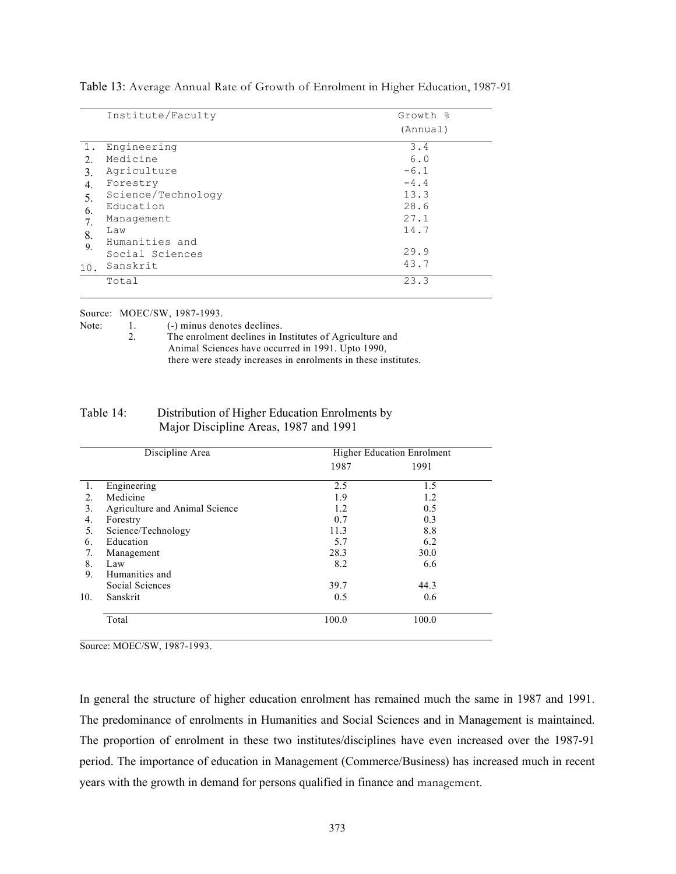|     | Institute/Faculty  | Growth % |
|-----|--------------------|----------|
|     |                    | (Annual) |
| 1.  | Engineering        | 3.4      |
| 2.  | Medicine           | 6.0      |
| 3.  | Agriculture        | $-6.1$   |
| 4.  | Forestry           | $-4.4$   |
| 5.  | Science/Technology | 13.3     |
| 6.  | Education          | 28.6     |
| 7.  | Management         | 27.1     |
| 8.  | Law                | 14.7     |
| 9.  | Humanities and     |          |
|     | Social Sciences    | 29.9     |
| 10. | Sanskrit           | 43.7     |
|     | Total              | 23.3     |

Table 13: Average Annual Rate of Growth of Enrolment in Higher Education, 1987-91

Source: MOEC/SW, 1987-1993.

Note: 1. (-) minus denotes declines.

| The enrolment declines in Institutes of Agriculture and        |
|----------------------------------------------------------------|
| Animal Sciences have occurred in 1991. Upto 1990,              |
| there were steady increases in enrolments in these institutes. |

# Table 14: Distribution of Higher Education Enrolments by Major Discipline Areas, 1987 and 1991

| Discipline Area |                                |       | <b>Higher Education Enrolment</b> |
|-----------------|--------------------------------|-------|-----------------------------------|
|                 |                                | 1987  | 1991                              |
| 1.              | Engineering                    | 2.5   | 1.5                               |
| 2.              | Medicine                       | 1.9   | 1.2                               |
| 3.              | Agriculture and Animal Science | 1.2   | 0.5                               |
| 4.              | Forestry                       | 0.7   | 0.3                               |
| 5.              | Science/Technology             | 11.3  | 8.8                               |
| 6.              | Education                      | 5.7   | 6.2                               |
| 7.              | Management                     | 28.3  | 30.0                              |
| 8.              | Law                            | 8.2   | 6.6                               |
| 9.              | Humanities and                 |       |                                   |
|                 | Social Sciences                | 39.7  | 44.3                              |
| 10.             | Sanskrit                       | 0.5   | 0.6                               |
|                 | Total                          | 100.0 | 100.0                             |

Source: MOEC/SW, 1987-1993.

In general the structure of higher education enrolment has remained much the same in 1987 and 1991. The predominance of enrolments in Humanities and Social Sciences and in Management is maintained. The proportion of enrolment in these two institutes/disciplines have even increased over the 1987-91 period. The importance of education in Management (Commerce/Business) has increased much in recent years with the growth in demand for persons qualified in finance and management.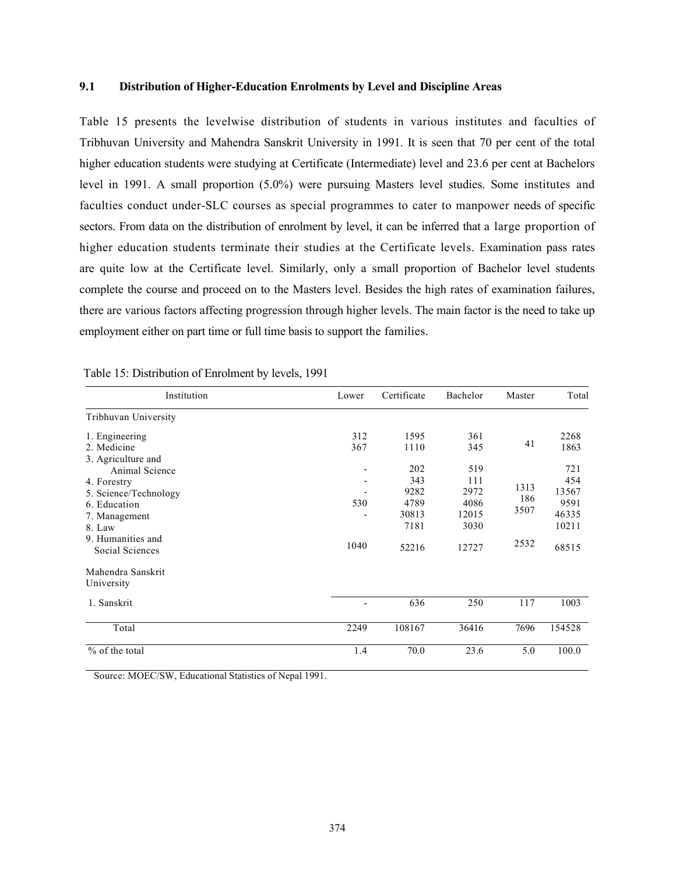## 9.1 Distribution of Higher-Education Enrolments by Level and Discipline Areas

Table 15 presents the levelwise distribution of students in various institutes and faculties of Tribhuvan University and Mahendra Sanskrit University in 1991. It is seen that 70 per cent of the total higher education students were studying at Certificate (Intermediate) level and 23.6 per cent at Bachelors level in 1991. A small proportion (5.0%) were pursuing Masters level studies. Some institutes and faculties conduct under-SLC courses as special programmes to cater to manpower needs of specific sectors. From data on the distribution of enrolment by level, it can be inferred that a large proportion of higher education students terminate their studies at the Certificate levels. Examination pass rates are quite low at the Certificate level. Similarly, only a small proportion of Bachelor level students complete the course and proceed on to the Masters level. Besides the high rates of examination failures, there are various factors affecting progression through higher levels. The main factor is the need to take up employment either on part time or full time basis to support the families.

| Institution                                                                                                                                                     | Lower       | Certificate                                          | Bachelor                                             | Master                      | Total                                                  |
|-----------------------------------------------------------------------------------------------------------------------------------------------------------------|-------------|------------------------------------------------------|------------------------------------------------------|-----------------------------|--------------------------------------------------------|
| Tribhuvan University                                                                                                                                            |             |                                                      |                                                      |                             |                                                        |
| 1. Engineering<br>2. Medicine                                                                                                                                   | 312<br>367  | 1595<br>1110                                         | 361<br>345                                           | 41                          | 2268<br>1863                                           |
| 3. Agriculture and<br>Animal Science<br>4. Forestry<br>5. Science/Technology<br>6. Education<br>7. Management<br>8. Law<br>9. Humanities and<br>Social Sciences | 530<br>1040 | 202<br>343<br>9282<br>4789<br>30813<br>7181<br>52216 | 519<br>111<br>2972<br>4086<br>12015<br>3030<br>12727 | 1313<br>186<br>3507<br>2532 | 721<br>454<br>13567<br>9591<br>46335<br>10211<br>68515 |
| Mahendra Sanskrit<br>University                                                                                                                                 |             |                                                      |                                                      |                             |                                                        |
| 1. Sanskrit                                                                                                                                                     |             | 636                                                  | 250                                                  | 117                         | 1003                                                   |
| Total                                                                                                                                                           | 2249        | 108167                                               | 36416                                                | 7696                        | 154528                                                 |
| % of the total                                                                                                                                                  | 1.4         | 70.0                                                 | 23.6                                                 | 5.0                         | 100.0                                                  |

## Table 15: Distribution of Enrolment by levels, 1991

Source: MOEC/SW, Educational Statistics of Nepal 1991.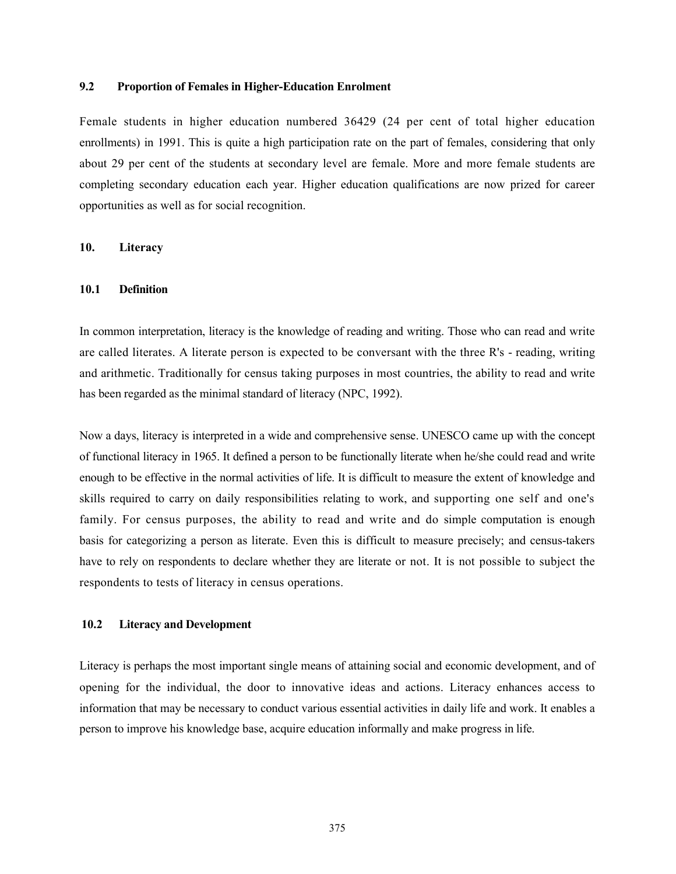## 9.2 Proportion of Females in Higher-Education Enrolment

Female students in higher education numbered 36429 (24 per cent of total higher education enrollments) in 1991. This is quite a high participation rate on the part of females, considering that only about 29 per cent of the students at secondary level are female. More and more female students are completing secondary education each year. Higher education qualifications are now prized for career opportunities as well as for social recognition.

## 10. Literacy

## 10.1 Definition

In common interpretation, literacy is the knowledge of reading and writing. Those who can read and write are called literates. A literate person is expected to be conversant with the three R's - reading, writing and arithmetic. Traditionally for census taking purposes in most countries, the ability to read and write has been regarded as the minimal standard of literacy (NPC, 1992).

Now a days, literacy is interpreted in a wide and comprehensive sense. UNESCO came up with the concept of functional literacy in 1965. It defined a person to be functionally literate when he/she could read and write enough to be effective in the normal activities of life. It is difficult to measure the extent of knowledge and skills required to carry on daily responsibilities relating to work, and supporting one self and one's family. For census purposes, the ability to read and write and do simple computation is enough basis for categorizing a person as literate. Even this is difficult to measure precisely; and census-takers have to rely on respondents to declare whether they are literate or not. It is not possible to subject the respondents to tests of literacy in census operations.

## 10.2 Literacy and Development

Literacy is perhaps the most important single means of attaining social and economic development, and of opening for the individual, the door to innovative ideas and actions. Literacy enhances access to information that may be necessary to conduct various essential activities in daily life and work. It enables a person to improve his knowledge base, acquire education informally and make progress in life.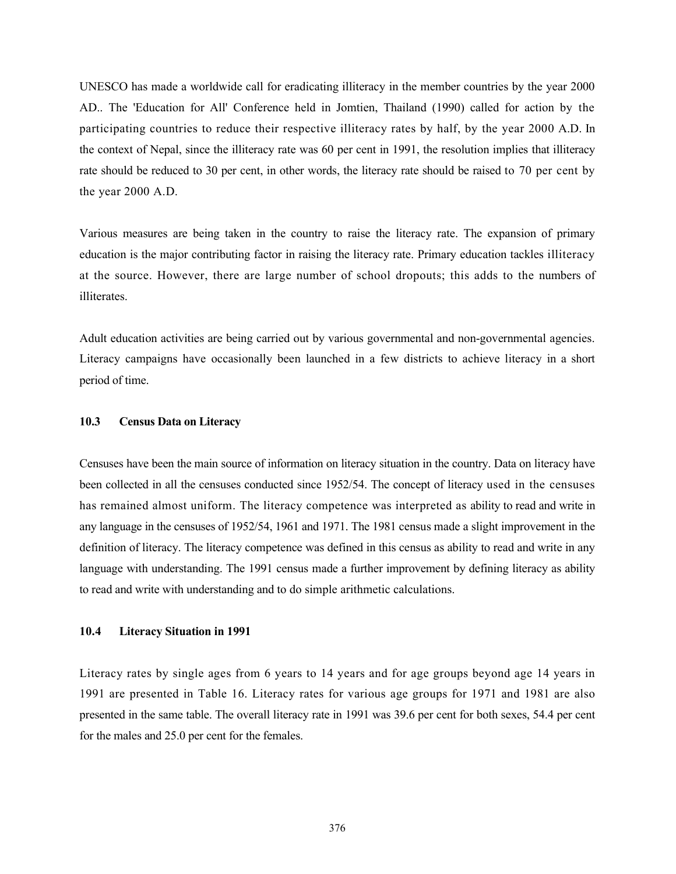UNESCO has made a worldwide call for eradicating illiteracy in the member countries by the year 2000 AD.. The 'Education for All' Conference held in Jomtien, Thailand (1990) called for action by the participating countries to reduce their respective illiteracy rates by half, by the year 2000 A.D. In the context of Nepal, since the illiteracy rate was 60 per cent in 1991, the resolution implies that illiteracy rate should be reduced to 30 per cent, in other words, the literacy rate should be raised to 70 per cent by the year 2000 A.D.

Various measures are being taken in the country to raise the literacy rate. The expansion of primary education is the major contributing factor in raising the literacy rate. Primary education tackles illiteracy at the source. However, there are large number of school dropouts; this adds to the numbers of illiterates.

Adult education activities are being carried out by various governmental and non-governmental agencies. Literacy campaigns have occasionally been launched in a few districts to achieve literacy in a short period of time.

## 10.3 Census Data on Literacy

Censuses have been the main source of information on literacy situation in the country. Data on literacy have been collected in all the censuses conducted since 1952/54. The concept of literacy used in the censuses has remained almost uniform. The literacy competence was interpreted as ability to read and write in any language in the censuses of 1952/54, 1961 and 1971. The 1981 census made a slight improvement in the definition of literacy. The literacy competence was defined in this census as ability to read and write in any language with understanding. The 1991 census made a further improvement by defining literacy as ability to read and write with understanding and to do simple arithmetic calculations.

#### 10.4 Literacy Situation in 1991

Literacy rates by single ages from 6 years to 14 years and for age groups beyond age 14 years in 1991 are presented in Table 16. Literacy rates for various age groups for 1971 and 1981 are also presented in the same table. The overall literacy rate in 1991 was 39.6 per cent for both sexes, 54.4 per cent for the males and 25.0 per cent for the females.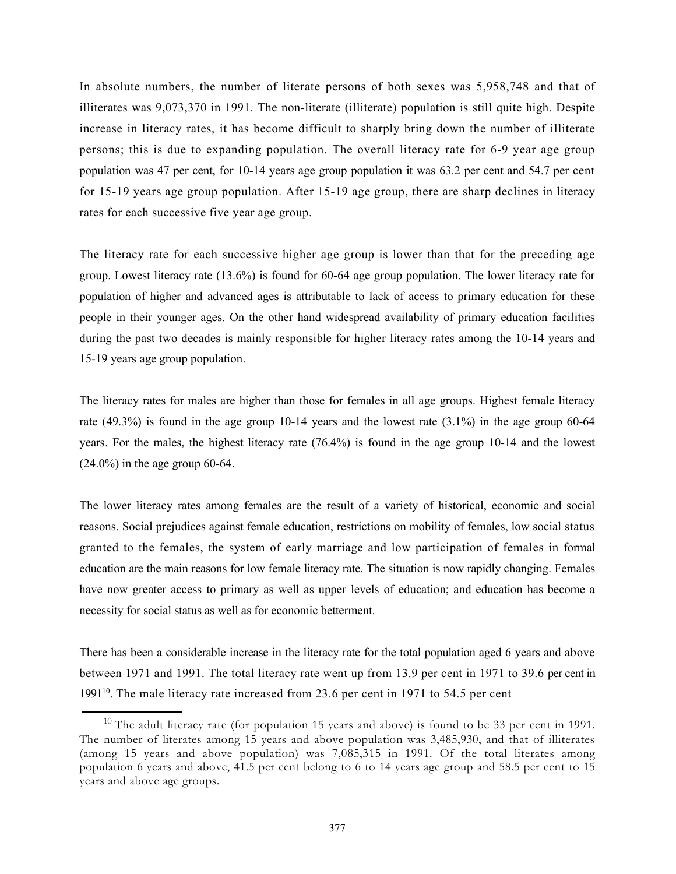In absolute numbers, the number of literate persons of both sexes was 5,958,748 and that of illiterates was 9,073,370 in 1991. The non-literate (illiterate) population is still quite high. Despite increase in literacy rates, it has become difficult to sharply bring down the number of illiterate persons; this is due to expanding population. The overall literacy rate for 6-9 year age group population was 47 per cent, for 10-14 years age group population it was 63.2 per cent and 54.7 per cent for 15-19 years age group population. After 15-19 age group, there are sharp declines in literacy rates for each successive five year age group.

The literacy rate for each successive higher age group is lower than that for the preceding age group. Lowest literacy rate (13.6%) is found for 60-64 age group population. The lower literacy rate for population of higher and advanced ages is attributable to lack of access to primary education for these people in their younger ages. On the other hand widespread availability of primary education facilities during the past two decades is mainly responsible for higher literacy rates among the 10-14 years and 15-19 years age group population.

The literacy rates for males are higher than those for females in all age groups. Highest female literacy rate (49.3%) is found in the age group 10-14 years and the lowest rate (3.1%) in the age group 60-64 years. For the males, the highest literacy rate (76.4%) is found in the age group 10-14 and the lowest (24.0%) in the age group 60-64.

The lower literacy rates among females are the result of a variety of historical, economic and social reasons. Social prejudices against female education, restrictions on mobility of females, low social status granted to the females, the system of early marriage and low participation of females in formal education are the main reasons for low female literacy rate. The situation is now rapidly changing. Females have now greater access to primary as well as upper levels of education; and education has become a necessity for social status as well as for economic betterment.

There has been a considerable increase in the literacy rate for the total population aged 6 years and above between 1971 and 1991. The total literacy rate went up from 13.9 per cent in 1971 to 39.6 per cent in 1991<sup>10</sup>. The male literacy rate increased from 23.6 per cent in 1971 to 54.5 per cent

<sup>&</sup>lt;sup>10</sup> The adult literacy rate (for population 15 years and above) is found to be 33 per cent in 1991. The number of literates among 15 years and above population was 3,485,930, and that of illiterates (among 15 years and above population) was 7,085,315 in 1991. Of the total literates among population 6 years and above, 41.5 per cent belong to 6 to 14 years age group and 58.5 per cent to 15 years and above age groups.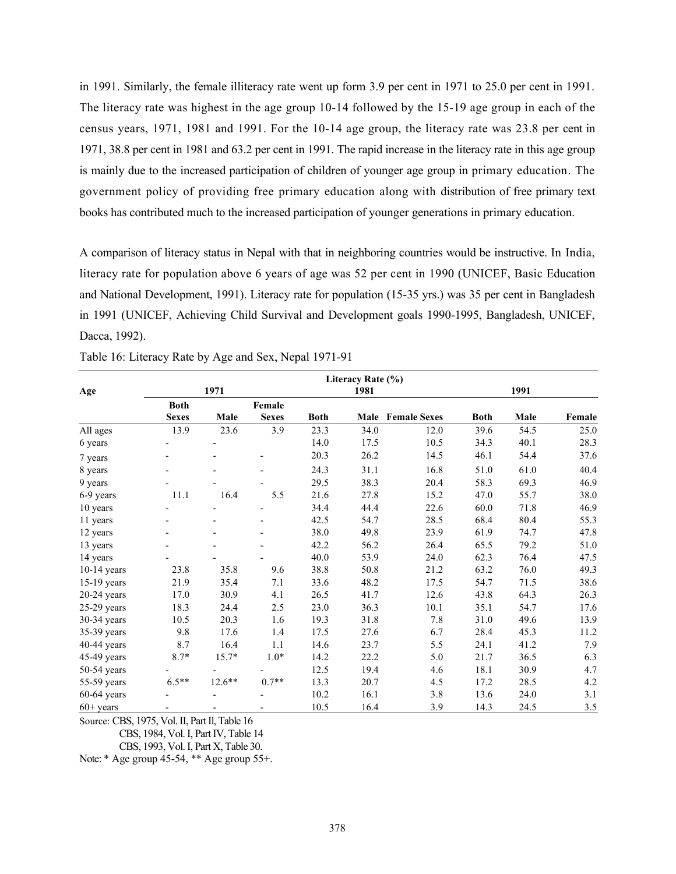in 1991. Similarly, the female illiteracy rate went up form 3.9 per cent in 1971 to 25.0 per cent in 1991. The literacy rate was highest in the age group 10-14 followed by the 15-19 age group in each of the census years, 1971, 1981 and 1991. For the 10-14 age group, the literacy rate was 23.8 per cent in 1971, 38.8 per cent in 1981 and 63.2 per cent in 1991. The rapid increase in the literacy rate in this age group is mainly due to the increased participation of children of younger age group in primary education. The government policy of providing free primary education along with distribution of free primary text books has contributed much to the increased participation of younger generations in primary education.

A comparison of literacy status in Nepal with that in neighboring countries would be instructive. In India, literacy rate for population above 6 years of age was 52 per cent in 1990 (UNICEF, Basic Education and National Development, 1991). Literacy rate for population (15-35 yrs.) was 35 per cent in Bangladesh in 1991 (UNICEF, Achieving Child Survival and Development goals 1990-1995, Bangladesh, UNICEF, Dacca, 1992).

|               | 1971                     |                          |              |             |      | Literacy Rate (%)<br>1981 |             |      | 1991   |  |  |
|---------------|--------------------------|--------------------------|--------------|-------------|------|---------------------------|-------------|------|--------|--|--|
| Age           |                          |                          |              |             |      |                           |             |      |        |  |  |
|               | <b>Both</b>              |                          | Female       |             |      |                           |             |      |        |  |  |
|               | <b>Sexes</b>             | Male                     | <b>Sexes</b> | <b>Both</b> |      | <b>Male</b> Female Sexes  | <b>Both</b> | Male | Female |  |  |
| All ages      | 13.9                     | 23.6                     | 3.9          | 23.3        | 34.0 | 12.0                      | 39.6        | 54.5 | 25.0   |  |  |
| 6 years       |                          |                          |              | 14.0        | 17.5 | 10.5                      | 34.3        | 40.1 | 28.3   |  |  |
| 7 years       | $\overline{\phantom{a}}$ | -                        | -            | 20.3        | 26.2 | 14.5                      | 46.1        | 54.4 | 37.6   |  |  |
| 8 years       |                          |                          |              | 24.3        | 31.1 | 16.8                      | 51.0        | 61.0 | 40.4   |  |  |
| 9 years       |                          |                          |              | 29.5        | 38.3 | 20.4                      | 58.3        | 69.3 | 46.9   |  |  |
| 6-9 years     | 11.1                     | 16.4                     | 5.5          | 21.6        | 27.8 | 15.2                      | 47.0        | 55.7 | 38.0   |  |  |
| 10 years      |                          |                          |              | 34.4        | 44.4 | 22.6                      | 60.0        | 71.8 | 46.9   |  |  |
| 11 years      |                          | $\overline{\phantom{0}}$ |              | 42.5        | 54.7 | 28.5                      | 68.4        | 80.4 | 55.3   |  |  |
| 12 years      | $\overline{\phantom{a}}$ |                          |              | 38.0        | 49.8 | 23.9                      | 61.9        | 74.7 | 47.8   |  |  |
| 13 years      |                          |                          |              | 42.2        | 56.2 | 26.4                      | 65.5        | 79.2 | 51.0   |  |  |
| 14 years      |                          |                          |              | 40.0        | 53.9 | 24.0                      | 62.3        | 76.4 | 47.5   |  |  |
| $10-14$ years | 23.8                     | 35.8                     | 9.6          | 38.8        | 50.8 | 21.2                      | 63.2        | 76.0 | 49.3   |  |  |
| 15-19 years   | 21.9                     | 35.4                     | 7.1          | 33.6        | 48.2 | 17.5                      | 54.7        | 71.5 | 38.6   |  |  |
| $20-24$ years | 17.0                     | 30.9                     | 4.1          | 26.5        | 41.7 | 12.6                      | 43.8        | 64.3 | 26.3   |  |  |
| $25-29$ years | 18.3                     | 24.4                     | 2.5          | 23.0        | 36.3 | 10.1                      | 35.1        | 54.7 | 17.6   |  |  |
| 30-34 years   | 10.5                     | 20.3                     | 1.6          | 19.3        | 31.8 | 7.8                       | 31.0        | 49.6 | 13.9   |  |  |
| 35-39 years   | 9.8                      | 17.6                     | 1.4          | 17.5        | 27.6 | 6.7                       | 28.4        | 45.3 | 11.2   |  |  |
| 40-44 years   | 8.7                      | 16.4                     | 1.1          | 14.6        | 23.7 | 5.5                       | 24.1        | 41.2 | 7.9    |  |  |
| 45-49 years   | $8.7*$                   | $15.7*$                  | $1.0*$       | 14.2        | 22.2 | 5.0                       | 21.7        | 36.5 | 6.3    |  |  |
| 50-54 years   |                          |                          |              | 12.5        | 19.4 | 4.6                       | 18.1        | 30.9 | 4.7    |  |  |
| 55-59 years   | $6.5**$                  | $12.6***$                | $0.7**$      | 13.3        | 20.7 | 4.5                       | 17.2        | 28.5 | 4.2    |  |  |
| $60-64$ years |                          |                          |              | 10.2        | 16.1 | 3.8                       | 13.6        | 24.0 | 3.1    |  |  |
| $60+$ years   | $\overline{\phantom{0}}$ |                          |              | 10.5        | 16.4 | 3.9                       | 14.3        | 24.5 | 3.5    |  |  |

|  | Table 16: Literacy Rate by Age and Sex, Nepal 1971-91 |  |  |  |  |  |
|--|-------------------------------------------------------|--|--|--|--|--|
|  |                                                       |  |  |  |  |  |

Source: CBS, 1975, Vol. II, Part Il, Table 16

CBS, 1984, Vol. I, Part IV, Table 14

CBS, 1993, Vol. I, Part X, Table 30.

Note: \* Age group 45-54, \*\* Age group 55+.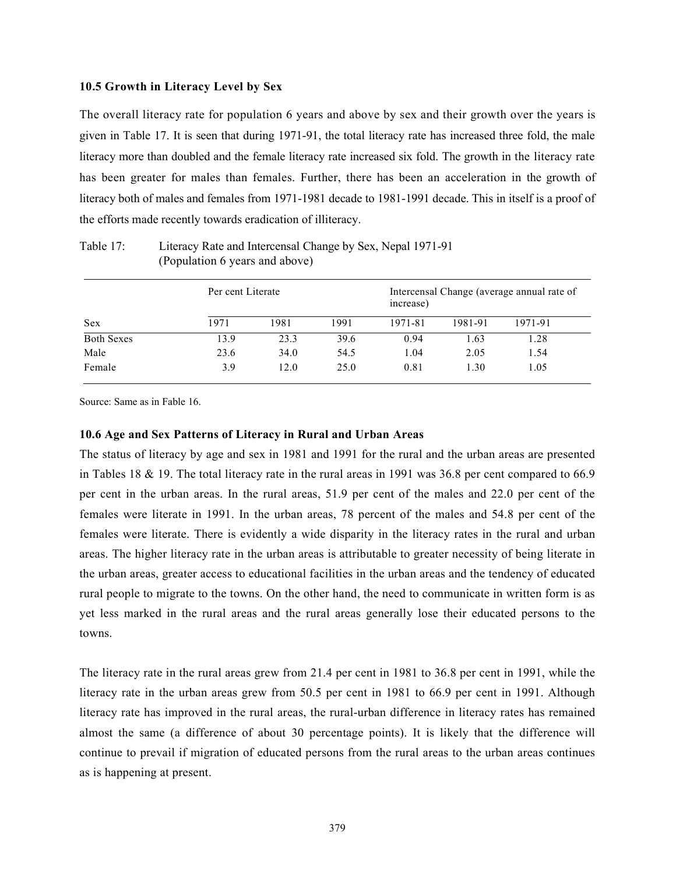## 10.5 Growth in Literacy Level by Sex

The overall literacy rate for population 6 years and above by sex and their growth over the years is given in Table 17. It is seen that during 1971-91, the total literacy rate has increased three fold, the male literacy more than doubled and the female literacy rate increased six fold. The growth in the literacy rate has been greater for males than females. Further, there has been an acceleration in the growth of literacy both of males and females from 1971-1981 decade to 1981-1991 decade. This in itself is a proof of the efforts made recently towards eradication of illiteracy.

|                   | Per cent Literate |      |      | increase) | Intercensal Change (average annual rate of |         |
|-------------------|-------------------|------|------|-----------|--------------------------------------------|---------|
| Sex               | 1971              | 1981 | 1991 | 1971-81   | 1981-91                                    | 1971-91 |
| <b>Both Sexes</b> | 13.9              | 23.3 | 39.6 | 0.94      | 1.63                                       | 1.28    |
| Male              | 23.6              | 34.0 | 54.5 | 1.04      | 2.05                                       | 1.54    |
| Female            | 3.9               | 12.0 | 25.0 | 0.81      | 1.30                                       | 1.05    |

Table 17: Literacy Rate and Intercensal Change by Sex, Nepal 1971-91 (Population 6 years and above)

Source: Same as in Fable 16.

## 10.6 Age and Sex Patterns of Literacy in Rural and Urban Areas

The status of literacy by age and sex in 1981 and 1991 for the rural and the urban areas are presented in Tables 18 & 19. The total literacy rate in the rural areas in 1991 was 36.8 per cent compared to 66.9 per cent in the urban areas. In the rural areas, 51.9 per cent of the males and 22.0 per cent of the females were literate in 1991. In the urban areas, 78 percent of the males and 54.8 per cent of the females were literate. There is evidently a wide disparity in the literacy rates in the rural and urban areas. The higher literacy rate in the urban areas is attributable to greater necessity of being literate in the urban areas, greater access to educational facilities in the urban areas and the tendency of educated rural people to migrate to the towns. On the other hand, the need to communicate in written form is as yet less marked in the rural areas and the rural areas generally lose their educated persons to the towns.

The literacy rate in the rural areas grew from 21.4 per cent in 1981 to 36.8 per cent in 1991, while the literacy rate in the urban areas grew from 50.5 per cent in 1981 to 66.9 per cent in 1991. Although literacy rate has improved in the rural areas, the rural-urban difference in literacy rates has remained almost the same (a difference of about 30 percentage points). It is likely that the difference will continue to prevail if migration of educated persons from the rural areas to the urban areas continues as is happening at present.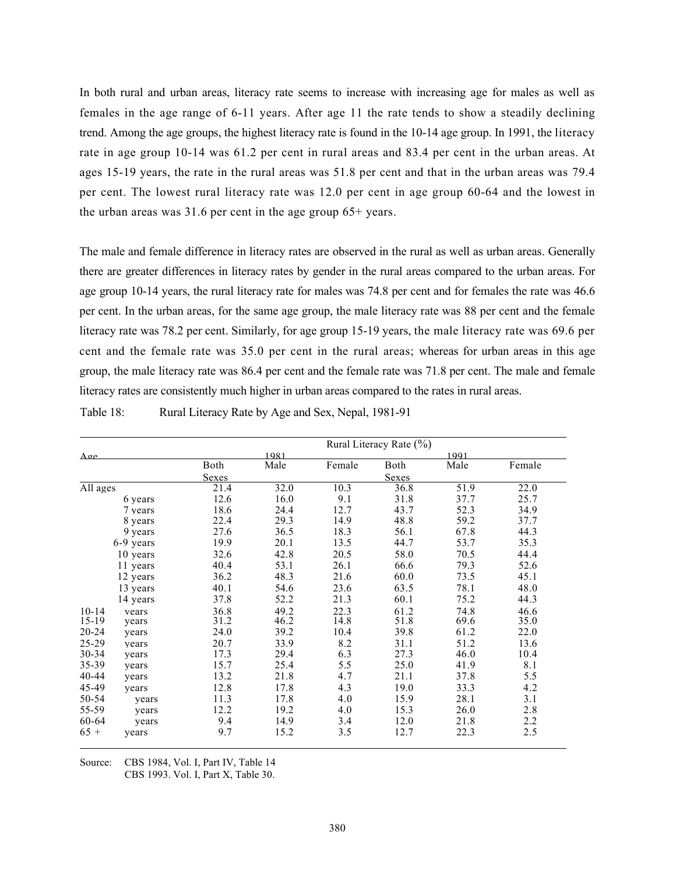In both rural and urban areas, literacy rate seems to increase with increasing age for males as well as females in the age range of 6-11 years. After age 11 the rate tends to show a steadily declining trend. Among the age groups, the highest literacy rate is found in the 10-14 age group. In 1991, the literacy rate in age group 10-14 was 61.2 per cent in rural areas and 83.4 per cent in the urban areas. At ages 15-19 years, the rate in the rural areas was 51.8 per cent and that in the urban areas was 79.4 per cent. The lowest rural literacy rate was 12.0 per cent in age group 60-64 and the lowest in the urban areas was 31.6 per cent in the age group 65+ years.

The male and female difference in literacy rates are observed in the rural as well as urban areas. Generally there are greater differences in literacy rates by gender in the rural areas compared to the urban areas. For age group 10-14 years, the rural literacy rate for males was 74.8 per cent and for females the rate was 46.6 per cent. In the urban areas, for the same age group, the male literacy rate was 88 per cent and the female literacy rate was 78.2 per cent. Similarly, for age group 15-19 years, the male literacy rate was 69.6 per cent and the female rate was 35.0 per cent in the rural areas; whereas for urban areas in this age group, the male literacy rate was 86.4 per cent and the female rate was 71.8 per cent. The male and female literacy rates are consistently much higher in urban areas compared to the rates in rural areas.

| Table 18:<br>Rural Literacy Rate by Age and Sex, Nepal, 1981-91 |  |
|-----------------------------------------------------------------|--|
|-----------------------------------------------------------------|--|

|              |           |       |      |        | Rural Literacy Rate (%) |      |        |
|--------------|-----------|-------|------|--------|-------------------------|------|--------|
| $A \sigma e$ |           |       | 1981 |        |                         | 1991 |        |
|              |           | Both  | Male | Female | Both                    | Male | Female |
|              |           | Sexes |      |        | Sexes                   |      |        |
| All ages     |           | 21.4  | 32.0 | 10.3   | 36.8                    | 51.9 | 22.0   |
|              | 6 years   | 12.6  | 16.0 | 9.1    | 31.8                    | 37.7 | 25.7   |
|              | 7 years   | 18.6  | 24.4 | 12.7   | 43.7                    | 52.3 | 34.9   |
|              | 8 years   | 22.4  | 29.3 | 14.9   | 48.8                    | 59.2 | 37.7   |
|              | 9 years   | 27.6  | 36.5 | 18.3   | 56.1                    | 67.8 | 44.3   |
|              | 6-9 years | 19.9  | 20.1 | 13.5   | 44.7                    | 53.7 | 35.3   |
|              | 10 years  | 32.6  | 42.8 | 20.5   | 58.0                    | 70.5 | 44.4   |
|              | 11 years  | 40.4  | 53.1 | 26.1   | 66.6                    | 79.3 | 52.6   |
|              | 12 years  | 36.2  | 48.3 | 21.6   | 60.0                    | 73.5 | 45.1   |
|              | 13 years  | 40.1  | 54.6 | 23.6   | 63.5                    | 78.1 | 48.0   |
|              | 14 years  | 37.8  | 52.2 | 21.3   | 60.1                    | 75.2 | 44.3   |
| $10-14$      | vears     | 36.8  | 49.2 | 22.3   | 61.2                    | 74.8 | 46.6   |
| $15-19$      | years     | 31.2  | 46.2 | 14.8   | 51.8                    | 69.6 | 35.0   |
| $20 - 24$    | years     | 24.0  | 39.2 | 10.4   | 39.8                    | 61.2 | 22.0   |
| $25 - 29$    | years     | 20.7  | 33.9 | 8.2    | 31.1                    | 51.2 | 13.6   |
| 30-34        | years     | 17.3  | 29.4 | 6.3    | 27.3                    | 46.0 | 10.4   |
| 35-39        | years     | 15.7  | 25.4 | 5.5    | 25.0                    | 41.9 | 8.1    |
| $40 - 44$    | years     | 13.2  | 21.8 | 4.7    | 21.1                    | 37.8 | 5.5    |
| 45-49        | years     | 12.8  | 17.8 | 4.3    | 19.0                    | 33.3 | 4.2    |
| 50-54        | years     | 11.3  | 17.8 | 4.0    | 15.9                    | 28.1 | 3.1    |
| 55-59        | years     | 12.2  | 19.2 | 4.0    | 15.3                    | 26.0 | 2.8    |
| 60-64        | years     | 9.4   | 14.9 | 3.4    | 12.0                    | 21.8 | 2.2    |
| $65 +$       | years     | 9.7   | 15.2 | 3.5    | 12.7                    | 22.3 | 2.5    |

Source: CBS 1984, Vol. I, Part IV, Table 14

CBS 1993. Vol. I, Part X, Table 30.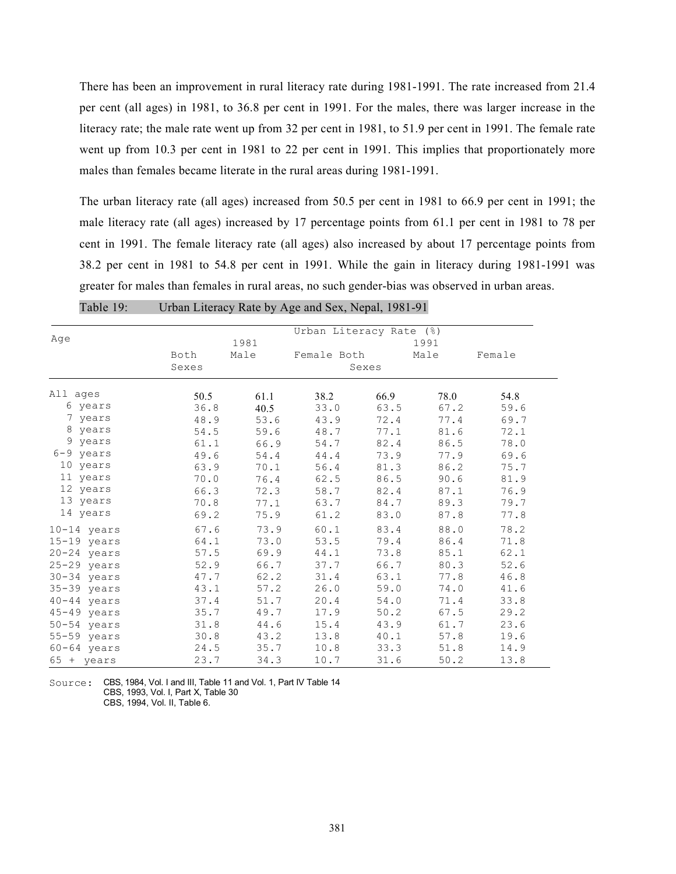There has been an improvement in rural literacy rate during 1981-1991. The rate increased from 21.4 per cent (all ages) in 1981, to 36.8 per cent in 1991. For the males, there was larger increase in the literacy rate; the male rate went up from 32 per cent in 1981, to 51.9 per cent in 1991. The female rate went up from 10.3 per cent in 1981 to 22 per cent in 1991. This implies that proportionately more males than females became literate in the rural areas during 1981-1991.

The urban literacy rate (all ages) increased from 50.5 per cent in 1981 to 66.9 per cent in 1991; the male literacy rate (all ages) increased by 17 percentage points from 61.1 per cent in 1981 to 78 per cent in 1991. The female literacy rate (all ages) also increased by about 17 percentage points from 38.2 per cent in 1981 to 54.8 per cent in 1991. While the gain in literacy during 1981-1991 was greater for males than females in rural areas, no such gender-bias was observed in urban areas.

|                     |       |      | Urban Literacy Rate (%) |       |      |        |  |
|---------------------|-------|------|-------------------------|-------|------|--------|--|
| Age                 |       | 1981 |                         |       | 1991 |        |  |
|                     | Both  | Male | Female Both             |       | Male | Female |  |
|                     | Sexes |      |                         | Sexes |      |        |  |
| All ages            | 50.5  | 61.1 | 38.2                    | 66.9  | 78.0 | 54.8   |  |
| 6 years             | 36.8  | 40.5 | 33.0                    | 63.5  | 67.2 | 59.6   |  |
| 7 years             | 48.9  | 53.6 | 43.9                    | 72.4  | 77.4 | 69.7   |  |
| 8 years             | 54.5  | 59.6 | 48.7                    | 77.1  | 81.6 | 72.1   |  |
| 9 years             | 61.1  | 66.9 | 54.7                    | 82.4  | 86.5 | 78.0   |  |
| 6-9 years           | 49.6  | 54.4 | 44.4                    | 73.9  | 77.9 | 69.6   |  |
| 10 years            | 63.9  | 70.1 | 56.4                    | 81.3  | 86.2 | 75.7   |  |
| 11 years            | 70.0  | 76.4 | 62.5                    | 86.5  | 90.6 | 81.9   |  |
| 12 years            | 66.3  | 72.3 | 58.7                    | 82.4  | 87.1 | 76.9   |  |
| 13 years            | 70.8  | 77.1 | 63.7                    | 84.7  | 89.3 | 79.7   |  |
| 14 years            | 69.2  | 75.9 | 61.2                    | 83.0  | 87.8 | 77.8   |  |
| $10-14$ years       | 67.6  | 73.9 | 60.1                    | 83.4  | 88.0 | 78.2   |  |
| $15-19$ years       | 64.1  | 73.0 | 53.5                    | 79.4  | 86.4 | 71.8   |  |
| 20-24 years         | 57.5  | 69.9 | 44.1                    | 73.8  | 85.1 | 62.1   |  |
| 25-29 years         | 52.9  | 66.7 | 37.7                    | 66.7  | 80.3 | 52.6   |  |
| 30-34 years         | 47.7  | 62.2 | 31.4                    | 63.1  | 77.8 | 46.8   |  |
| 35-39 years         | 43.1  | 57.2 | 26.0                    | 59.0  | 74.0 | 41.6   |  |
| 40-44 years         | 37.4  | 51.7 | 20.4                    | 54.0  | 71.4 | 33.8   |  |
| 45-49 years         | 35.7  | 49.7 | 17.9                    | 50.2  | 67.5 | 29.2   |  |
| 50-54 years         | 31.8  | 44.6 | 15.4                    | 43.9  | 61.7 | 23.6   |  |
| 55-59 years         | 30.8  | 43.2 | 13.8                    | 40.1  | 57.8 | 19.6   |  |
| $60 - 64$ years     | 24.5  | 35.7 | 10.8                    | 33.3  | 51.8 | 14.9   |  |
| $65 + \text{years}$ | 23.7  | 34.3 | 10.7                    | 31.6  | 50.2 | 13.8   |  |

Table 19: Urban Literacy Rate by Age and Sex, Nepal, 1981-91

Source: CBS, 1984, Vol. I and III, Table 11 and Vol. 1, Part IV Table 14 CBS, 1993, Vol. I, Part X, Table 30 CBS, 1994, Vol. II, Table 6.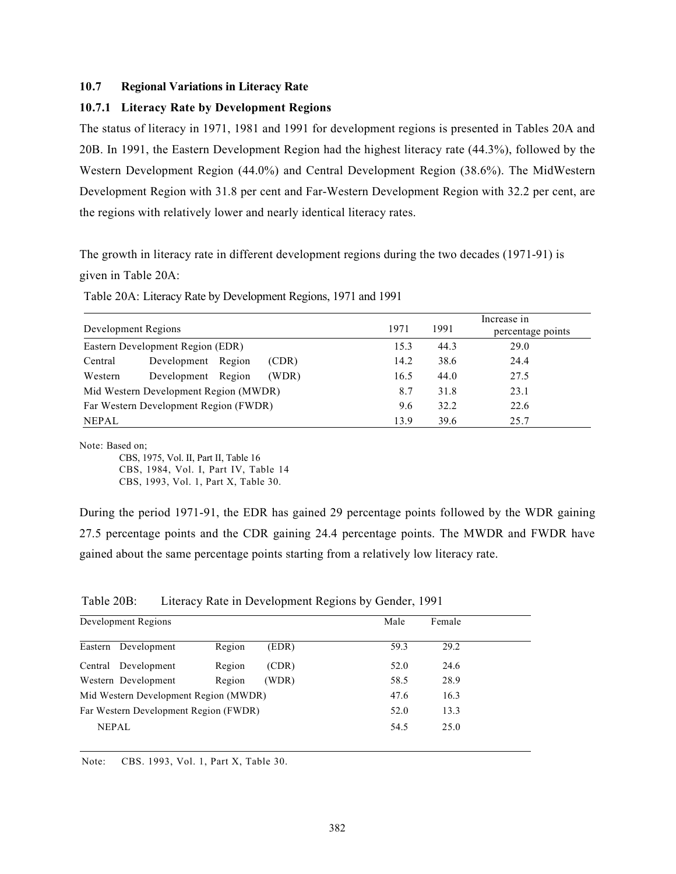# 10.7 Regional Variations in Literacy Rate

# 10.7.1 Literacy Rate by Development Regions

The status of literacy in 1971, 1981 and 1991 for development regions is presented in Tables 20A and 20B. In 1991, the Eastern Development Region had the highest literacy rate (44.3%), followed by the Western Development Region (44.0%) and Central Development Region (38.6%). The MidWestern Development Region with 31.8 per cent and Far-Western Development Region with 32.2 per cent, are the regions with relatively lower and nearly identical literacy rates.

The growth in literacy rate in different development regions during the two decades (1971-91) is given in Table 20A:

Table 20A: Literacy Rate by Development Regions, 1971 and 1991

| Development Regions |                                       | 1971 | 1991 | Increase in<br>percentage points |
|---------------------|---------------------------------------|------|------|----------------------------------|
|                     | Eastern Development Region (EDR)      | 15.3 | 44.3 | 29.0                             |
| Central             | Development Region<br>(CDR)           | 14.2 | 38.6 | 24.4                             |
| Western             | Development Region<br>(WDR)           | 16.5 | 44.0 | 27.5                             |
|                     | Mid Western Development Region (MWDR) | 8.7  | 31.8 | 23.1                             |
|                     | Far Western Development Region (FWDR) | 9.6  | 32.2 | 22.6                             |
| <b>NEPAL</b>        |                                       | 13.9 | 39.6 | 25.7                             |

Note: Based on;

CBS, 1975, Vol. II, Part II, Table 16 CBS, 1984, Vol. I, Part IV, Table 14 CBS, 1993, Vol. 1, Part X, Table 30.

During the period 1971-91, the EDR has gained 29 percentage points followed by the WDR gaining 27.5 percentage points and the CDR gaining 24.4 percentage points. The MWDR and FWDR have gained about the same percentage points starting from a relatively low literacy rate.

Table 20B: Literacy Rate in Development Regions by Gender, 1991

| Development Regions                   |        |       | Male | Female |  |
|---------------------------------------|--------|-------|------|--------|--|
| Eastern Development                   | Region | (EDR) | 59.3 | 29.2   |  |
| Central Development                   | Region | (CDR) | 52.0 | 24.6   |  |
| Western Development                   | Region | (WDR) | 58.5 | 28.9   |  |
| Mid Western Development Region (MWDR) |        |       | 47.6 | 16.3   |  |
| Far Western Development Region (FWDR) |        |       | 52.0 | 13.3   |  |
| <b>NEPAL</b>                          |        |       | 54.5 | 25.0   |  |

Note: CBS. 1993, Vol. 1, Part X, Table 30.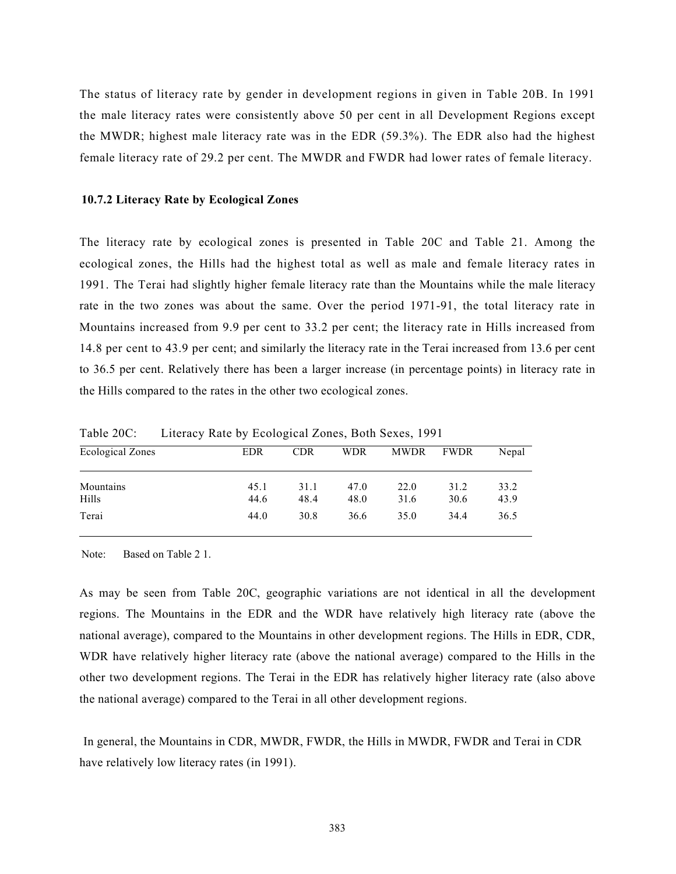The status of literacy rate by gender in development regions in given in Table 20B. In 1991 the male literacy rates were consistently above 50 per cent in all Development Regions except the MWDR; highest male literacy rate was in the EDR (59.3%). The EDR also had the highest female literacy rate of 29.2 per cent. The MWDR and FWDR had lower rates of female literacy.

# 10.7.2 Literacy Rate by Ecological Zones

The literacy rate by ecological zones is presented in Table 20C and Table 21. Among the ecological zones, the Hills had the highest total as well as male and female literacy rates in 1991. The Terai had slightly higher female literacy rate than the Mountains while the male literacy rate in the two zones was about the same. Over the period 1971-91, the total literacy rate in Mountains increased from 9.9 per cent to 33.2 per cent; the literacy rate in Hills increased from 14.8 per cent to 43.9 per cent; and similarly the literacy rate in the Terai increased from 13.6 per cent to 36.5 per cent. Relatively there has been a larger increase (in percentage points) in literacy rate in the Hills compared to the rates in the other two ecological zones.

| <b>Ecological Zones</b> | EDR          | <b>CDR</b>   | <b>WDR</b>   | <b>MWDR</b>  | <b>FWDR</b>  | Nepal        |
|-------------------------|--------------|--------------|--------------|--------------|--------------|--------------|
| Mountains<br>Hills      | 45.1<br>44.6 | 31.1<br>48.4 | 47.0<br>48.0 | 22.0<br>31.6 | 31.2<br>30.6 | 33.2<br>43.9 |
| Terai                   | 44.0         | 30.8         | 36.6         | 35.0         | 34.4         | 36.5         |
|                         |              |              |              |              |              |              |

Table 20C: Literacy Rate by Ecological Zones, Both Sexes, 1991

Note: Based on Table 2 1.

As may be seen from Table 20C, geographic variations are not identical in all the development regions. The Mountains in the EDR and the WDR have relatively high literacy rate (above the national average), compared to the Mountains in other development regions. The Hills in EDR, CDR, WDR have relatively higher literacy rate (above the national average) compared to the Hills in the other two development regions. The Terai in the EDR has relatively higher literacy rate (also above the national average) compared to the Terai in all other development regions.

In general, the Mountains in CDR, MWDR, FWDR, the Hills in MWDR, FWDR and Terai in CDR have relatively low literacy rates (in 1991).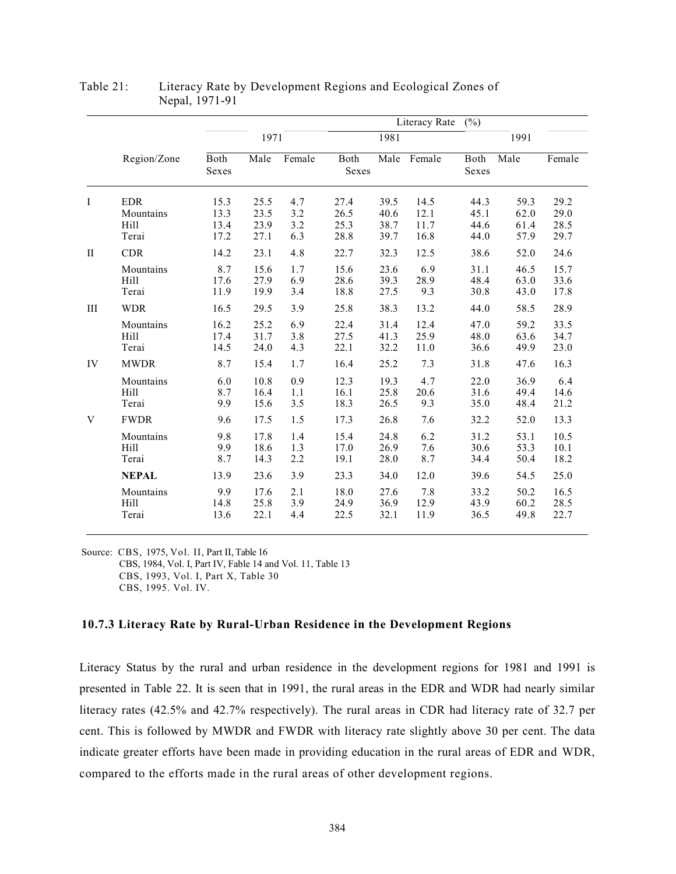|              |              |               |      |        |               |      | Literacy Rate | (%)           |      |        |
|--------------|--------------|---------------|------|--------|---------------|------|---------------|---------------|------|--------|
|              |              |               | 1971 |        |               | 1981 |               |               | 1991 |        |
|              | Region/Zone  | Both<br>Sexes | Male | Female | Both<br>Sexes |      | Male Female   | Both<br>Sexes | Male | Female |
| Ι            | <b>EDR</b>   | 15.3          | 25.5 | 4.7    | 27.4          | 39.5 | 14.5          | 44.3          | 59.3 | 29.2   |
|              | Mountains    | 13.3          | 23.5 | 3.2    | 26.5          | 40.6 | 12.1          | 45.1          | 62.0 | 29.0   |
|              | <b>Hill</b>  | 13.4          | 23.9 | 3.2    | 25.3          | 38.7 | 11.7          | 44.6          | 61.4 | 28.5   |
|              | Terai        | 17.2          | 27.1 | 6.3    | 28.8          | 39.7 | 16.8          | 44.0          | 57.9 | 29.7   |
| $\mathbf{I}$ | <b>CDR</b>   | 14.2          | 23.1 | 4.8    | 22.7          | 32.3 | 12.5          | 38.6          | 52.0 | 24.6   |
|              | Mountains    | 8.7           | 15.6 | 1.7    | 15.6          | 23.6 | 6.9           | 31.1          | 46.5 | 15.7   |
|              | Hill         | 17.6          | 27.9 | 6.9    | 28.6          | 39.3 | 28.9          | 48.4          | 63.0 | 33.6   |
| III          | Terai        | 11.9          | 19.9 | 3.4    | 18.8          | 27.5 | 9.3           | 30.8          | 43.0 | 17.8   |
|              | <b>WDR</b>   | 16.5          | 29.5 | 3.9    | 25.8          | 38.3 | 13.2          | 44.0          | 58.5 | 28.9   |
|              | Mountains    | 16.2          | 25.2 | 6.9    | 22.4          | 31.4 | 12.4          | 47.0          | 59.2 | 33.5   |
|              | <b>Hill</b>  | 17.4          | 31.7 | 3.8    | 27.5          | 41.3 | 25.9          | 48.0          | 63.6 | 34.7   |
|              | Terai        | 14.5          | 24.0 | 4.3    | 22.1          | 32.2 | 11.0          | 36.6          | 49.9 | 23.0   |
| IV           | <b>MWDR</b>  | 8.7           | 15.4 | 1.7    | 16.4          | 25.2 | 7.3           | 31.8          | 47.6 | 16.3   |
|              | Mountains    | 6.0           | 10.8 | 0.9    | 12.3          | 19.3 | 4.7           | 22.0          | 36.9 | 6.4    |
|              | Hill         | 8.7           | 16.4 | 1.1    | 16.1          | 25.8 | 20.6          | 31.6          | 49.4 | 14.6   |
|              | Terai        | 9.9           | 15.6 | 3.5    | 18.3          | 26.5 | 9.3           | 35.0          | 48.4 | 21.2   |
| V            | <b>FWDR</b>  | 9.6           | 17.5 | 1.5    | 17.3          | 26.8 | 7.6           | 32.2          | 52.0 | 13.3   |
|              | Mountains    | 9.8           | 17.8 | 1.4    | 15.4          | 24.8 | 6.2           | 31.2          | 53.1 | 10.5   |
|              | <b>Hill</b>  | 9.9           | 18.6 | 1.3    | 17.0          | 26.9 | 7.6           | 30.6          | 53.3 | 10.1   |
|              | Terai        | 8.7           | 14.3 | 2.2    | 19.1          | 28.0 | 8.7           | 34.4          | 50.4 | 18.2   |
|              | <b>NEPAL</b> | 13.9          | 23.6 | 3.9    | 23.3          | 34.0 | 12.0          | 39.6          | 54.5 | 25.0   |
|              | Mountains    | 9.9           | 17.6 | 2.1    | 18.0          | 27.6 | 7.8           | 33.2          | 50.2 | 16.5   |
|              | Hill         | 14.8          | 25.8 | 3.9    | 24.9          | 36.9 | 12.9          | 43.9          | 60.2 | 28.5   |
|              | Terai        | 13.6          | 22.1 | 4.4    | 22.5          | 32.1 | 11.9          | 36.5          | 49.8 | 22.7   |

Table 21: Literacy Rate by Development Regions and Ecological Zones of Nepal, 1971-91

Source: CBS, 1975, Vol. II, Part II, Table 16 CBS, 1984, Vol. I, Part IV, Fable 14 and Vol. 11, Table 13 CBS, 1993, Vol. I, Part X, Table 30 CBS, 1995. Vol. IV.

## 10.7.3 Literacy Rate by Rural-Urban Residence in the Development Regions

Literacy Status by the rural and urban residence in the development regions for 1981 and 1991 is presented in Table 22. It is seen that in 1991, the rural areas in the EDR and WDR had nearly similar literacy rates (42.5% and 42.7% respectively). The rural areas in CDR had literacy rate of 32.7 per cent. This is followed by MWDR and FWDR with literacy rate slightly above 30 per cent. The data indicate greater efforts have been made in providing education in the rural areas of EDR and WDR, compared to the efforts made in the rural areas of other development regions.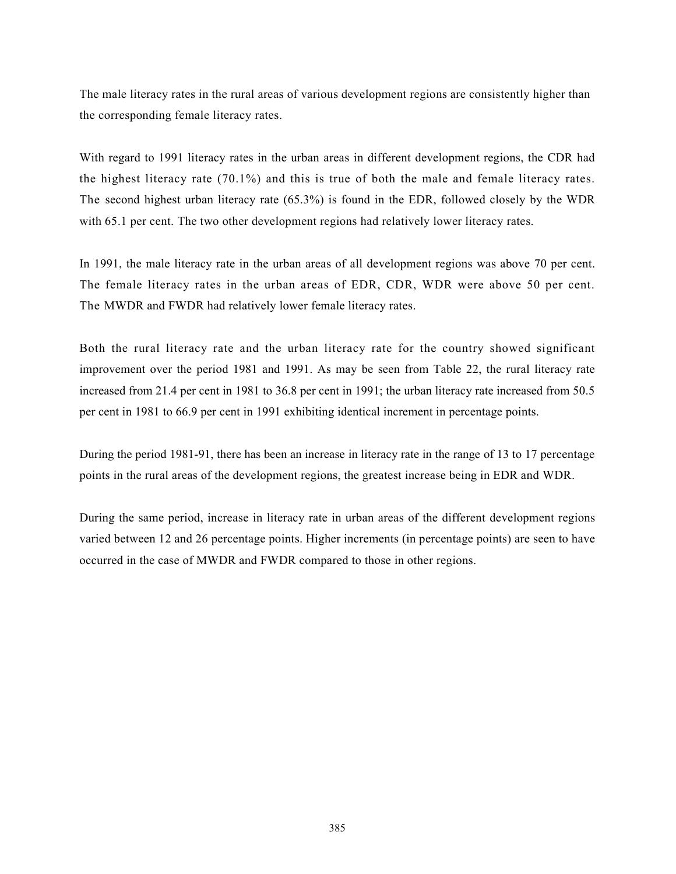The male literacy rates in the rural areas of various development regions are consistently higher than the corresponding female literacy rates.

With regard to 1991 literacy rates in the urban areas in different development regions, the CDR had the highest literacy rate (70.1%) and this is true of both the male and female literacy rates. The second highest urban literacy rate (65.3%) is found in the EDR, followed closely by the WDR with 65.1 per cent. The two other development regions had relatively lower literacy rates.

In 1991, the male literacy rate in the urban areas of all development regions was above 70 per cent. The female literacy rates in the urban areas of EDR, CDR, WDR were above 50 per cent. The MWDR and FWDR had relatively lower female literacy rates.

Both the rural literacy rate and the urban literacy rate for the country showed significant improvement over the period 1981 and 1991. As may be seen from Table 22, the rural literacy rate increased from 21.4 per cent in 1981 to 36.8 per cent in 1991; the urban literacy rate increased from 50.5 per cent in 1981 to 66.9 per cent in 1991 exhibiting identical increment in percentage points.

During the period 1981-91, there has been an increase in literacy rate in the range of 13 to 17 percentage points in the rural areas of the development regions, the greatest increase being in EDR and WDR.

During the same period, increase in literacy rate in urban areas of the different development regions varied between 12 and 26 percentage points. Higher increments (in percentage points) are seen to have occurred in the case of MWDR and FWDR compared to those in other regions.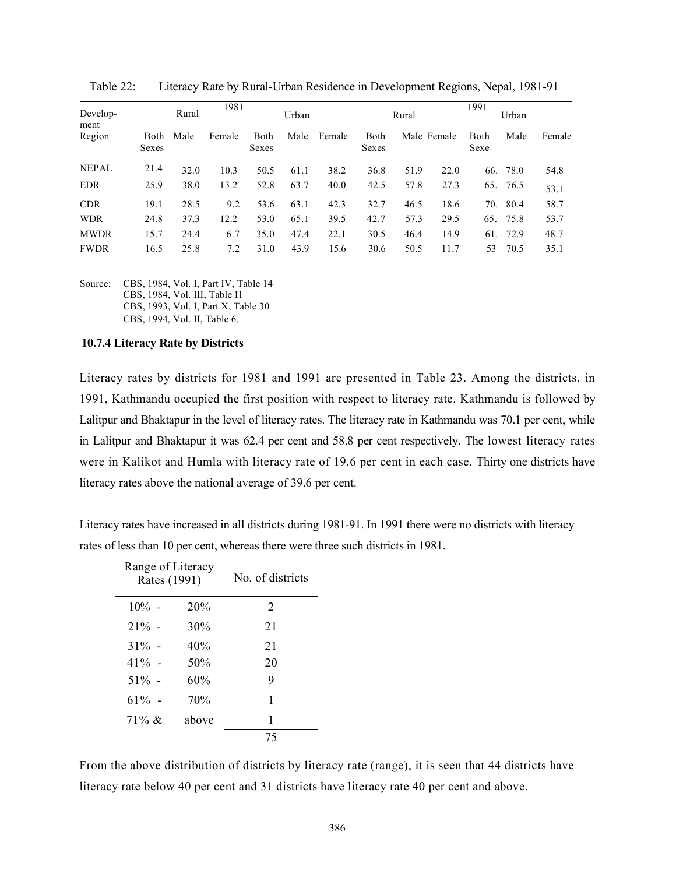| Develop-<br>ment |               | Rural | 1981   |               | Urban |        |               | Rural |             | 1991         | Urban |        |
|------------------|---------------|-------|--------|---------------|-------|--------|---------------|-------|-------------|--------------|-------|--------|
| Region           | Both<br>Sexes | Male  | Female | Both<br>Sexes | Male  | Female | Both<br>Sexes |       | Male Female | Both<br>Sexe | Male  | Female |
| <b>NEPAL</b>     | 21.4          | 32.0  | 10.3   | 50.5          | 61.1  | 38.2   | 36.8          | 51.9  | 22.0        | 66.          | 78.0  | 54.8   |
| <b>EDR</b>       | 25.9          | 38.0  | 13.2   | 52.8          | 63.7  | 40.0   | 42.5          | 57.8  | 27.3        | 65.          | 76.5  | 53.1   |
| <b>CDR</b>       | 19.1          | 28.5  | 9.2    | 53.6          | 63.1  | 42.3   | 32.7          | 46.5  | 18.6        | 70.          | 80.4  | 58.7   |
| <b>WDR</b>       | 24.8          | 37.3  | 12.2   | 53.0          | 65.1  | 39.5   | 42.7          | 57.3  | 29.5        | 65.          | 75.8  | 53.7   |
| <b>MWDR</b>      | 15.7          | 24.4  | 6.7    | 35.0          | 47.4  | 22.1   | 30.5          | 46.4  | 14.9        | 61.          | 72.9  | 48.7   |
| <b>FWDR</b>      | 16.5          | 25.8  | 7.2    | 31.0          | 43.9  | 15.6   | 30.6          | 50.5  | 11.7        | 53.          | 70.5  | 35.1   |

Table 22: Literacy Rate by Rural-Urban Residence in Development Regions, Nepal, 1981-91

Source: CBS, 1984, Vol. I, Part IV, Table 14 CBS, 1984, Vol. III, Table I1 CBS, 1993, Vol. I, Part X, Table 30 CBS, 1994, Vol. II, Table 6.

#### 10.7.4 Literacy Rate by Districts

Literacy rates by districts for 1981 and 1991 are presented in Table 23. Among the districts, in 1991, Kathmandu occupied the first position with respect to literacy rate. Kathmandu is followed by Lalitpur and Bhaktapur in the level of literacy rates. The literacy rate in Kathmandu was 70.1 per cent, while in Lalitpur and Bhaktapur it was 62.4 per cent and 58.8 per cent respectively. The lowest literacy rates were in Kalikot and Humla with literacy rate of 19.6 per cent in each case. Thirty one districts have literacy rates above the national average of 39.6 per cent.

Literacy rates have increased in all districts during 1981-91. In 1991 there were no districts with literacy rates of less than 10 per cent, whereas there were three such districts in 1981.

| Range of Literacy<br>Rates (1991) |       | No. of districts |
|-----------------------------------|-------|------------------|
| $10\%$ -                          | 20%   | 2                |
| $21\%$ -                          | 30%   | 21               |
| $31\%$ -                          | 40%   | 21               |
| $41\%$ -                          | 50%   | 20               |
| $51\%$ -                          | 60%   | 9                |
| $61\%$ -                          | 70%   | 1                |
| $71\% \&$                         | above | 1                |
|                                   |       | 75               |

From the above distribution of districts by literacy rate (range), it is seen that 44 districts have literacy rate below 40 per cent and 31 districts have literacy rate 40 per cent and above.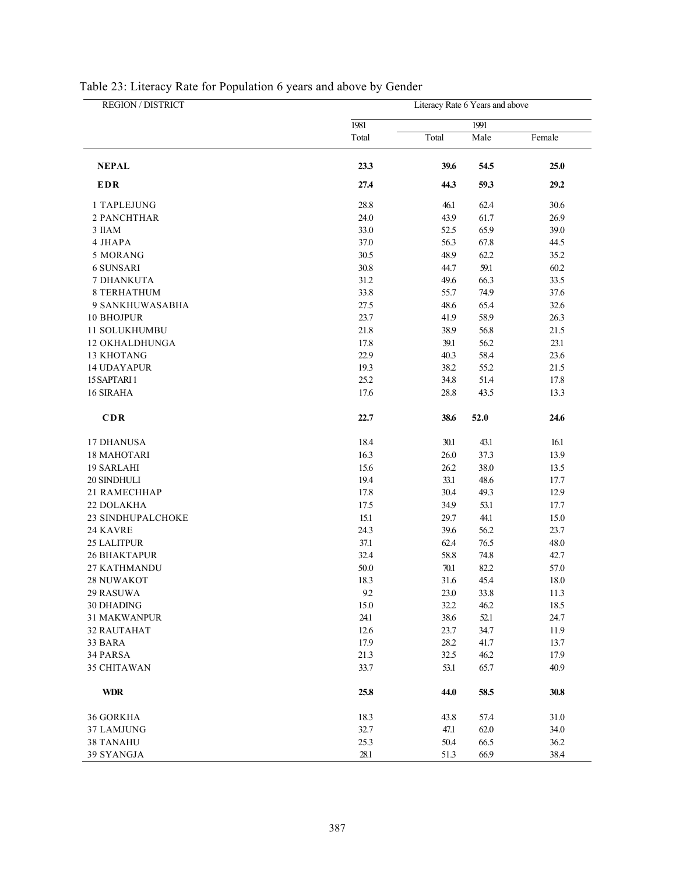| REGION / DISTRICT   | Literacy Rate 6 Years and above |       |      |        |  |  |  |  |  |  |
|---------------------|---------------------------------|-------|------|--------|--|--|--|--|--|--|
|                     | 1981                            |       | 1991 |        |  |  |  |  |  |  |
|                     | Total                           | Total | Male | Female |  |  |  |  |  |  |
| <b>NEPAL</b>        | 23.3                            | 39.6  | 54.5 | 25.0   |  |  |  |  |  |  |
| <b>EDR</b>          | 27.4                            | 44.3  | 59.3 | 29.2   |  |  |  |  |  |  |
| 1 TAPLEJUNG         | 28.8                            | 46.1  | 62.4 | 30.6   |  |  |  |  |  |  |
| 2 PANCHTHAR         | 24.0                            | 43.9  | 61.7 | 26.9   |  |  |  |  |  |  |
| 3 IIAM              | 33.0                            | 52.5  | 65.9 | 39.0   |  |  |  |  |  |  |
| 4 JHAPA             | 37.0                            | 56.3  | 67.8 | 44.5   |  |  |  |  |  |  |
| 5 MORANG            | 30.5                            | 48.9  | 62.2 | 35.2   |  |  |  |  |  |  |
| <b>6 SUNSARI</b>    | 30.8                            | 44.7  | 59.1 | 60.2   |  |  |  |  |  |  |
| 7 DHANKUTA          | 31.2                            | 49.6  | 66.3 | 33.5   |  |  |  |  |  |  |
| <b>8 TERHATHUM</b>  | 33.8                            | 55.7  | 74.9 | 37.6   |  |  |  |  |  |  |
| 9 SANKHUWASABHA     | 27.5                            | 48.6  | 65.4 | 32.6   |  |  |  |  |  |  |
| 10 BHOJPUR          | 23.7                            | 41.9  | 58.9 | 26.3   |  |  |  |  |  |  |
| 11 SOLUKHUMBU       | 21.8                            | 38.9  | 56.8 | 21.5   |  |  |  |  |  |  |
| 12 OKHALDHUNGA      | 17.8                            | 39.1  | 56.2 | 23.1   |  |  |  |  |  |  |
| <b>13 KHOTANG</b>   | 22.9                            | 40.3  | 58.4 | 23.6   |  |  |  |  |  |  |
| <b>14 UDAYAPUR</b>  | 19.3                            | 38.2  | 55.2 | 21.5   |  |  |  |  |  |  |
| 15 SAPTARI 1        | 25.2                            | 34.8  | 51.4 | 17.8   |  |  |  |  |  |  |
| 16 SIRAHA           | 17.6                            | 28.8  | 43.5 | 13.3   |  |  |  |  |  |  |
| CDR                 | 22.7                            | 38.6  | 52.0 | 24.6   |  |  |  |  |  |  |
| 17 DHANUSA          | 18.4                            | 30.1  | 43.1 | 16.1   |  |  |  |  |  |  |
| <b>18 MAHOTARI</b>  | 16.3                            | 26.0  | 37.3 | 13.9   |  |  |  |  |  |  |
| 19 SARLAHI          | 15.6                            | 26.2  | 38.0 | 13.5   |  |  |  |  |  |  |
| 20 SINDHULI         | 19.4                            | 33.1  | 48.6 | 17.7   |  |  |  |  |  |  |
| 21 RAMECHHAP        | 17.8                            | 30.4  | 49.3 | 12.9   |  |  |  |  |  |  |
| 22 DOLAKHA          | 17.5                            | 34.9  | 53.1 | 17.7   |  |  |  |  |  |  |
| 23 SINDHUPALCHOKE   | 15.1                            | 29.7  | 44.1 | 15.0   |  |  |  |  |  |  |
| 24 KAVRE            | 24.3                            | 39.6  | 56.2 | 23.7   |  |  |  |  |  |  |
| 25 LALITPUR         | 37.1                            | 62.4  | 76.5 | 48.0   |  |  |  |  |  |  |
| <b>26 BHAKTAPUR</b> | 32.4                            | 58.8  | 74.8 | 42.7   |  |  |  |  |  |  |
| <b>27 KATHMANDU</b> | 50.0                            | 70.1  | 82.2 | 57.0   |  |  |  |  |  |  |
| 28 NUWAKOT          | 18.3                            | 31.6  | 45.4 | 18.0   |  |  |  |  |  |  |
| 29 RASUWA           | 9.2                             | 23.0  | 33.8 | 11.3   |  |  |  |  |  |  |
| 30 DHADING          | 15.0                            | 32.2  | 46.2 | 18.5   |  |  |  |  |  |  |
| <b>31 MAKWANPUR</b> | 24.1                            | 38.6  | 52.1 | 24.7   |  |  |  |  |  |  |
| 32 RAUTAHAT         | 12.6                            | 23.7  | 34.7 | 11.9   |  |  |  |  |  |  |
| 33 BARA             | 17.9                            | 28.2  | 41.7 | 13.7   |  |  |  |  |  |  |
| 34 PARSA            | 21.3                            | 32.5  | 46.2 | 17.9   |  |  |  |  |  |  |
| 35 CHITAWAN         | 33.7                            | 53.1  | 65.7 | 40.9   |  |  |  |  |  |  |
| <b>WDR</b>          | 25.8                            | 44.0  | 58.5 | 30.8   |  |  |  |  |  |  |
| 36 GORKHA           | 18.3                            | 43.8  | 57.4 | 31.0   |  |  |  |  |  |  |
| 37 LAMJUNG          | 32.7                            | 47.1  | 62.0 | 34.0   |  |  |  |  |  |  |
| <b>38 TANAHU</b>    | 25.3                            | 50.4  | 66.5 | 36.2   |  |  |  |  |  |  |
| 39 SYANGJA          | 28.1                            | 51.3  | 66.9 | 38.4   |  |  |  |  |  |  |

# Table 23: Literacy Rate for Population 6 years and above by Gender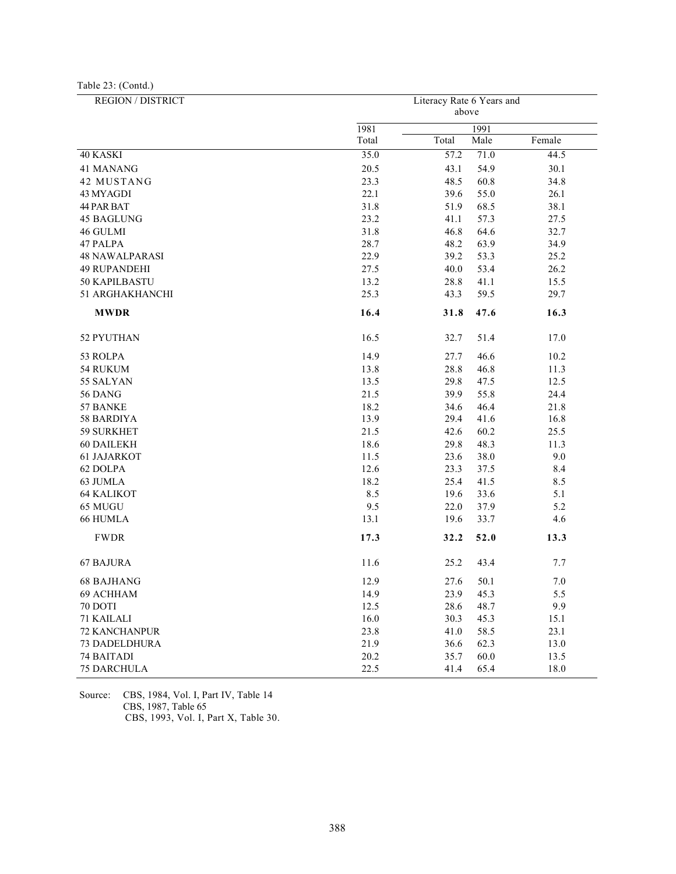Table 23: (Contd.)

| REGION / DISTRICT     | Literacy Rate 6 Years and |       |      |        |  |  |  |  |  |  |
|-----------------------|---------------------------|-------|------|--------|--|--|--|--|--|--|
|                       |                           | above |      |        |  |  |  |  |  |  |
|                       | 1981                      |       | 1991 |        |  |  |  |  |  |  |
|                       | Total                     | Total | Male | Female |  |  |  |  |  |  |
| 40 KASKI              | 35.0                      | 57.2  | 71.0 | 44.5   |  |  |  |  |  |  |
| 41 MANANG             | 20.5                      | 43.1  | 54.9 | 30.1   |  |  |  |  |  |  |
| 42 MUSTANG            | 23.3                      | 48.5  | 60.8 | 34.8   |  |  |  |  |  |  |
| 43 MYAGDI             | 22.1                      | 39.6  | 55.0 | 26.1   |  |  |  |  |  |  |
| 44 PAR BAT            | 31.8                      | 51.9  | 68.5 | 38.1   |  |  |  |  |  |  |
| <b>45 BAGLUNG</b>     | 23.2                      | 41.1  | 57.3 | 27.5   |  |  |  |  |  |  |
| 46 GULMI              | 31.8                      | 46.8  | 64.6 | 32.7   |  |  |  |  |  |  |
| 47 PALPA              | 28.7                      | 48.2  | 63.9 | 34.9   |  |  |  |  |  |  |
| <b>48 NAWALPARASI</b> | 22.9                      | 39.2  | 53.3 | 25.2   |  |  |  |  |  |  |
| <b>49 RUPANDEHI</b>   | 27.5                      | 40.0  | 53.4 | 26.2   |  |  |  |  |  |  |
| 50 KAPILBASTU         | 13.2                      | 28.8  | 41.1 | 15.5   |  |  |  |  |  |  |
| 51 ARGHAKHANCHI       | 25.3                      | 43.3  | 59.5 | 29.7   |  |  |  |  |  |  |
| <b>MWDR</b>           | 16.4                      | 31.8  | 47.6 | 16.3   |  |  |  |  |  |  |
| 52 PYUTHAN            | 16.5                      | 32.7  | 51.4 | 17.0   |  |  |  |  |  |  |
| 53 ROLPA              | 14.9                      | 27.7  | 46.6 | 10.2   |  |  |  |  |  |  |
| 54 RUKUM              | 13.8                      | 28.8  | 46.8 | 11.3   |  |  |  |  |  |  |
| 55 SALYAN             | 13.5                      | 29.8  | 47.5 | 12.5   |  |  |  |  |  |  |
| 56 DANG               | 21.5                      | 39.9  | 55.8 | 24.4   |  |  |  |  |  |  |
| 57 BANKE              | 18.2                      | 34.6  | 46.4 | 21.8   |  |  |  |  |  |  |
| 58 BARDIYA            | 13.9                      | 29.4  | 41.6 | 16.8   |  |  |  |  |  |  |
| 59 SURKHET            | 21.5                      | 42.6  | 60.2 | 25.5   |  |  |  |  |  |  |
| 60 DAILEKH            | 18.6                      | 29.8  | 48.3 | 11.3   |  |  |  |  |  |  |
| <b>61 JAJARKOT</b>    | 11.5                      | 23.6  | 38.0 | 9.0    |  |  |  |  |  |  |
| 62 DOLPA              | 12.6                      | 23.3  | 37.5 | 8.4    |  |  |  |  |  |  |
| 63 JUMLA              | 18.2                      | 25.4  | 41.5 | 8.5    |  |  |  |  |  |  |
| <b>64 KALIKOT</b>     | 8.5                       | 19.6  | 33.6 | 5.1    |  |  |  |  |  |  |
| 65 MUGU               | 9.5                       | 22.0  | 37.9 | 5.2    |  |  |  |  |  |  |
| 66 HUMLA              | 13.1                      | 19.6  | 33.7 | 4.6    |  |  |  |  |  |  |
| <b>FWDR</b>           | 17.3                      | 32.2  | 52.0 | 13.3   |  |  |  |  |  |  |
| <b>67 BAJURA</b>      | 11.6                      | 25.2  | 43.4 | 7.7    |  |  |  |  |  |  |
| <b>68 BAJHANG</b>     | 12.9                      | 27.6  | 50.1 | 7.0    |  |  |  |  |  |  |
| 69 ACHHAM             | 14.9                      | 23.9  | 45.3 | 5.5    |  |  |  |  |  |  |
| 70 DOTI               | 12.5                      | 28.6  | 48.7 | 9.9    |  |  |  |  |  |  |
| 71 KAILALI            | 16.0                      | 30.3  | 45.3 | 15.1   |  |  |  |  |  |  |
| 72 KANCHANPUR         | 23.8                      | 41.0  | 58.5 | 23.1   |  |  |  |  |  |  |
| <b>73 DADELDHURA</b>  | 21.9                      | 36.6  | 62.3 | 13.0   |  |  |  |  |  |  |
| <b>74 BAITADI</b>     | 20.2                      | 35.7  | 60.0 | 13.5   |  |  |  |  |  |  |
| <b>75 DARCHULA</b>    | 22.5                      | 41.4  | 65.4 | 18.0   |  |  |  |  |  |  |

Source: CBS, 1984, Vol. I, Part IV, Table 14 CBS, 1987, Table 65 CBS, 1993, Vol. I, Part X, Table 30.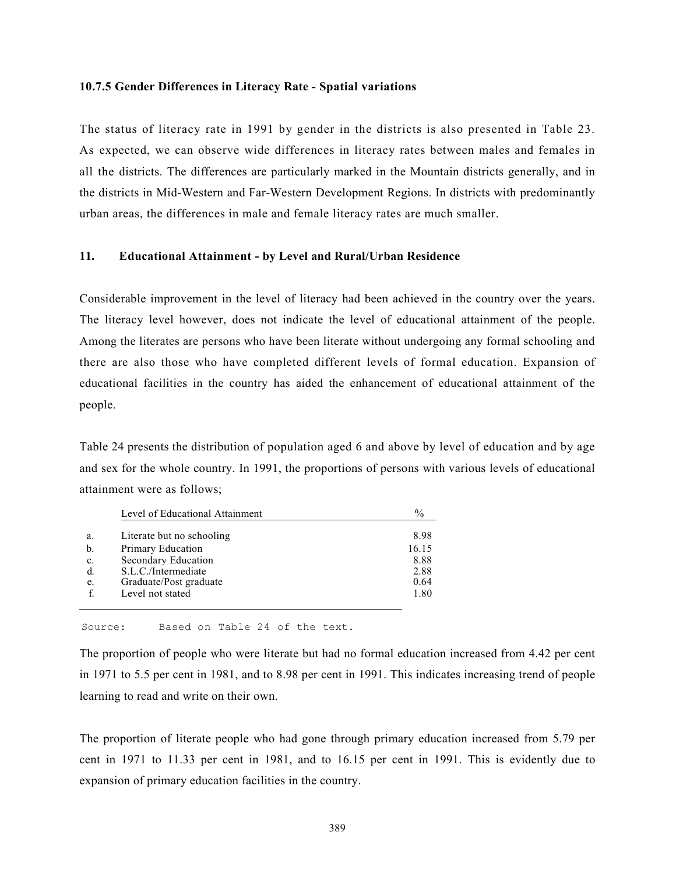#### 10.7.5 Gender Differences in Literacy Rate - Spatial variations

The status of literacy rate in 1991 by gender in the districts is also presented in Table 23. As expected, we can observe wide differences in literacy rates between males and females in all the districts. The differences are particularly marked in the Mountain districts generally, and in the districts in Mid-Western and Far-Western Development Regions. In districts with predominantly urban areas, the differences in male and female literacy rates are much smaller.

# 11. Educational Attainment - by Level and Rural/Urban Residence

Considerable improvement in the level of literacy had been achieved in the country over the years. The literacy level however, does not indicate the level of educational attainment of the people. Among the literates are persons who have been literate without undergoing any formal schooling and there are also those who have completed different levels of formal education. Expansion of educational facilities in the country has aided the enhancement of educational attainment of the people.

Table 24 presents the distribution of population aged 6 and above by level of education and by age and sex for the whole country. In 1991, the proportions of persons with various levels of educational attainment were as follows;

|    | Level of Educational Attainment | $\frac{0}{0}$ |
|----|---------------------------------|---------------|
| a. | Literate but no schooling       | 8.98          |
| b. | Primary Education               | 16.15         |
| c. | Secondary Education             | 8.88          |
| d. | S.L.C./Intermediate             | 2.88          |
| e. | Graduate/Post graduate          | 0.64          |
|    | Level not stated                | 1.80          |

Source: Based on Table 24 of the text.

The proportion of people who were literate but had no formal education increased from 4.42 per cent in 1971 to 5.5 per cent in 1981, and to 8.98 per cent in 1991. This indicates increasing trend of people learning to read and write on their own.

The proportion of literate people who had gone through primary education increased from 5.79 per cent in 1971 to 11.33 per cent in 1981, and to 16.15 per cent in 1991. This is evidently due to expansion of primary education facilities in the country.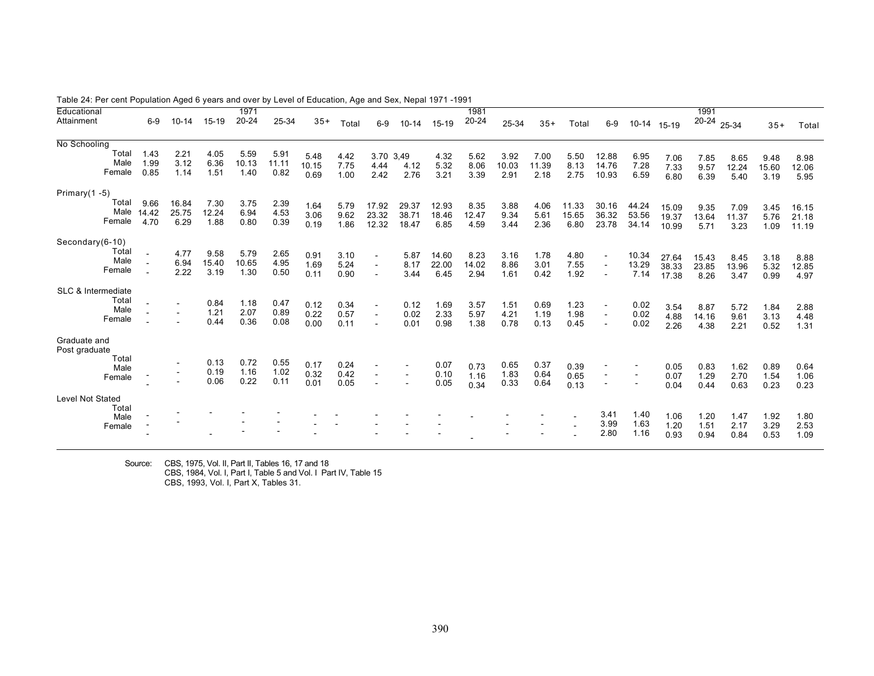| Educational        |                |        |           |               | 1971          |              |              |              |                          |                |               | 1981          |              |              |              |              |               |                | 1991          |               |              |                |
|--------------------|----------------|--------|-----------|---------------|---------------|--------------|--------------|--------------|--------------------------|----------------|---------------|---------------|--------------|--------------|--------------|--------------|---------------|----------------|---------------|---------------|--------------|----------------|
| Attainment         |                | $6-9$  | $10 - 14$ | 15-19         | $20 - 24$     | 25-34        | $35+$        | Total        | $6-9$                    | $10 - 14$      | 15-19         | $20 - 24$     | 25-34        | $35+$        | Total        | $6-9$        | 10-14         | 15-19          | 20-24 25-34   |               | $35+$        | Total          |
|                    |                |        |           |               |               |              |              |              |                          |                |               |               |              |              |              |              |               |                |               |               |              |                |
| No Schooling       |                |        |           |               |               |              |              |              |                          |                |               |               |              |              |              |              |               |                |               |               |              |                |
|                    | Total          | 1.43   | 2.21      | 4.05          | 5.59          | 5.91         | 5.48         | 4.42         | 3.70                     | 3,49           | 4.32          | 5.62          | 3.92         | 7.00         | 5.50         | 12.88        | 6.95          | 7.06           | 7.85          | 8.65          | 9.48         | 8.98           |
|                    | Male           | 1.99   | 3.12      | 6.36          | 10.13         | 11.11        | 10.15        | 7.75         | 4.44                     | 4.12           | 5.32          | 8.06          | 10.03        | 11.39        | 8.13         | 14.76        | 7.28          | 7.33           | 9.57          | 12.24         | 15.60        | 12.06          |
|                    | Female         | 0.85   | 1.14      | 1.51          | 1.40          | 0.82         | 0.69         | 1.00         | 2.42                     | 2.76           | 3.21          | 3.39          | 2.91         | 2.18         | 2.75         | 10.93        | 6.59          | 6.80           | 6.39          | 5.40          | 3.19         | 5.95           |
| Primary $(1 - 5)$  |                |        |           |               |               |              |              |              |                          |                |               |               |              |              |              |              |               |                |               |               |              |                |
|                    | Total          | 9.66   | 16.84     | 7.30          | 3.75          | 2.39         | 1.64         | 5.79         | 17.92                    | 29.37          | 12.93         | 8.35          | 3.88         | 4.06         | 11.33        | 30.16        | 44.24         |                |               |               |              |                |
|                    | Male           | 14.42  | 25.75     | 12.24         | 6.94          | 4.53         | 3.06         | 9.62         | 23.32                    | 38.71          | 18.46         | 12.47         | 9.34         | 5.61         | 15.65        | 36.32        | 53.56         | 15.09<br>19.37 | 9.35<br>13.64 | 7.09<br>11.37 | 3.45<br>5.76 | 16.15<br>21.18 |
|                    | Female         | 4.70   | 6.29      | 1.88          | 0.80          | 0.39         | 0.19         | 1.86         | 12.32                    | 18.47          | 6.85          | 4.59          | 3.44         | 2.36         | 6.80         | 23.78        | 34.14         | 10.99          | 5.71          | 3.23          | 1.09         | 11.19          |
|                    |                |        |           |               |               |              |              |              |                          |                |               |               |              |              |              |              |               |                |               |               |              |                |
| Secondary(6-10)    | Total          |        | 4.77      |               |               |              |              |              |                          |                |               |               |              |              |              |              |               |                |               |               |              |                |
|                    | Male           | $\sim$ | 6.94      | 9.58<br>15.40 | 5.79<br>10.65 | 2.65<br>4.95 | 0.91         | 3.10         | $\blacksquare$           | 5.87           | 14.60         | 8.23          | 3.16         | 1.78         | 4.80         |              | 10.34         | 27.64          | 15.43         | 8.45          | 3.18         | 8.88           |
|                    | Female         |        | 2.22      | 3.19          | 1.30          | 0.50         | 1.69<br>0.11 | 5.24<br>0.90 | $\blacksquare$<br>$\sim$ | 8.17<br>3.44   | 22.00<br>6.45 | 14.02<br>2.94 | 8.86<br>1.61 | 3.01<br>0.42 | 7.55<br>1.92 |              | 13.29<br>7.14 | 38.33          | 23.85         | 13.96         | 5.32         | 12.85          |
|                    |                |        |           |               |               |              |              |              |                          |                |               |               |              |              |              |              |               | 17.38          | 8.26          | 3.47          | 0.99         | 4.97           |
| SLC & Intermediate |                |        |           |               |               |              |              |              |                          |                |               |               |              |              |              |              |               |                |               |               |              |                |
|                    | Total          |        |           | 0.84          | 1.18          | 0.47         | 0.12         | 0.34         | $\blacksquare$           | 0.12           | 1.69          | 3.57          | 1.51         | 0.69         | 1.23         |              | 0.02          | 3.54           | 8.87          | 5.72          | 1.84         | 2.88           |
|                    | Male<br>Female |        |           | 1.21          | 2.07          | 0.89         | 0.22         | 0.57         | $\sim$                   | 0.02           | 2.33          | 5.97          | 4.21         | 1.19         | 1.98         |              | 0.02          | 4.88           | 14.16         | 9.61          | 3.13         | 4.48           |
|                    |                |        |           | 0.44          | 0.36          | 0.08         | 0.00         | 0.11         | $\blacksquare$           | 0.01           | 0.98          | 1.38          | 0.78         | 0.13         | 0.45         |              | 0.02          | 2.26           | 4.38          | 2.21          | 0.52         | 1.31           |
| Graduate and       |                |        |           |               |               |              |              |              |                          |                |               |               |              |              |              |              |               |                |               |               |              |                |
| Post graduate      |                |        |           |               |               |              |              |              |                          |                |               |               |              |              |              |              |               |                |               |               |              |                |
|                    | Total          |        |           | 0.13          | 0.72          | 0.55         | 0.17         | 0.24         | $\blacksquare$           | $\blacksquare$ | 0.07          | 0.73          | 0.65         | 0.37         | 0.39         |              |               | 0.05           | 0.83          | 1.62          | 0.89         | 0.64           |
|                    | Male<br>Female |        |           | 0.19          | 1.16          | 1.02         | 0.32         | 0.42         | $\blacksquare$           | $\sim$         | 0.10          | 1.16          | 1.83         | 0.64         | 0.65         |              |               | 0.07           | 1.29          | 2.70          | 1.54         | 1.06           |
|                    |                |        |           | 0.06          | 0.22          | 0.11         | 0.01         | 0.05         |                          |                | 0.05          | 0.34          | 0.33         | 0.64         | 0.13         |              |               | 0.04           | 0.44          | 0.63          | 0.23         | 0.23           |
| Level Not Stated   |                |        |           |               |               |              |              |              |                          |                |               |               |              |              |              |              |               |                |               |               |              |                |
|                    | Total          |        |           |               |               |              |              |              |                          |                |               |               |              |              |              |              |               |                |               |               |              |                |
|                    | Male           |        |           |               |               |              |              |              |                          |                |               |               |              |              |              | 3.41<br>3.99 | 1.40<br>1.63  | 1.06           | 1.20          | 1.47          | 1.92         | 1.80           |
|                    | Female         |        |           |               |               |              |              |              |                          |                |               |               |              |              |              | 2.80         | 1.16          | 1.20<br>0.93   | 1.51<br>0.94  | 2.17<br>0.84  | 3.29<br>0.53 | 2.53<br>1.09   |
|                    |                |        |           |               |               |              |              |              |                          |                |               |               |              |              |              |              |               |                |               |               |              |                |

Table 24: Per cent Population Aged 6 years and over by Level of Education, Age and Sex, Nepal 1971 -1991

Source: CBS, 1975, Vol. II, Part II, Tables 16, 17 and 18 CBS, 1984, Vol. I, Part I, Table 5 and Vol. I Part IV, Table 15 CBS, 1993, Vol. I, Part X, Tables 31.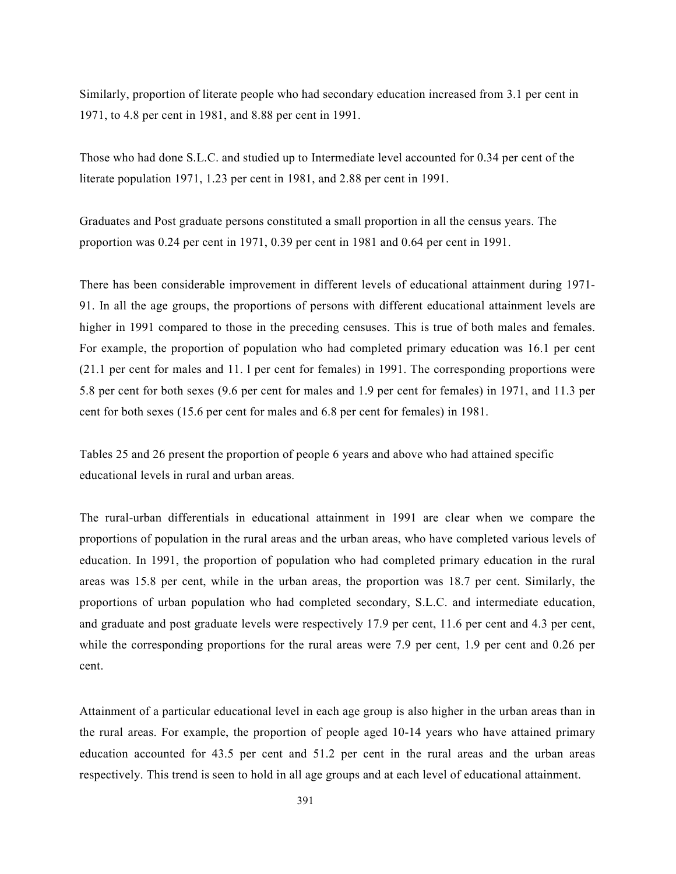Similarly, proportion of literate people who had secondary education increased from 3.1 per cent in 1971, to 4.8 per cent in 1981, and 8.88 per cent in 1991.

Those who had done S.L.C. and studied up to Intermediate level accounted for 0.34 per cent of the literate population 1971, 1.23 per cent in 1981, and 2.88 per cent in 1991.

Graduates and Post graduate persons constituted a small proportion in all the census years. The proportion was 0.24 per cent in 1971, 0.39 per cent in 1981 and 0.64 per cent in 1991.

There has been considerable improvement in different levels of educational attainment during 1971- 91. In all the age groups, the proportions of persons with different educational attainment levels are higher in 1991 compared to those in the preceding censuses. This is true of both males and females. For example, the proportion of population who had completed primary education was 16.1 per cent (21.1 per cent for males and 11. l per cent for females) in 1991. The corresponding proportions were 5.8 per cent for both sexes (9.6 per cent for males and 1.9 per cent for females) in 1971, and 11.3 per cent for both sexes (15.6 per cent for males and 6.8 per cent for females) in 1981.

Tables 25 and 26 present the proportion of people 6 years and above who had attained specific educational levels in rural and urban areas.

The rural-urban differentials in educational attainment in 1991 are clear when we compare the proportions of population in the rural areas and the urban areas, who have completed various levels of education. In 1991, the proportion of population who had completed primary education in the rural areas was 15.8 per cent, while in the urban areas, the proportion was 18.7 per cent. Similarly, the proportions of urban population who had completed secondary, S.L.C. and intermediate education, and graduate and post graduate levels were respectively 17.9 per cent, 11.6 per cent and 4.3 per cent, while the corresponding proportions for the rural areas were 7.9 per cent, 1.9 per cent and 0.26 per cent.

Attainment of a particular educational level in each age group is also higher in the urban areas than in the rural areas. For example, the proportion of people aged 10-14 years who have attained primary education accounted for 43.5 per cent and 51.2 per cent in the rural areas and the urban areas respectively. This trend is seen to hold in all age groups and at each level of educational attainment.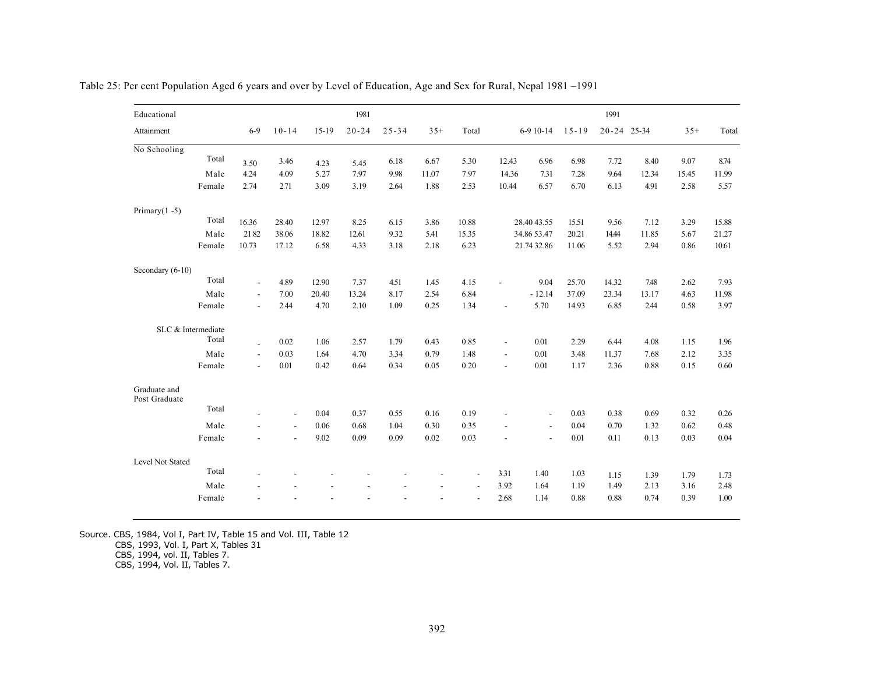| Educational                   |        |                          |                          |         | 1981      |           |       |                          |                          |                          |           | 1991        |       |       |       |
|-------------------------------|--------|--------------------------|--------------------------|---------|-----------|-----------|-------|--------------------------|--------------------------|--------------------------|-----------|-------------|-------|-------|-------|
| Attainment                    |        | $6-9$                    | $10 - 14$                | $15-19$ | $20 - 24$ | $25 - 34$ | $35+$ | Total                    |                          | $6-910-14$               | $15 - 19$ | 20-24 25-34 |       | $35+$ | Total |
| No Schooling                  |        |                          |                          |         |           |           |       |                          |                          |                          |           |             |       |       |       |
|                               | Total  | 3.50                     | 3.46                     | 4.23    | 5.45      | 6.18      | 6.67  | 5.30                     | 12.43                    | 6.96                     | 6.98      | 7.72        | 8.40  | 9.07  | 8.74  |
|                               | Male   | 4.24                     | 4.09                     | 5.27    | 7.97      | 9.98      | 11.07 | 7.97                     | 14.36                    | 7.31                     | 7.28      | 9.64        | 12.34 | 15.45 | 11.99 |
|                               | Female | 2.74                     | 2.71                     | 3.09    | 3.19      | 2.64      | 1.88  | 2.53                     | 10.44                    | 6.57                     | 6.70      | 6.13        | 4.91  | 2.58  | 5.57  |
| Primary $(1 - 5)$             |        |                          |                          |         |           |           |       |                          |                          |                          |           |             |       |       |       |
|                               | Total  | 16.36                    | 28.40                    | 12.97   | 8.25      | 6.15      | 3.86  | 10.88                    |                          | 28.40 43.55              | 15.51     | 9.56        | 7.12  | 3.29  | 15.88 |
|                               | Male   | 2182                     | 38.06                    | 18.82   | 12.61     | 9.32      | 5.41  | 15.35                    |                          | 34.86 53.47              | 20.21     | 14.44       | 11.85 | 5.67  | 21.27 |
|                               | Female | 10.73                    | 17.12                    | 6.58    | 4.33      | 3.18      | 2.18  | 6.23                     |                          | 21.74 32.86              | 11.06     | 5.52        | 2.94  | 0.86  | 10.61 |
| Secondary (6-10)              |        |                          |                          |         |           |           |       |                          |                          |                          |           |             |       |       |       |
|                               | Total  | $\blacksquare$           | 4.89                     | 12.90   | 7.37      | 4.51      | 1.45  | 4.15                     | $\overline{\phantom{a}}$ | 9.04                     | 25.70     | 14.32       | 7.48  | 2.62  | 7.93  |
|                               | Male   | $\overline{\phantom{a}}$ | 7.00                     | 20.40   | 13.24     | 8.17      | 2.54  | 6.84                     |                          | $-12.14$                 | 37.09     | 23.34       | 13.17 | 4.63  | 11.98 |
|                               | Female | $\blacksquare$           | 2.44                     | 4.70    | 2.10      | 1.09      | 0.25  | 1.34                     | $\overline{a}$           | 5.70                     | 14.93     | 6.85        | 2.44  | 0.58  | 3.97  |
| SLC & Intermediate            |        |                          |                          |         |           |           |       |                          |                          |                          |           |             |       |       |       |
|                               | Total  | $\overline{a}$           | 0.02                     | 1.06    | 2.57      | 1.79      | 0.43  | 0.85                     | $\overline{\phantom{a}}$ | 0.01                     | 2.29      | 6.44        | 4.08  | 1.15  | 1.96  |
|                               | Male   | $\blacksquare$           | 0.03                     | 1.64    | 4.70      | 3.34      | 0.79  | 1.48                     | $\blacksquare$           | 0.01                     | 3.48      | 11.37       | 7.68  | 2.12  | 3.35  |
|                               | Female | $\blacksquare$           | 0.01                     | 0.42    | 0.64      | 0.34      | 0.05  | 0.20                     | $\overline{a}$           | 0.01                     | 1.17      | 2.36        | 0.88  | 0.15  | 0.60  |
| Graduate and<br>Post Graduate |        |                          |                          |         |           |           |       |                          |                          |                          |           |             |       |       |       |
|                               | Total  | $\overline{a}$           | $\overline{\phantom{a}}$ | 0.04    | 0.37      | 0.55      | 0.16  | 0.19                     | $\overline{a}$           | $\overline{\phantom{a}}$ | 0.03      | 0.38        | 0.69  | 0.32  | 0.26  |
|                               | Male   | $\overline{\phantom{a}}$ | $\overline{\phantom{a}}$ | 0.06    | 0.68      | 1.04      | 0.30  | 0.35                     | $\overline{a}$           | $\overline{\phantom{a}}$ | 0.04      | 0.70        | 1.32  | 0.62  | 0.48  |
|                               | Female |                          | $\overline{\phantom{a}}$ | 9.02    | 0.09      | 0.09      | 0.02  | 0.03                     | $\overline{\phantom{a}}$ | $\overline{\phantom{a}}$ | 0.01      | 0.11        | 0.13  | 0.03  | 0.04  |
| Level Not Stated              |        |                          |                          |         |           |           |       |                          |                          |                          |           |             |       |       |       |
|                               | Total  |                          |                          |         |           |           |       | $\overline{\phantom{a}}$ | 3.31                     | 1.40                     | 1.03      | 1.15        | 1.39  | 1.79  | 1.73  |
|                               | Male   |                          |                          |         |           |           |       | $\overline{\phantom{a}}$ | 3.92                     | 1.64                     | 1.19      | 1.49        | 2.13  | 3.16  | 2.48  |
|                               | Female |                          |                          |         |           |           |       | $\overline{a}$           | 2.68                     | 1.14                     | 0.88      | 0.88        | 0.74  | 0.39  | 1.00  |

Table 25: Per cent Population Aged 6 years and over by Level of Education, Age and Sex for Rural, Nepal 1981 –1991

Source. CBS, 1984, Vol I, Part IV, Table 15 and Vol. III, Table 12

CBS, 1993, Vol. I, Part X, Tables 31

CBS, 1994, vol. II, Tables 7.

CBS, 1994, Vol. II, Tables 7.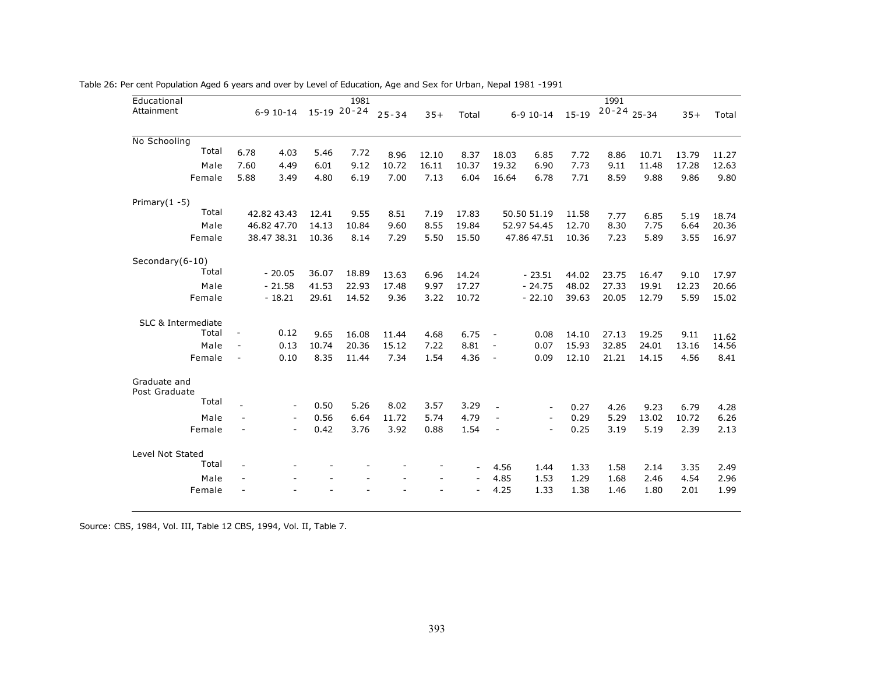|                          | $6 - 9$ 10 $-14$                                   |                                                                                                                                                               | 15-19 20-24                                     | $25 - 34$                               | $35+$                                          |                                                      |                                                                                    |                                                                              |                                                                                                                                                                               |                                                                 |                                                                         |                                                                          |                                                                |
|--------------------------|----------------------------------------------------|---------------------------------------------------------------------------------------------------------------------------------------------------------------|-------------------------------------------------|-----------------------------------------|------------------------------------------------|------------------------------------------------------|------------------------------------------------------------------------------------|------------------------------------------------------------------------------|-------------------------------------------------------------------------------------------------------------------------------------------------------------------------------|-----------------------------------------------------------------|-------------------------------------------------------------------------|--------------------------------------------------------------------------|----------------------------------------------------------------|
|                          |                                                    |                                                                                                                                                               |                                                 |                                         |                                                | Total                                                |                                                                                    | $6 - 9$ 10-14                                                                | $15 - 19$                                                                                                                                                                     | $20 - 24$ 25-34                                                 |                                                                         | $35+$                                                                    | Total                                                          |
|                          |                                                    |                                                                                                                                                               |                                                 |                                         |                                                |                                                      |                                                                                    |                                                                              |                                                                                                                                                                               |                                                                 |                                                                         |                                                                          |                                                                |
| 6.78                     | 4.03                                               | 5.46                                                                                                                                                          | 7.72                                            | 8.96                                    | 12.10                                          | 8.37                                                 | 18.03                                                                              | 6.85                                                                         | 7.72                                                                                                                                                                          | 8.86                                                            | 10.71                                                                   | 13.79                                                                    | 11.27                                                          |
| 7.60                     | 4.49                                               | 6.01                                                                                                                                                          | 9.12                                            | 10.72                                   | 16.11                                          | 10.37                                                | 19.32                                                                              | 6.90                                                                         | 7.73                                                                                                                                                                          | 9.11                                                            | 11.48                                                                   | 17.28                                                                    | 12.63                                                          |
|                          | 3.49                                               | 4.80                                                                                                                                                          | 6.19                                            | 7.00                                    |                                                |                                                      | 16.64                                                                              | 6.78                                                                         | 7.71                                                                                                                                                                          | 8.59                                                            | 9.88                                                                    | 9.86                                                                     | 9.80                                                           |
|                          |                                                    |                                                                                                                                                               |                                                 |                                         |                                                |                                                      |                                                                                    |                                                                              |                                                                                                                                                                               |                                                                 |                                                                         |                                                                          |                                                                |
|                          |                                                    | 12.41                                                                                                                                                         | 9.55                                            | 8.51                                    | 7.19                                           | 17.83                                                |                                                                                    |                                                                              | 11.58                                                                                                                                                                         | 7.77                                                            | 6.85                                                                    | 5.19                                                                     | 18.74                                                          |
|                          |                                                    | 14.13                                                                                                                                                         | 10.84                                           | 9.60                                    | 8.55                                           | 19.84                                                |                                                                                    |                                                                              | 12.70                                                                                                                                                                         | 8.30                                                            | 7.75                                                                    | 6.64                                                                     | 20.36                                                          |
|                          |                                                    |                                                                                                                                                               | 8.14                                            |                                         |                                                |                                                      |                                                                                    |                                                                              | 10.36                                                                                                                                                                         |                                                                 |                                                                         | 3.55                                                                     | 16.97                                                          |
|                          |                                                    |                                                                                                                                                               |                                                 |                                         |                                                |                                                      |                                                                                    |                                                                              |                                                                                                                                                                               |                                                                 |                                                                         |                                                                          |                                                                |
|                          |                                                    | 36.07                                                                                                                                                         | 18.89                                           | 13.63                                   | 6.96                                           | 14.24                                                |                                                                                    |                                                                              | 44.02                                                                                                                                                                         | 23.75                                                           | 16.47                                                                   | 9.10                                                                     | 17.97                                                          |
|                          |                                                    | 41.53                                                                                                                                                         | 22.93                                           | 17.48                                   | 9.97                                           | 17.27                                                |                                                                                    |                                                                              | 48.02                                                                                                                                                                         | 27.33                                                           | 19.91                                                                   | 12.23                                                                    | 20.66                                                          |
|                          |                                                    |                                                                                                                                                               |                                                 |                                         |                                                |                                                      |                                                                                    |                                                                              |                                                                                                                                                                               |                                                                 |                                                                         |                                                                          | 15.02                                                          |
|                          |                                                    |                                                                                                                                                               |                                                 |                                         |                                                |                                                      |                                                                                    |                                                                              |                                                                                                                                                                               |                                                                 |                                                                         |                                                                          |                                                                |
| $\overline{\phantom{a}}$ |                                                    | 9.65                                                                                                                                                          | 16.08                                           | 11.44                                   | 4.68                                           | 6.75                                                 | $\overline{\phantom{a}}$                                                           | 0.08                                                                         | 14.10                                                                                                                                                                         | 27.13                                                           | 19.25                                                                   | 9.11                                                                     | 11.62                                                          |
| $\overline{\phantom{a}}$ |                                                    |                                                                                                                                                               |                                                 |                                         |                                                |                                                      | $\overline{\phantom{a}}$                                                           |                                                                              |                                                                                                                                                                               |                                                                 |                                                                         |                                                                          | 14.56                                                          |
| $\overline{\phantom{a}}$ |                                                    |                                                                                                                                                               |                                                 |                                         |                                                |                                                      | $\overline{\phantom{a}}$                                                           |                                                                              |                                                                                                                                                                               |                                                                 |                                                                         |                                                                          | 8.41                                                           |
|                          |                                                    |                                                                                                                                                               |                                                 |                                         |                                                |                                                      |                                                                                    |                                                                              |                                                                                                                                                                               |                                                                 |                                                                         |                                                                          |                                                                |
|                          |                                                    |                                                                                                                                                               |                                                 |                                         |                                                |                                                      |                                                                                    |                                                                              |                                                                                                                                                                               |                                                                 |                                                                         |                                                                          |                                                                |
|                          |                                                    |                                                                                                                                                               |                                                 |                                         |                                                |                                                      |                                                                                    |                                                                              |                                                                                                                                                                               |                                                                 |                                                                         |                                                                          | 4.28<br>6.26                                                   |
| $\overline{\phantom{a}}$ | $\overline{\phantom{a}}$                           | 0.42                                                                                                                                                          | 3.76                                            | 3.92                                    | 0.88                                           | 1.54                                                 | $\overline{\phantom{a}}$                                                           | $\overline{\phantom{a}}$                                                     | 0.25                                                                                                                                                                          | 3.19                                                            | 5.19                                                                    | 2.39                                                                     | 2.13                                                           |
|                          |                                                    |                                                                                                                                                               |                                                 |                                         |                                                |                                                      |                                                                                    |                                                                              |                                                                                                                                                                               |                                                                 |                                                                         |                                                                          |                                                                |
| $\overline{\phantom{a}}$ |                                                    |                                                                                                                                                               |                                                 |                                         |                                                |                                                      |                                                                                    |                                                                              |                                                                                                                                                                               |                                                                 |                                                                         |                                                                          | 2.49                                                           |
| $\overline{\phantom{a}}$ |                                                    |                                                                                                                                                               |                                                 |                                         |                                                | $\overline{a}$                                       |                                                                                    |                                                                              |                                                                                                                                                                               |                                                                 |                                                                         |                                                                          | 2.96                                                           |
|                          |                                                    |                                                                                                                                                               |                                                 |                                         |                                                |                                                      |                                                                                    |                                                                              |                                                                                                                                                                               |                                                                 |                                                                         |                                                                          | 1.99                                                           |
|                          | 5.88<br>$\overline{a}$<br>$\overline{\phantom{a}}$ | 42.82 43.43<br>46.82 47.70<br>38.47 38.31<br>$-20.05$<br>$-21.58$<br>$-18.21$<br>0.12<br>0.13<br>0.10<br>$\overline{\phantom{a}}$<br>$\overline{\phantom{0}}$ | 10.36<br>29.61<br>10.74<br>8.35<br>0.50<br>0.56 | 14.52<br>20.36<br>11.44<br>5.26<br>6.64 | 7.29<br>9.36<br>15.12<br>7.34<br>8.02<br>11.72 | 7.13<br>5.50<br>3.22<br>7.22<br>1.54<br>3.57<br>5.74 | 6.04<br>15.50<br>10.72<br>8.81<br>4.36<br>3.29<br>4.79<br>$\overline{\phantom{a}}$ | $\overline{\phantom{a}}$<br>$\overline{\phantom{a}}$<br>4.56<br>4.85<br>4.25 | 50.50 51.19<br>52.97 54.45<br>47.86 47.51<br>$-23.51$<br>$-24.75$<br>$-22.10$<br>0.07<br>0.09<br>$\overline{\phantom{a}}$<br>$\overline{\phantom{a}}$<br>1.44<br>1.53<br>1.33 | 39.63<br>15.93<br>12.10<br>0.27<br>0.29<br>1.33<br>1.29<br>1.38 | 7.23<br>20.05<br>32.85<br>21.21<br>4.26<br>5.29<br>1.58<br>1.68<br>1.46 | 5.89<br>12.79<br>24.01<br>14.15<br>9.23<br>13.02<br>2.14<br>2.46<br>1.80 | 5.59<br>13.16<br>4.56<br>6.79<br>10.72<br>3.35<br>4.54<br>2.01 |

Table 26: Per cent Population Aged 6 years and over by Level of Education, Age and Sex for Urban, Nepal 1981 -1991

Source: CBS, 1984, Vol. III, Table 12 CBS, 1994, Vol. II, Table 7.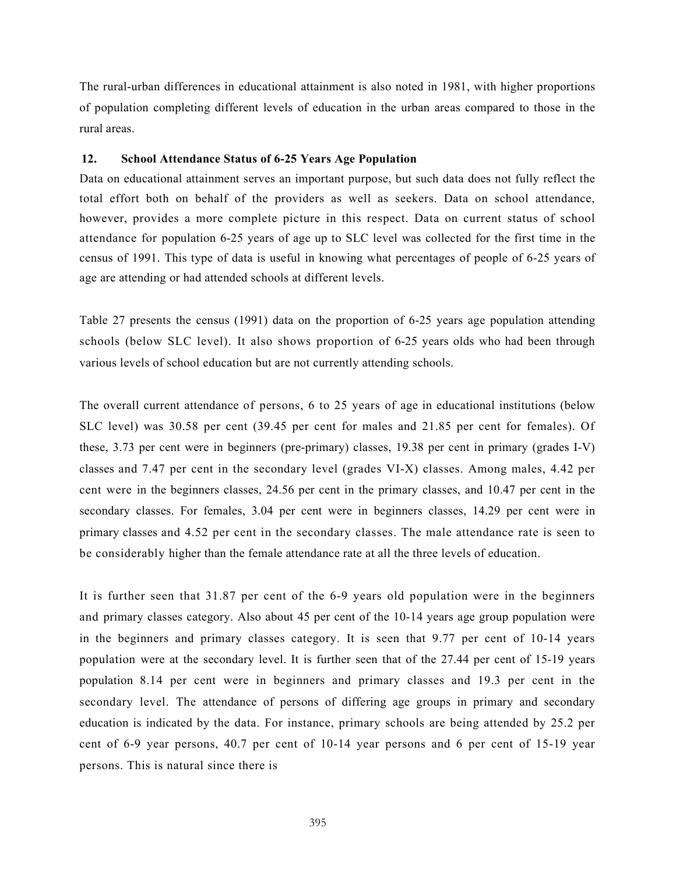The rural-urban differences in educational attainment is also noted in 1981, with higher proportions of population completing different levels of education in the urban areas compared to those in the rural areas.

# 12. School Attendance Status of 6-25 Years Age Population

Data on educational attainment serves an important purpose, but such data does not fully reflect the total effort both on behalf of the providers as well as seekers. Data on school attendance, however, provides a more complete picture in this respect. Data on current status of school attendance for population 6-25 years of age up to SLC level was collected for the first time in the census of 1991. This type of data is useful in knowing what percentages of people of 6-25 years of age are attending or had attended schools at different levels.

Table 27 presents the census (1991) data on the proportion of 6-25 years age population attending schools (below SLC level). It also shows proportion of 6-25 years olds who had been through various levels of school education but are not currently attending schools.

The overall current attendance of persons, 6 to 25 years of age in educational institutions (below SLC level) was 30.58 per cent (39.45 per cent for males and 21.85 per cent for females). Of these, 3.73 per cent were in beginners (pre-primary) classes, 19.38 per cent in primary (grades I-V) classes and 7.47 per cent in the secondary level (grades VI-X) classes. Among males, 4.42 per cent were in the beginners classes, 24.56 per cent in the primary classes, and 10.47 per cent in the secondary classes. For females, 3.04 per cent were in beginners classes, 14.29 per cent were in primary classes and 4.52 per cent in the secondary classes. The male attendance rate is seen to be considerably higher than the female attendance rate at all the three levels of education.

It is further seen that 31.87 per cent of the 6-9 years old population were in the beginners and primary classes category. Also about 45 per cent of the 10-14 years age group population were in the beginners and primary classes category. It is seen that 9.77 per cent of 10-14 years population were at the secondary level. It is further seen that of the 27.44 per cent of 15-19 years population 8.14 per cent were in beginners and primary classes and 19.3 per cent in the secondary level. The attendance of persons of differing age groups in primary and secondary education is indicated by the data. For instance, primary schools are being attended by 25.2 per cent of 6-9 year persons, 40.7 per cent of 10-14 year persons and 6 per cent of 15-19 year persons. This is natural since there is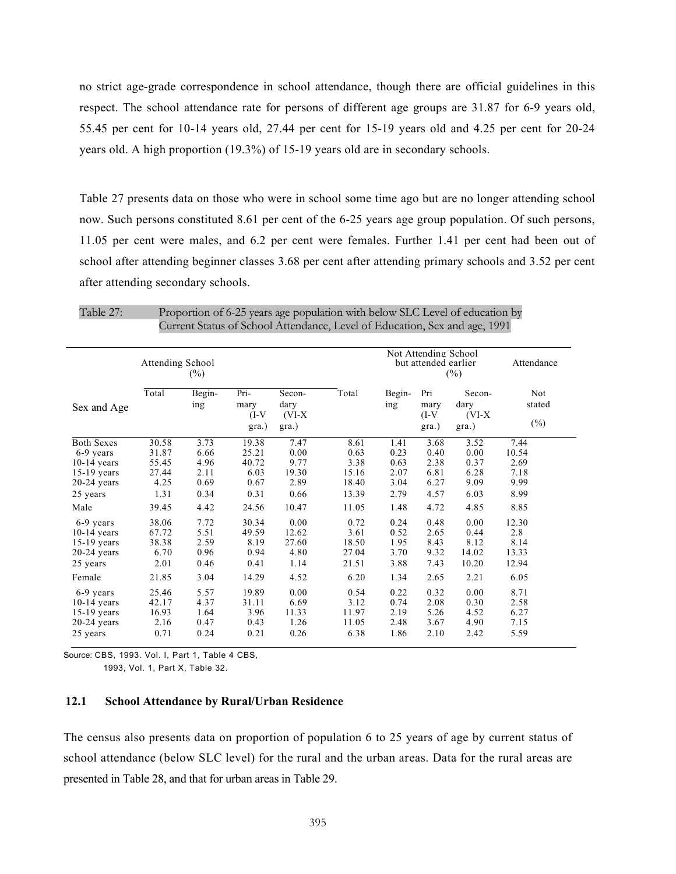no strict age-grade correspondence in school attendance, though there are official guidelines in this respect. The school attendance rate for persons of different age groups are 31.87 for 6-9 years old, 55.45 per cent for 10-14 years old, 27.44 per cent for 15-19 years old and 4.25 per cent for 20-24 years old. A high proportion (19.3%) of 15-19 years old are in secondary schools.

Table 27 presents data on those who were in school some time ago but are no longer attending school now. Such persons constituted 8.61 per cent of the 6-25 years age group population. Of such persons, 11.05 per cent were males, and 6.2 per cent were females. Further 1.41 per cent had been out of school after attending beginner classes 3.68 per cent after attending primary schools and 3.52 per cent after attending secondary schools.

Table 27: Proportion of 6-25 years age population with below SLC Level of education by Current Status of School Attendance, Level of Education, Sex and age, 1991

|                   | Attending School<br>$(\%)$ |               |                                  |                                     |       |               | Not Attending School<br>but attended earlier<br>$(\%)$ | Attendance                          |                         |
|-------------------|----------------------------|---------------|----------------------------------|-------------------------------------|-------|---------------|--------------------------------------------------------|-------------------------------------|-------------------------|
| Sex and Age       | Total                      | Begin-<br>ing | Pri-<br>mary<br>$(I-V)$<br>gra.) | Secon-<br>dary<br>$(VI-X)$<br>gra.) | Total | Begin-<br>ing | Pri<br>mary<br>$(I-V)$<br>gra.)                        | Secon-<br>dary<br>$(VI-X)$<br>gra.) | Not<br>stated<br>$(\%)$ |
| <b>Both Sexes</b> | 30.58                      | 3.73          | 19.38                            | 7.47                                | 8.61  | 1.41          | 3.68                                                   | 3.52                                | 7.44                    |
| 6-9 years         | 31.87                      | 6.66          | 25.21                            | 0.00                                | 0.63  | 0.23          | 0.40                                                   | 0.00                                | 10.54                   |
| $10-14$ vears     | 55.45                      | 4.96          | 40.72                            | 9.77                                | 3.38  | 0.63          | 2.38                                                   | 0.37                                | 2.69                    |
| $15-19$ years     | 27.44                      | 2.11          | 6.03                             | 19.30                               | 15.16 | 2.07          | 6.81                                                   | 6.28                                | 7.18                    |
| $20-24$ years     | 4.25                       | 0.69          | 0.67                             | 2.89                                | 18.40 | 3.04          | 6.27                                                   | 9.09                                | 9.99                    |
| 25 years          | 1.31                       | 0.34          | 0.31                             | 0.66                                | 13.39 | 2.79          | 4.57                                                   | 6.03                                | 8.99                    |
| Male              | 39.45                      | 4.42          | 24.56                            | 10.47                               | 11.05 | 1.48          | 4.72                                                   | 4.85                                | 8.85                    |
| 6-9 years         | 38.06                      | 7.72          | 30.34                            | 0.00                                | 0.72  | 0.24          | 0.48                                                   | 0.00                                | 12.30                   |
| $10-14$ vears     | 67.72                      | 5.51          | 49.59                            | 12.62                               | 3.61  | 0.52          | 2.65                                                   | 0.44                                | 2.8                     |
| $15-19$ years     | 38.38                      | 2.59          | 8.19                             | 27.60                               | 18.50 | 1.95          | 8.43                                                   | 8.12                                | 8.14                    |
| $20-24$ years     | 6.70                       | 0.96          | 0.94                             | 4.80                                | 27.04 | 3.70          | 9.32                                                   | 14.02                               | 13.33                   |
| 25 years          | 2.01                       | 0.46          | 0.41                             | 1.14                                | 21.51 | 3.88          | 7.43                                                   | 10.20                               | 12.94                   |
| Female            | 21.85                      | 3.04          | 14.29                            | 4.52                                | 6.20  | 1.34          | 2.65                                                   | 2.21                                | 6.05                    |
| 6-9 years         | 25.46                      | 5.57          | 19.89                            | 0.00                                | 0.54  | 0.22          | 0.32                                                   | 0.00                                | 8.71                    |
| $10-14$ years     | 42.17                      | 4.37          | 31.11                            | 6.69                                | 3.12  | 0.74          | 2.08                                                   | 0.30                                | 2.58                    |
| $15-19$ years     | 16.93                      | 1.64          | 3.96                             | 11.33                               | 11.97 | 2.19          | 5.26                                                   | 4.52                                | 6.27                    |
| $20-24$ years     | 2.16                       | 0.47          | 0.43                             | 1.26                                | 11.05 | 2.48          | 3.67                                                   | 4.90                                | 7.15                    |
| 25 years          | 0.71                       | 0.24          | 0.21                             | 0.26                                | 6.38  | 1.86          | 2.10                                                   | 2.42                                | 5.59                    |

Source: CBS, 1993. Vol. I, Part 1, Table 4 CBS,

1993, Vol. 1, Part X, Table 32.

# 12.1 School Attendance by Rural/Urban Residence

The census also presents data on proportion of population 6 to 25 years of age by current status of school attendance (below SLC level) for the rural and the urban areas. Data for the rural areas are presented in Table 28, and that for urban areas in Table 29.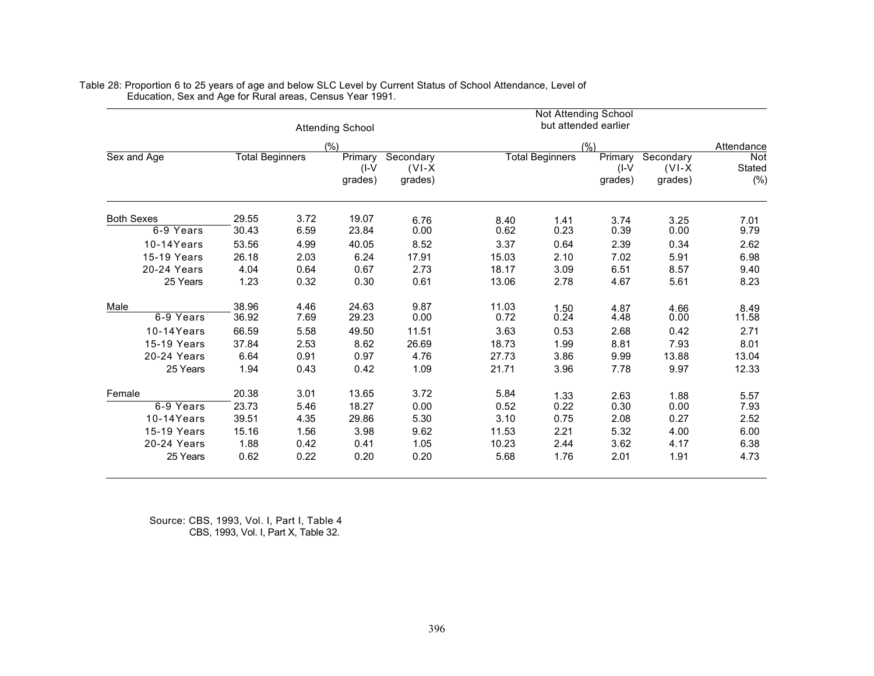|                   |                        |      | <b>Attending School</b>       |                                  |                        | Not Attending School | but attended earlier          |                                  |                      |
|-------------------|------------------------|------|-------------------------------|----------------------------------|------------------------|----------------------|-------------------------------|----------------------------------|----------------------|
|                   |                        |      | (%)                           |                                  |                        |                      | (%)                           |                                  | Attendance           |
| Sex and Age       | <b>Total Beginners</b> |      | Primary<br>$(I-V)$<br>grades) | Secondary<br>$(VI-X)$<br>grades) | <b>Total Beginners</b> |                      | Primary<br>$(I-V)$<br>qrades) | Secondary<br>$(VI-X)$<br>grades) | Not<br>Stated<br>(%) |
| <b>Both Sexes</b> | 29.55                  | 3.72 | 19.07                         | 6.76                             | 8.40                   | 1.41                 | 3.74                          | 3.25                             | 7.01                 |
| 6-9 Years         | 30.43                  | 6.59 | 23.84                         | 0.00                             | 0.62                   | 0.23                 | 0.39                          | 0.00                             | 9.79                 |
| 10-14Years        | 53.56                  | 4.99 | 40.05                         | 8.52                             | 3.37                   | 0.64                 | 2.39                          | 0.34                             | 2.62                 |
| 15-19 Years       | 26.18                  | 2.03 | 6.24                          | 17.91                            | 15.03                  | 2.10                 | 7.02                          | 5.91                             | 6.98                 |
| 20-24 Years       | 4.04                   | 0.64 | 0.67                          | 2.73                             | 18.17                  | 3.09                 | 6.51                          | 8.57                             | 9.40                 |
| 25 Years          | 1.23                   | 0.32 | 0.30                          | 0.61                             | 13.06                  | 2.78                 | 4.67                          | 5.61                             | 8.23                 |
| Male              | 38.96                  | 4.46 | 24.63                         | 9.87                             | 11.03                  | 1.50                 | 4.87                          | 4.66                             | 8.49                 |
| 6-9 Years         | 36.92                  | 7.69 | 29.23                         | 0.00                             | 0.72                   | 0.24                 | 4.48                          | 0.00                             | 11.58                |
| $10-14$ Years     | 66.59                  | 5.58 | 49.50                         | 11.51                            | 3.63                   | 0.53                 | 2.68                          | 0.42                             | 2.71                 |
| 15-19 Years       | 37.84                  | 2.53 | 8.62                          | 26.69                            | 18.73                  | 1.99                 | 8.81                          | 7.93                             | 8.01                 |
| 20-24 Years       | 6.64                   | 0.91 | 0.97                          | 4.76                             | 27.73                  | 3.86                 | 9.99                          | 13.88                            | 13.04                |
| 25 Years          | 1.94                   | 0.43 | 0.42                          | 1.09                             | 21.71                  | 3.96                 | 7.78                          | 9.97                             | 12.33                |
| Female            | 20.38                  | 3.01 | 13.65                         | 3.72                             | 5.84                   | 1.33                 | 2.63                          | 1.88                             | 5.57                 |
| 6-9 Years         | 23.73                  | 5.46 | 18.27                         | 0.00                             | 0.52                   | 0.22                 | 0.30                          | 0.00                             | 7.93                 |
| $10-14$ Years     | 39.51                  | 4.35 | 29.86                         | 5.30                             | 3.10                   | 0.75                 | 2.08                          | 0.27                             | 2.52                 |
| 15-19 Years       | 15.16                  | 1.56 | 3.98                          | 9.62                             | 11.53                  | 2.21                 | 5.32                          | 4.00                             | 6.00                 |
| 20-24 Years       | 1.88                   | 0.42 | 0.41                          | 1.05                             | 10.23                  | 2.44                 | 3.62                          | 4.17                             | 6.38                 |
| 25 Years          | 0.62                   | 0.22 | 0.20                          | 0.20                             | 5.68                   | 1.76                 | 2.01                          | 1.91                             | 4.73                 |

Table 28: Proportion 6 to 25 years of age and below SLC Level by Current Status of School Attendance, Level of Education, Sex and Age for Rural areas, Census Year 1991.

> Source: CBS, 1993, Vol. I, Part I, Table 4 CBS, 1993, Vol. I, Part X, Table 32.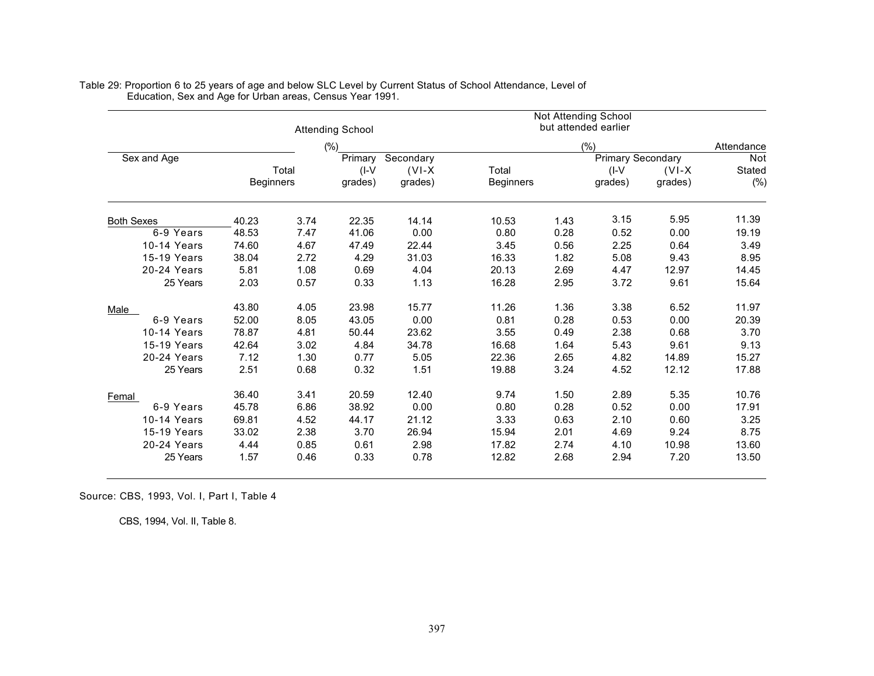|                   |                  |       | <b>Attending School</b> |                     |                           |      | Not Attending School<br>but attended earlier |                     |               |  |  |
|-------------------|------------------|-------|-------------------------|---------------------|---------------------------|------|----------------------------------------------|---------------------|---------------|--|--|
|                   |                  |       | (%)                     |                     |                           | (% ) |                                              |                     |               |  |  |
| Sex and Age       |                  |       | Primary                 | Secondary           |                           |      | <b>Primary Secondary</b>                     |                     | Not           |  |  |
|                   | <b>Beginners</b> | Total | $(I-V)$<br>grades)      | $(VI-X)$<br>grades) | Total<br><b>Beginners</b> |      | $($ I-V<br>grades)                           | $(VI-X)$<br>grades) | Stated<br>(%) |  |  |
| <b>Both Sexes</b> | 40.23            | 3.74  | 22.35                   | 14.14               | 10.53                     | 1.43 | 3.15                                         | 5.95                | 11.39         |  |  |
| 6-9 Years         | 48.53            | 7.47  | 41.06                   | 0.00                | 0.80                      | 0.28 | 0.52                                         | 0.00                | 19.19         |  |  |
| 10-14 Years       | 74.60            | 4.67  | 47.49                   | 22.44               | 3.45                      | 0.56 | 2.25                                         | 0.64                | 3.49          |  |  |
| 15-19 Years       | 38.04            | 2.72  | 4.29                    | 31.03               | 16.33                     | 1.82 | 5.08                                         | 9.43                | 8.95          |  |  |
| 20-24 Years       | 5.81             | 1.08  | 0.69                    | 4.04                | 20.13                     | 2.69 | 4.47                                         | 12.97               | 14.45         |  |  |
| 25 Years          | 2.03             | 0.57  | 0.33                    | 1.13                | 16.28                     | 2.95 | 3.72                                         | 9.61                | 15.64         |  |  |
| <b>Male</b>       | 43.80            | 4.05  | 23.98                   | 15.77               | 11.26                     | 1.36 | 3.38                                         | 6.52                | 11.97         |  |  |
| 6-9 Years         | 52.00            | 8.05  | 43.05                   | 0.00                | 0.81                      | 0.28 | 0.53                                         | 0.00                | 20.39         |  |  |
| 10-14 Years       | 78.87            | 4.81  | 50.44                   | 23.62               | 3.55                      | 0.49 | 2.38                                         | 0.68                | 3.70          |  |  |
| 15-19 Years       | 42.64            | 3.02  | 4.84                    | 34.78               | 16.68                     | 1.64 | 5.43                                         | 9.61                | 9.13          |  |  |
| 20-24 Years       | 7.12             | 1.30  | 0.77                    | 5.05                | 22.36                     | 2.65 | 4.82                                         | 14.89               | 15.27         |  |  |
| 25 Years          | 2.51             | 0.68  | 0.32                    | 1.51                | 19.88                     | 3.24 | 4.52                                         | 12.12               | 17.88         |  |  |
| Femal             | 36.40            | 3.41  | 20.59                   | 12.40               | 9.74                      | 1.50 | 2.89                                         | 5.35                | 10.76         |  |  |
| 6-9 Years         | 45.78            | 6.86  | 38.92                   | 0.00                | 0.80                      | 0.28 | 0.52                                         | 0.00                | 17.91         |  |  |
| 10-14 Years       | 69.81            | 4.52  | 44.17                   | 21.12               | 3.33                      | 0.63 | 2.10                                         | 0.60                | 3.25          |  |  |
| 15-19 Years       | 33.02            | 2.38  | 3.70                    | 26.94               | 15.94                     | 2.01 | 4.69                                         | 9.24                | 8.75          |  |  |
| 20-24 Years       | 4.44             | 0.85  | 0.61                    | 2.98                | 17.82                     | 2.74 | 4.10                                         | 10.98               | 13.60         |  |  |
| 25 Years          | 1.57             | 0.46  | 0.33                    | 0.78                | 12.82                     | 2.68 | 2.94                                         | 7.20                | 13.50         |  |  |

Table 29: Proportion 6 to 25 years of age and below SLC Level by Current Status of School Attendance, Level of Education, Sex and Age for Urban areas, Census Year 1991.

Source: CBS, 1993, Vol. I, Part I, Table 4

CBS, 1994, Vol. II, Table 8.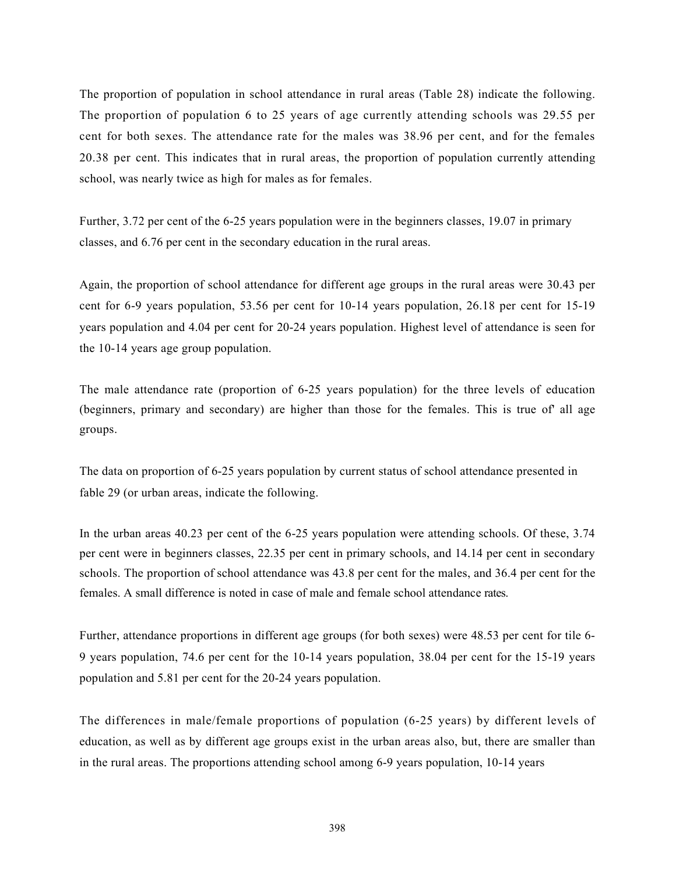The proportion of population in school attendance in rural areas (Table 28) indicate the following. The proportion of population 6 to 25 years of age currently attending schools was 29.55 per cent for both sexes. The attendance rate for the males was 38.96 per cent, and for the females 20.38 per cent. This indicates that in rural areas, the proportion of population currently attending school, was nearly twice as high for males as for females.

Further, 3.72 per cent of the 6-25 years population were in the beginners classes, 19.07 in primary classes, and 6.76 per cent in the secondary education in the rural areas.

Again, the proportion of school attendance for different age groups in the rural areas were 30.43 per cent for 6-9 years population, 53.56 per cent for 10-14 years population, 26.18 per cent for 15-19 years population and 4.04 per cent for 20-24 years population. Highest level of attendance is seen for the 10-14 years age group population.

The male attendance rate (proportion of 6-25 years population) for the three levels of education (beginners, primary and secondary) are higher than those for the females. This is true of' all age groups.

The data on proportion of 6-25 years population by current status of school attendance presented in fable 29 (or urban areas, indicate the following.

In the urban areas 40.23 per cent of the 6-25 years population were attending schools. Of these, 3.74 per cent were in beginners classes, 22.35 per cent in primary schools, and 14.14 per cent in secondary schools. The proportion of school attendance was 43.8 per cent for the males, and 36.4 per cent for the females. A small difference is noted in case of male and female school attendance rates.

Further, attendance proportions in different age groups (for both sexes) were 48.53 per cent for tile 6- 9 years population, 74.6 per cent for the 10-14 years population, 38.04 per cent for the 15-19 years population and 5.81 per cent for the 20-24 years population.

The differences in male/female proportions of population (6-25 years) by different levels of education, as well as by different age groups exist in the urban areas also, but, there are smaller than in the rural areas. The proportions attending school among 6-9 years population, 10-14 years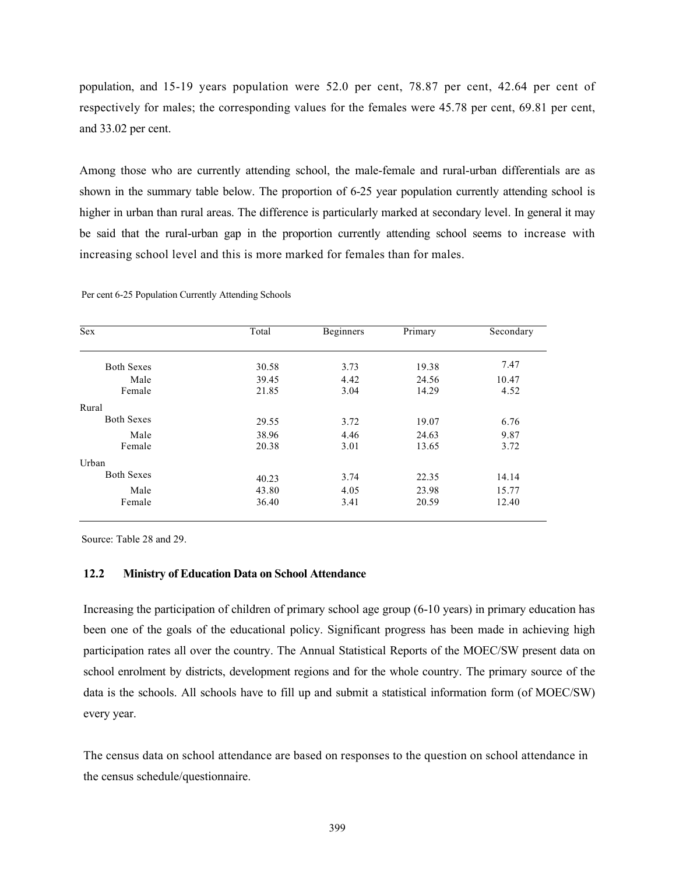population, and 15-19 years population were 52.0 per cent, 78.87 per cent, 42.64 per cent of respectively for males; the corresponding values for the females were 45.78 per cent, 69.81 per cent, and 33.02 per cent.

Among those who are currently attending school, the male-female and rural-urban differentials are as shown in the summary table below. The proportion of 6-25 year population currently attending school is higher in urban than rural areas. The difference is particularly marked at secondary level. In general it may be said that the rural-urban gap in the proportion currently attending school seems to increase with increasing school level and this is more marked for females than for males.

| Sex               | Total          | Beginners    | Primary        | Secondary     |
|-------------------|----------------|--------------|----------------|---------------|
| <b>Both Sexes</b> | 30.58          | 3.73         | 19.38          | 7.47          |
| Male<br>Female    | 39.45<br>21.85 | 4.42<br>3.04 | 24.56<br>14.29 | 10.47<br>4.52 |
| Rural             |                |              |                |               |
| <b>Both Sexes</b> | 29.55          | 3.72         | 19.07          | 6.76          |
| Male              | 38.96          | 4.46         | 24.63          | 9.87          |
| Female            | 20.38          | 3.01         | 13.65          | 3.72          |
| Urban             |                |              |                |               |
| <b>Both Sexes</b> | 40.23          | 3.74         | 22.35          | 14.14         |
| Male              | 43.80          | 4.05         | 23.98          | 15.77         |
| Female            | 36.40          | 3.41         | 20.59          | 12.40         |

Per cent 6-25 Population Currently Attending Schools

Source: Table 28 and 29.

#### 12.2 Ministry of Education Data on School Attendance

Increasing the participation of children of primary school age group (6-10 years) in primary education has been one of the goals of the educational policy. Significant progress has been made in achieving high participation rates all over the country. The Annual Statistical Reports of the MOEC/SW present data on school enrolment by districts, development regions and for the whole country. The primary source of the data is the schools. All schools have to fill up and submit a statistical information form (of MOEC/SW) every year.

The census data on school attendance are based on responses to the question on school attendance in the census schedule/questionnaire.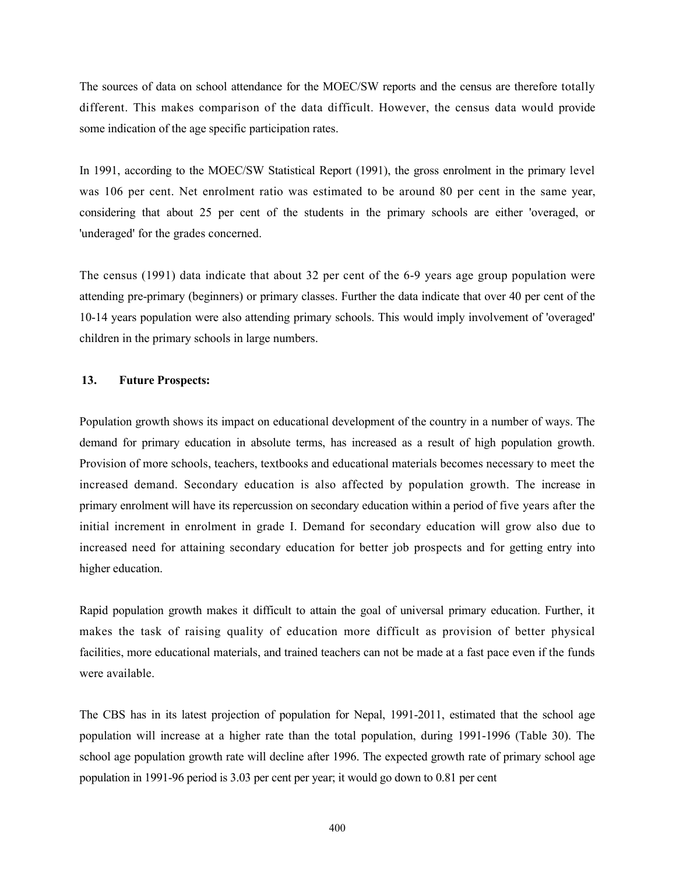The sources of data on school attendance for the MOEC/SW reports and the census are therefore totally different. This makes comparison of the data difficult. However, the census data would provide some indication of the age specific participation rates.

In 1991, according to the MOEC/SW Statistical Report (1991), the gross enrolment in the primary level was 106 per cent. Net enrolment ratio was estimated to be around 80 per cent in the same year, considering that about 25 per cent of the students in the primary schools are either 'overaged, or 'underaged' for the grades concerned.

The census (1991) data indicate that about 32 per cent of the 6-9 years age group population were attending pre-primary (beginners) or primary classes. Further the data indicate that over 40 per cent of the 10-14 years population were also attending primary schools. This would imply involvement of 'overaged' children in the primary schools in large numbers.

# 13. Future Prospects:

Population growth shows its impact on educational development of the country in a number of ways. The demand for primary education in absolute terms, has increased as a result of high population growth. Provision of more schools, teachers, textbooks and educational materials becomes necessary to meet the increased demand. Secondary education is also affected by population growth. The increase in primary enrolment will have its repercussion on secondary education within a period of five years after the initial increment in enrolment in grade I. Demand for secondary education will grow also due to increased need for attaining secondary education for better job prospects and for getting entry into higher education.

Rapid population growth makes it difficult to attain the goal of universal primary education. Further, it makes the task of raising quality of education more difficult as provision of better physical facilities, more educational materials, and trained teachers can not be made at a fast pace even if the funds were available.

The CBS has in its latest projection of population for Nepal, 1991-2011, estimated that the school age population will increase at a higher rate than the total population, during 1991-1996 (Table 30). The school age population growth rate will decline after 1996. The expected growth rate of primary school age population in 1991-96 period is 3.03 per cent per year; it would go down to 0.81 per cent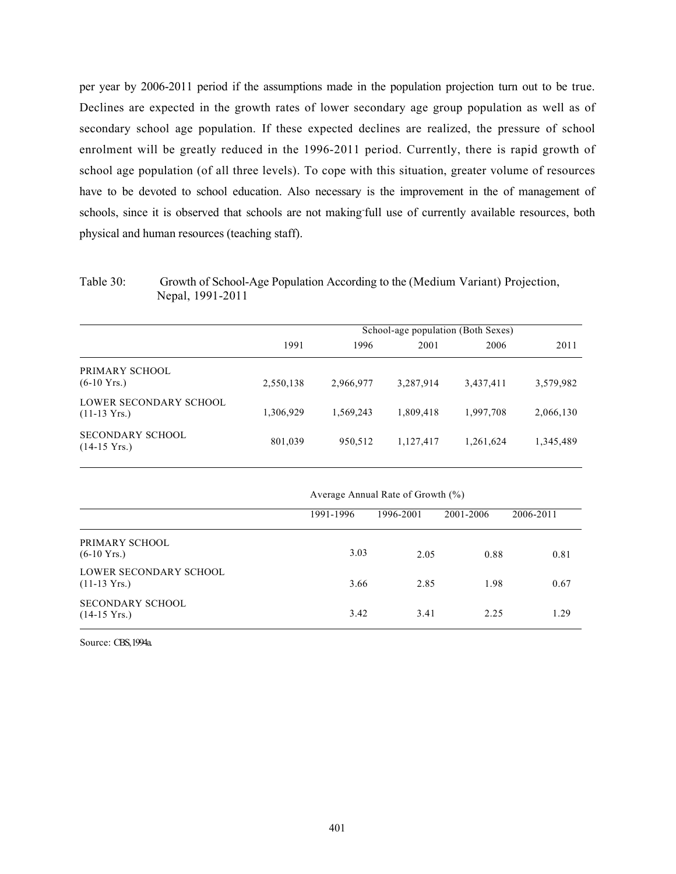per year by 2006-2011 period if the assumptions made in the population projection turn out to be true. Declines are expected in the growth rates of lower secondary age group population as well as of secondary school age population. If these expected declines are realized, the pressure of school enrolment will be greatly reduced in the 1996-2011 period. Currently, there is rapid growth of school age population (of all three levels). To cope with this situation, greater volume of resources have to be devoted to school education. Also necessary is the improvement in the of management of schools, since it is observed that schools are not making-full use of currently available resources, both physical and human resources (teaching staff).

Table 30: Growth of School-Age Population According to the (Medium Variant) Projection, Nepal, 1991-2011

|                                                  | School-age population (Both Sexes) |           |           |           |           |  |  |  |  |
|--------------------------------------------------|------------------------------------|-----------|-----------|-----------|-----------|--|--|--|--|
|                                                  | 1991                               | 1996      | 2001      | 2006      | 2011      |  |  |  |  |
| PRIMARY SCHOOL<br>$(6-10 \text{ Yrs.})$          | 2,550,138                          | 2,966,977 | 3,287,914 | 3,437,411 | 3,579,982 |  |  |  |  |
| LOWER SECONDARY SCHOOL<br>$(11-13 \text{ Yrs.})$ | 1,306,929                          | 1,569,243 | 1,809,418 | 1,997,708 | 2,066,130 |  |  |  |  |
| SECONDARY SCHOOL<br>$(14-15 \text{ Yrs.})$       | 801,039                            | 950,512   | 1,127,417 | 1,261,624 | 1,345,489 |  |  |  |  |

|                                                  | Average Annual Rate of Growth $(\%)$ |           |           |           |  |  |  |  |  |  |
|--------------------------------------------------|--------------------------------------|-----------|-----------|-----------|--|--|--|--|--|--|
|                                                  | 1991-1996                            | 1996-2001 | 2001-2006 | 2006-2011 |  |  |  |  |  |  |
| PRIMARY SCHOOL<br>$(6-10 \text{ Yrs.})$          | 3.03                                 | 2.05      | 0.88      | 0.81      |  |  |  |  |  |  |
| LOWER SECONDARY SCHOOL<br>$(11-13 \text{ Yrs.})$ | 3.66                                 | 2.85      | 1.98      | 0.67      |  |  |  |  |  |  |
| SECONDARY SCHOOL<br>$(14-15 \text{ Yrs.})$       | 3.42                                 | 3.41      | 2.25      | 1.29      |  |  |  |  |  |  |

Source: CBS, 1994a.